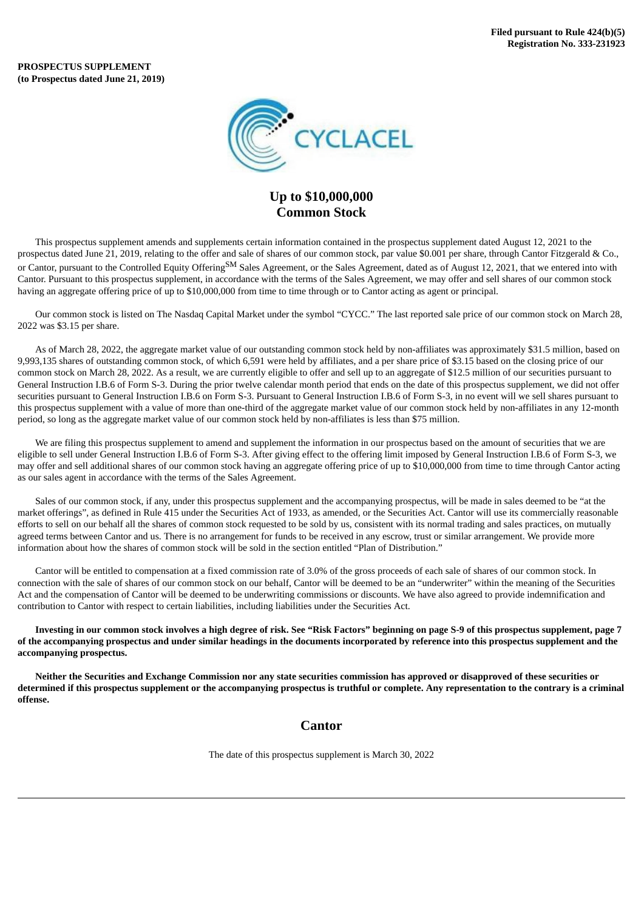**PROSPECTUS SUPPLEMENT (to Prospectus dated June 21, 2019)**



# **Up to \$10,000,000 Common Stock**

This prospectus supplement amends and supplements certain information contained in the prospectus supplement dated August 12, 2021 to the prospectus dated June 21, 2019, relating to the offer and sale of shares of our common stock, par value \$0.001 per share, through Cantor Fitzgerald & Co., or Cantor, pursuant to the Controlled Equity Offering<sup>SM</sup> Sales Agreement, or the Sales Agreement, dated as of August 12, 2021, that we entered into with Cantor. Pursuant to this prospectus supplement, in accordance with the terms of the Sales Agreement, we may offer and sell shares of our common stock having an aggregate offering price of up to \$10,000,000 from time to time through or to Cantor acting as agent or principal.

Our common stock is listed on The Nasdaq Capital Market under the symbol "CYCC." The last reported sale price of our common stock on March 28, 2022 was \$3.15 per share.

As of March 28, 2022, the aggregate market value of our outstanding common stock held by non-affiliates was approximately \$31.5 million, based on 9,993,135 shares of outstanding common stock, of which 6,591 were held by affiliates, and a per share price of \$3.15 based on the closing price of our common stock on March 28, 2022. As a result, we are currently eligible to offer and sell up to an aggregate of \$12.5 million of our securities pursuant to General Instruction I.B.6 of Form S-3. During the prior twelve calendar month period that ends on the date of this prospectus supplement, we did not offer securities pursuant to General Instruction I.B.6 on Form S-3. Pursuant to General Instruction I.B.6 of Form S-3, in no event will we sell shares pursuant to this prospectus supplement with a value of more than one-third of the aggregate market value of our common stock held by non-affiliates in any 12-month period, so long as the aggregate market value of our common stock held by non-affiliates is less than \$75 million.

We are filing this prospectus supplement to amend and supplement the information in our prospectus based on the amount of securities that we are eligible to sell under General Instruction I.B.6 of Form S-3. After giving effect to the offering limit imposed by General Instruction I.B.6 of Form S-3, we may offer and sell additional shares of our common stock having an aggregate offering price of up to \$10,000,000 from time to time through Cantor acting as our sales agent in accordance with the terms of the Sales Agreement.

Sales of our common stock, if any, under this prospectus supplement and the accompanying prospectus, will be made in sales deemed to be "at the market offerings", as defined in Rule 415 under the Securities Act of 1933, as amended, or the Securities Act. Cantor will use its commercially reasonable efforts to sell on our behalf all the shares of common stock requested to be sold by us, consistent with its normal trading and sales practices, on mutually agreed terms between Cantor and us. There is no arrangement for funds to be received in any escrow, trust or similar arrangement. We provide more information about how the shares of common stock will be sold in the section entitled "Plan of Distribution."

Cantor will be entitled to compensation at a fixed commission rate of 3.0% of the gross proceeds of each sale of shares of our common stock. In connection with the sale of shares of our common stock on our behalf, Cantor will be deemed to be an "underwriter" within the meaning of the Securities Act and the compensation of Cantor will be deemed to be underwriting commissions or discounts. We have also agreed to provide indemnification and contribution to Cantor with respect to certain liabilities, including liabilities under the Securities Act.

Investing in our common stock involves a high degree of risk. See "Risk Factors" beginning on page S-9 of this prospectus supplement, page 7 of the accompanying prospectus and under similar headings in the documents incorporated by reference into this prospectus supplement and the **accompanying prospectus.**

Neither the Securities and Exchange Commission nor any state securities commission has approved or disapproved of these securities or determined if this prospectus supplement or the accompanying prospectus is truthful or complete. Any representation to the contrary is a criminal **offense.**

# **Cantor**

The date of this prospectus supplement is March 30, 2022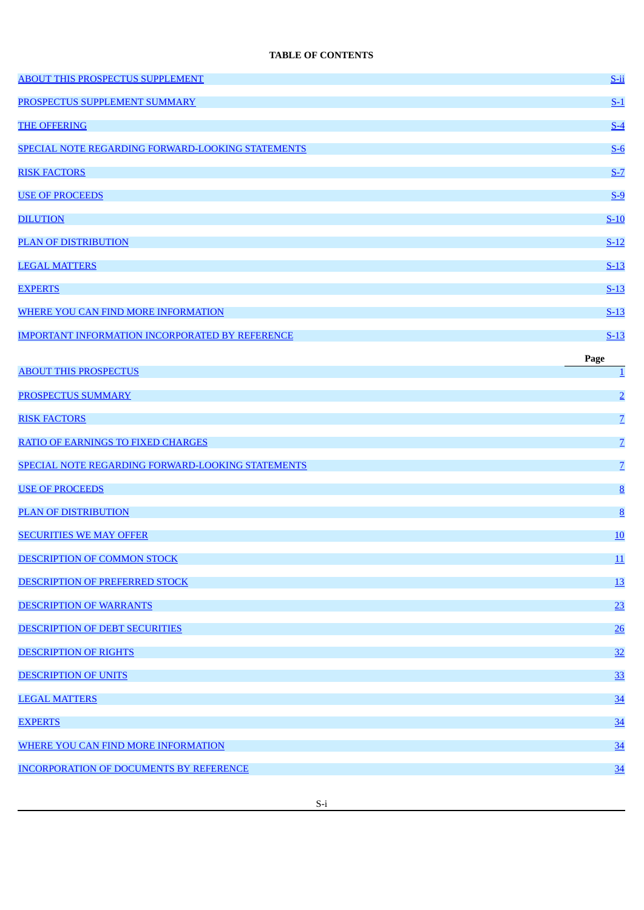# **TABLE OF CONTENTS**

| <b>ABOUT THIS PROSPECTUS SUPPLEMENT</b>                | $S$ -ii          |
|--------------------------------------------------------|------------------|
| PROSPECTUS SUPPLEMENT SUMMARY                          | $S-1$            |
| <b>THE OFFERING</b>                                    | $S-4$            |
| SPECIAL NOTE REGARDING FORWARD-LOOKING STATEMENTS      | $S-6$            |
| <b>RISK FACTORS</b>                                    | $S-7$            |
| <b>USE OF PROCEEDS</b>                                 | $S-9$            |
| <b>DILUTION</b>                                        | $S-10$           |
| <b>PLAN OF DISTRIBUTION</b>                            | $S-12$           |
| <b>LEGAL MATTERS</b>                                   | $S-13$           |
| <b>EXPERTS</b>                                         | $S-13$           |
| <b>WHERE YOU CAN FIND MORE INFORMATION</b>             | $S-13$           |
| <b>IMPORTANT INFORMATION INCORPORATED BY REFERENCE</b> | $S-13$           |
|                                                        | Page             |
| <b>ABOUT THIS PROSPECTUS</b>                           | $\overline{1}$   |
| <b>PROSPECTUS SUMMARY</b>                              | $\overline{2}$   |
| <b>RISK FACTORS</b>                                    | $\overline{Z}$   |
| <b>RATIO OF EARNINGS TO FIXED CHARGES</b>              | $\overline{Z}$   |
| SPECIAL NOTE REGARDING FORWARD-LOOKING STATEMENTS      | $\overline{Z}$   |
| <b>USE OF PROCEEDS</b>                                 | $\underline{8}$  |
| <b>PLAN OF DISTRIBUTION</b>                            | 8                |
| <b>SECURITIES WE MAY OFFER</b>                         | 10               |
| DESCRIPTION OF COMMON STOCK                            | $\underline{11}$ |
| DESCRIPTION OF PREFERRED STOCK                         | 13               |
| <b>DESCRIPTION OF WARRANTS</b>                         | 23               |
| DESCRIPTION OF DEBT SECURITIES                         | 26               |
| <b>DESCRIPTION OF RIGHTS</b>                           | 32               |
| <b>DESCRIPTION OF UNITS</b>                            | 33               |
| <b>LEGAL MATTERS</b>                                   | 34               |
| <b>EXPERTS</b>                                         | 34               |
| WHERE YOU CAN FIND MORE INFORMATION                    | 34               |
| <b>INCORPORATION OF DOCUMENTS BY REFERENCE</b>         | 34               |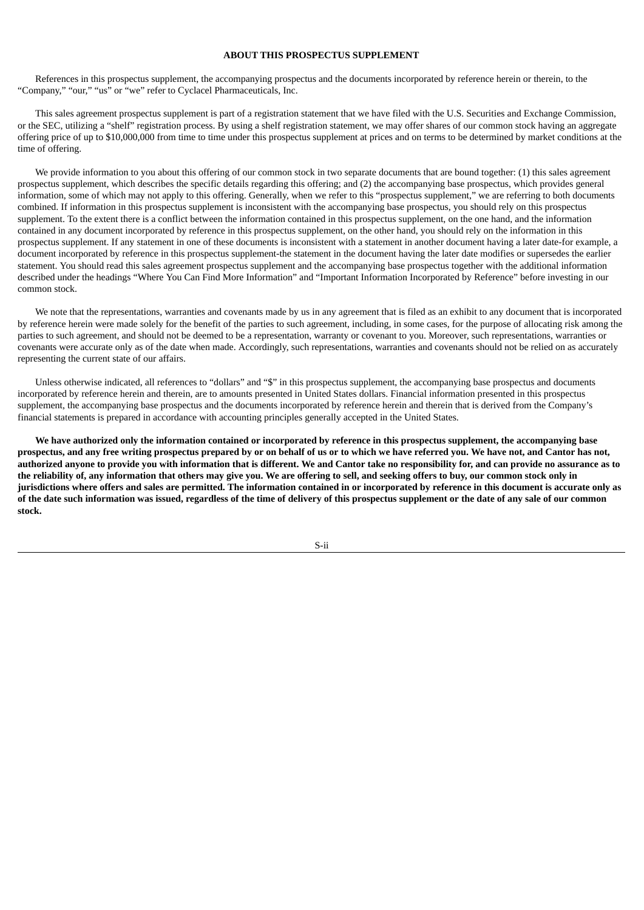# **ABOUT THIS PROSPECTUS SUPPLEMENT**

<span id="page-2-0"></span>References in this prospectus supplement, the accompanying prospectus and the documents incorporated by reference herein or therein, to the "Company," "our," "us" or "we" refer to Cyclacel Pharmaceuticals, Inc.

This sales agreement prospectus supplement is part of a registration statement that we have filed with the U.S. Securities and Exchange Commission, or the SEC, utilizing a "shelf" registration process. By using a shelf registration statement, we may offer shares of our common stock having an aggregate offering price of up to \$10,000,000 from time to time under this prospectus supplement at prices and on terms to be determined by market conditions at the time of offering.

We provide information to you about this offering of our common stock in two separate documents that are bound together: (1) this sales agreement prospectus supplement, which describes the specific details regarding this offering; and (2) the accompanying base prospectus, which provides general information, some of which may not apply to this offering. Generally, when we refer to this "prospectus supplement," we are referring to both documents combined. If information in this prospectus supplement is inconsistent with the accompanying base prospectus, you should rely on this prospectus supplement. To the extent there is a conflict between the information contained in this prospectus supplement, on the one hand, and the information contained in any document incorporated by reference in this prospectus supplement, on the other hand, you should rely on the information in this prospectus supplement. If any statement in one of these documents is inconsistent with a statement in another document having a later date-for example, a document incorporated by reference in this prospectus supplement-the statement in the document having the later date modifies or supersedes the earlier statement. You should read this sales agreement prospectus supplement and the accompanying base prospectus together with the additional information described under the headings "Where You Can Find More Information" and "Important Information Incorporated by Reference" before investing in our common stock.

We note that the representations, warranties and covenants made by us in any agreement that is filed as an exhibit to any document that is incorporated by reference herein were made solely for the benefit of the parties to such agreement, including, in some cases, for the purpose of allocating risk among the parties to such agreement, and should not be deemed to be a representation, warranty or covenant to you. Moreover, such representations, warranties or covenants were accurate only as of the date when made. Accordingly, such representations, warranties and covenants should not be relied on as accurately representing the current state of our affairs.

Unless otherwise indicated, all references to "dollars" and "\$" in this prospectus supplement, the accompanying base prospectus and documents incorporated by reference herein and therein, are to amounts presented in United States dollars. Financial information presented in this prospectus supplement, the accompanying base prospectus and the documents incorporated by reference herein and therein that is derived from the Company's financial statements is prepared in accordance with accounting principles generally accepted in the United States.

We have authorized only the information contained or incorporated by reference in this prospectus supplement, the accompanying base prospectus, and any free writing prospectus prepared by or on behalf of us or to which we have referred you. We have not, and Cantor has not, authorized anyone to provide you with information that is different. We and Cantor take no responsibility for, and can provide no assurance as to the reliability of, any information that others may give you. We are offering to sell, and seeking offers to buy, our common stock only in jurisdictions where offers and sales are permitted. The information contained in or incorporated by reference in this document is accurate only as of the date such information was issued, regardless of the time of delivery of this prospectus supplement or the date of any sale of our common **stock.**

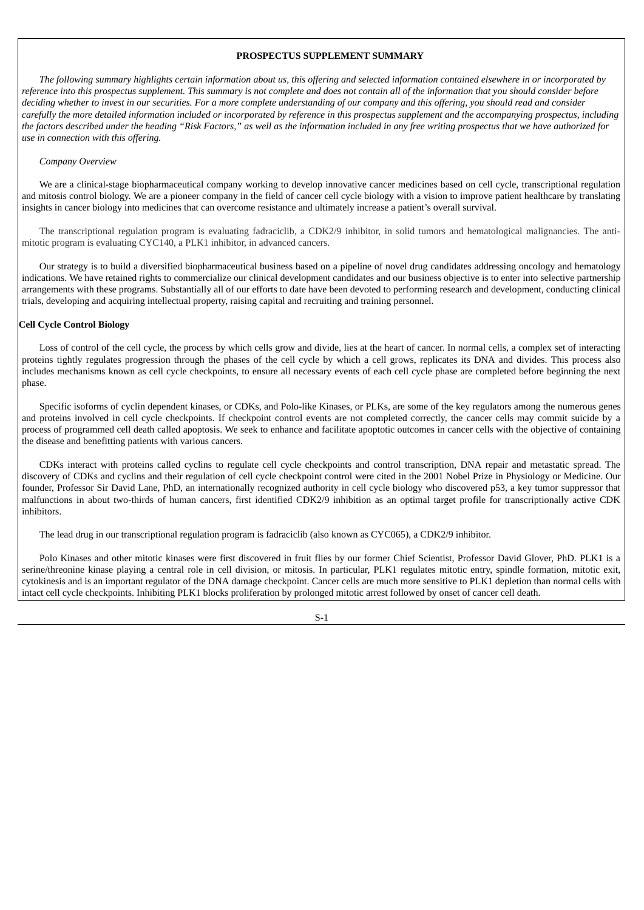# **PROSPECTUS SUPPLEMENT SUMMARY**

<span id="page-3-0"></span>The following summary highlights certain information about us, this offering and selected information contained elsewhere in or incorporated by reference into this prospectus supplement. This summary is not complete and does not contain all of the information that you should consider before deciding whether to invest in our securities. For a more complete understanding of our company and this offering, you should read and consider carefully the more detailed information included or incorporated by reference in this prospectus supplement and the accompanying prospectus, including the factors described under the heading "Risk Factors," as well as the information included in any free writing prospectus that we have authorized for *use in connection with this offering.*

### *Company Overview*

We are a clinical-stage biopharmaceutical company working to develop innovative cancer medicines based on cell cycle, transcriptional regulation and mitosis control biology. We are a pioneer company in the field of cancer cell cycle biology with a vision to improve patient healthcare by translating insights in cancer biology into medicines that can overcome resistance and ultimately increase a patient's overall survival.

The transcriptional regulation program is evaluating fadraciclib, a CDK2/9 inhibitor, in solid tumors and hematological malignancies. The antimitotic program is evaluating CYC140, a PLK1 inhibitor, in advanced cancers.

Our strategy is to build a diversified biopharmaceutical business based on a pipeline of novel drug candidates addressing oncology and hematology indications. We have retained rights to commercialize our clinical development candidates and our business objective is to enter into selective partnership arrangements with these programs. Substantially all of our efforts to date have been devoted to performing research and development, conducting clinical trials, developing and acquiring intellectual property, raising capital and recruiting and training personnel.

### **Cell Cycle Control Biology**

Loss of control of the cell cycle, the process by which cells grow and divide, lies at the heart of cancer. In normal cells, a complex set of interacting proteins tightly regulates progression through the phases of the cell cycle by which a cell grows, replicates its DNA and divides. This process also includes mechanisms known as cell cycle checkpoints, to ensure all necessary events of each cell cycle phase are completed before beginning the next phase.

Specific isoforms of cyclin dependent kinases, or CDKs, and Polo-like Kinases, or PLKs, are some of the key regulators among the numerous genes and proteins involved in cell cycle checkpoints. If checkpoint control events are not completed correctly, the cancer cells may commit suicide by a process of programmed cell death called apoptosis. We seek to enhance and facilitate apoptotic outcomes in cancer cells with the objective of containing the disease and benefitting patients with various cancers.

CDKs interact with proteins called cyclins to regulate cell cycle checkpoints and control transcription, DNA repair and metastatic spread. The discovery of CDKs and cyclins and their regulation of cell cycle checkpoint control were cited in the 2001 Nobel Prize in Physiology or Medicine. Our founder, Professor Sir David Lane, PhD, an internationally recognized authority in cell cycle biology who discovered p53, a key tumor suppressor that malfunctions in about two-thirds of human cancers, first identified CDK2/9 inhibition as an optimal target profile for transcriptionally active CDK inhibitors.

The lead drug in our transcriptional regulation program is fadraciclib (also known as CYC065), a CDK2/9 inhibitor.

Polo Kinases and other mitotic kinases were first discovered in fruit flies by our former Chief Scientist, Professor David Glover, PhD. PLK1 is a serine/threonine kinase playing a central role in cell division, or mitosis. In particular, PLK1 regulates mitotic entry, spindle formation, mitotic exit, cytokinesis and is an important regulator of the DNA damage checkpoint. Cancer cells are much more sensitive to PLK1 depletion than normal cells with intact cell cycle checkpoints. Inhibiting PLK1 blocks proliferation by prolonged mitotic arrest followed by onset of cancer cell death.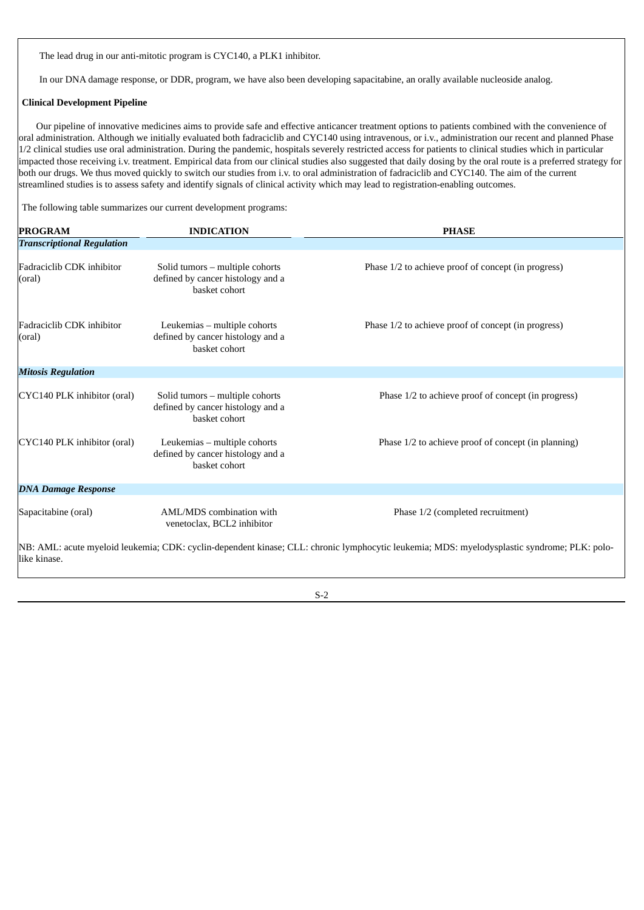The lead drug in our anti-mitotic program is CYC140, a PLK1 inhibitor.

In our DNA damage response, or DDR, program, we have also been developing sapacitabine, an orally available nucleoside analog.

### **Clinical Development Pipeline**

Our pipeline of innovative medicines aims to provide safe and effective anticancer treatment options to patients combined with the convenience of oral administration. Although we initially evaluated both fadraciclib and CYC140 using intravenous, or i.v., administration our recent and planned Phase 1/2 clinical studies use oral administration. During the pandemic, hospitals severely restricted access for patients to clinical studies which in particular impacted those receiving i.v. treatment. Empirical data from our clinical studies also suggested that daily dosing by the oral route is a preferred strategy for both our drugs. We thus moved quickly to switch our studies from i.v. to oral administration of fadraciclib and CYC140. The aim of the current streamlined studies is to assess safety and identify signals of clinical activity which may lead to registration-enabling outcomes.

The following table summarizes our current development programs:

| <b>PROGRAM</b>                                                                                                                                                | <b>INDICATION</b>                                                                     | <b>PHASE</b>                                        |  |  |
|---------------------------------------------------------------------------------------------------------------------------------------------------------------|---------------------------------------------------------------------------------------|-----------------------------------------------------|--|--|
| <b>Transcriptional Regulation</b>                                                                                                                             |                                                                                       |                                                     |  |  |
| Fadraciclib CDK inhibitor<br>(oral)                                                                                                                           | Solid tumors - multiple cohorts<br>defined by cancer histology and a<br>basket cohort | Phase 1/2 to achieve proof of concept (in progress) |  |  |
| Fadraciclib CDK inhibitor<br>(oral)                                                                                                                           | Leukemias - multiple cohorts<br>defined by cancer histology and a<br>basket cohort    | Phase 1/2 to achieve proof of concept (in progress) |  |  |
| <b>Mitosis Regulation</b>                                                                                                                                     |                                                                                       |                                                     |  |  |
| CYC140 PLK inhibitor (oral)                                                                                                                                   | Solid tumors - multiple cohorts<br>defined by cancer histology and a<br>basket cohort | Phase 1/2 to achieve proof of concept (in progress) |  |  |
| CYC140 PLK inhibitor (oral)                                                                                                                                   | Leukemias - multiple cohorts<br>defined by cancer histology and a<br>basket cohort    | Phase 1/2 to achieve proof of concept (in planning) |  |  |
| <b>DNA Damage Response</b>                                                                                                                                    |                                                                                       |                                                     |  |  |
| Sapacitabine (oral)                                                                                                                                           | AML/MDS combination with<br>venetoclax, BCL2 inhibitor                                | Phase 1/2 (completed recruitment)                   |  |  |
| [NB: AML: acute myeloid leukemia; CDK: cyclin-dependent kinase; CLL: chronic lymphocytic leukemia; MDS: myelodysplastic syndrome; PLK: polo-<br>llike kinase. |                                                                                       |                                                     |  |  |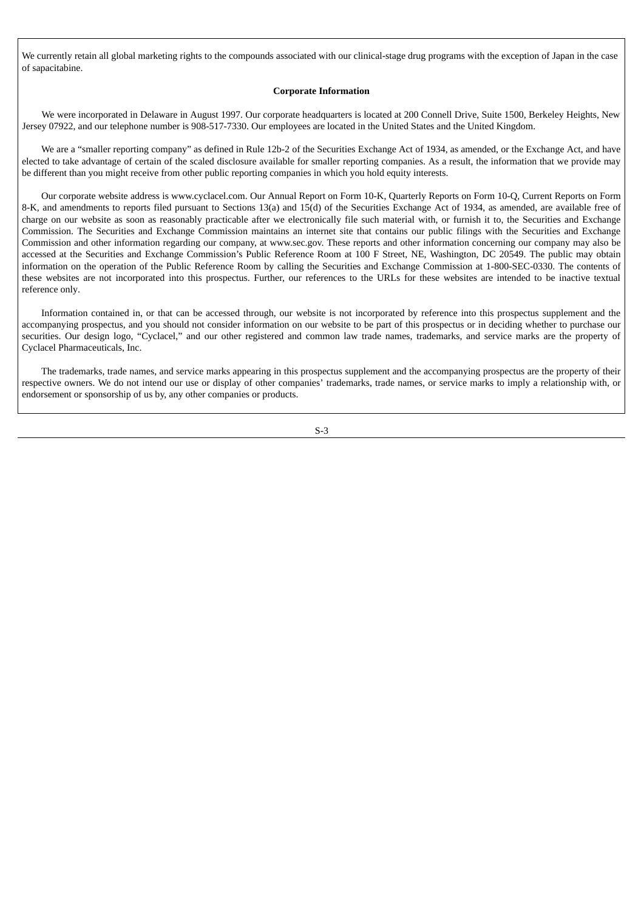We currently retain all global marketing rights to the compounds associated with our clinical-stage drug programs with the exception of Japan in the case of sapacitabine.

#### **Corporate Information**

We were incorporated in Delaware in August 1997. Our corporate headquarters is located at 200 Connell Drive, Suite 1500, Berkeley Heights, New Jersey 07922, and our telephone number is 908-517-7330. Our employees are located in the United States and the United Kingdom.

We are a "smaller reporting company" as defined in Rule 12b-2 of the Securities Exchange Act of 1934, as amended, or the Exchange Act, and have elected to take advantage of certain of the scaled disclosure available for smaller reporting companies. As a result, the information that we provide may be different than you might receive from other public reporting companies in which you hold equity interests.

Our corporate website address is www.cyclacel.com. Our Annual Report on Form 10-K, Quarterly Reports on Form 10-Q, Current Reports on Form 8-K, and amendments to reports filed pursuant to Sections 13(a) and 15(d) of the Securities Exchange Act of 1934, as amended, are available free of charge on our website as soon as reasonably practicable after we electronically file such material with, or furnish it to, the Securities and Exchange Commission. The Securities and Exchange Commission maintains an internet site that contains our public filings with the Securities and Exchange Commission and other information regarding our company, at www.sec.gov. These reports and other information concerning our company may also be accessed at the Securities and Exchange Commission's Public Reference Room at 100 F Street, NE, Washington, DC 20549. The public may obtain information on the operation of the Public Reference Room by calling the Securities and Exchange Commission at 1-800-SEC-0330. The contents of these websites are not incorporated into this prospectus. Further, our references to the URLs for these websites are intended to be inactive textual reference only.

Information contained in, or that can be accessed through, our website is not incorporated by reference into this prospectus supplement and the accompanying prospectus, and you should not consider information on our website to be part of this prospectus or in deciding whether to purchase our securities. Our design logo, "Cyclacel," and our other registered and common law trade names, trademarks, and service marks are the property of Cyclacel Pharmaceuticals, Inc.

The trademarks, trade names, and service marks appearing in this prospectus supplement and the accompanying prospectus are the property of their respective owners. We do not intend our use or display of other companies' trademarks, trade names, or service marks to imply a relationship with, or endorsement or sponsorship of us by, any other companies or products.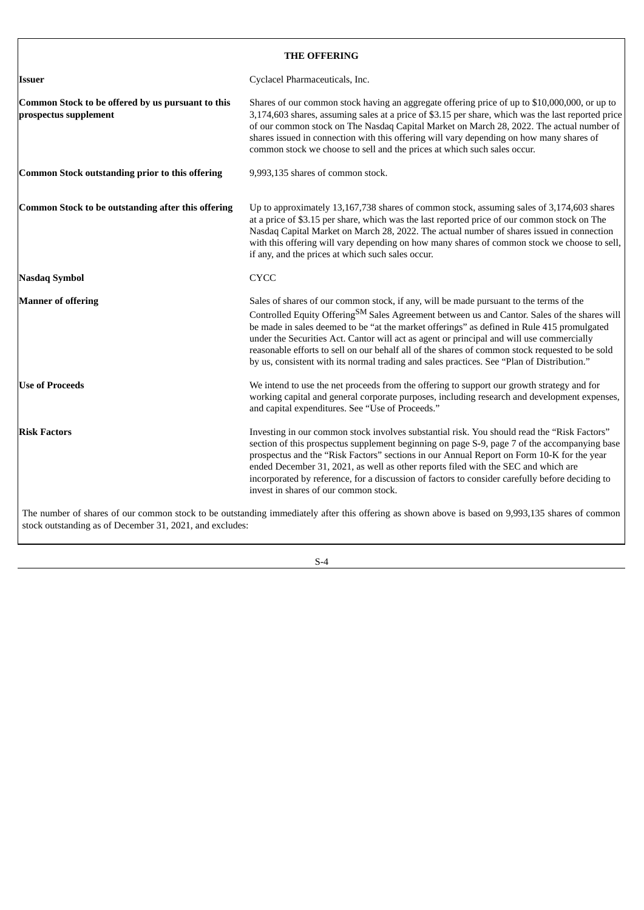# **THE OFFERING**

<span id="page-6-0"></span>

| Issuer                                                                     | Cyclacel Pharmaceuticals, Inc.                                                                                                                                                                                                                                                                                                                                                                                                                                                                                                                                                                 |
|----------------------------------------------------------------------------|------------------------------------------------------------------------------------------------------------------------------------------------------------------------------------------------------------------------------------------------------------------------------------------------------------------------------------------------------------------------------------------------------------------------------------------------------------------------------------------------------------------------------------------------------------------------------------------------|
| Common Stock to be offered by us pursuant to this<br>prospectus supplement | Shares of our common stock having an aggregate offering price of up to \$10,000,000, or up to<br>3,174,603 shares, assuming sales at a price of \$3.15 per share, which was the last reported price<br>of our common stock on The Nasdaq Capital Market on March 28, 2022. The actual number of<br>shares issued in connection with this offering will vary depending on how many shares of<br>common stock we choose to sell and the prices at which such sales occur.                                                                                                                        |
| Common Stock outstanding prior to this offering                            | 9,993,135 shares of common stock.                                                                                                                                                                                                                                                                                                                                                                                                                                                                                                                                                              |
| Common Stock to be outstanding after this offering                         | Up to approximately 13,167,738 shares of common stock, assuming sales of 3,174,603 shares<br>at a price of \$3.15 per share, which was the last reported price of our common stock on The<br>Nasdaq Capital Market on March 28, 2022. The actual number of shares issued in connection<br>with this offering will vary depending on how many shares of common stock we choose to sell,<br>if any, and the prices at which such sales occur.                                                                                                                                                    |
| Nasdaq Symbol                                                              | <b>CYCC</b>                                                                                                                                                                                                                                                                                                                                                                                                                                                                                                                                                                                    |
| <b>Manner of offering</b>                                                  | Sales of shares of our common stock, if any, will be made pursuant to the terms of the<br>Controlled Equity Offering <sup>SM</sup> Sales Agreement between us and Cantor. Sales of the shares will<br>be made in sales deemed to be "at the market offerings" as defined in Rule 415 promulgated<br>under the Securities Act. Cantor will act as agent or principal and will use commercially<br>reasonable efforts to sell on our behalf all of the shares of common stock requested to be sold<br>by us, consistent with its normal trading and sales practices. See "Plan of Distribution." |
| <b>Use of Proceeds</b>                                                     | We intend to use the net proceeds from the offering to support our growth strategy and for<br>working capital and general corporate purposes, including research and development expenses,<br>and capital expenditures. See "Use of Proceeds."                                                                                                                                                                                                                                                                                                                                                 |
| <b>Risk Factors</b>                                                        | Investing in our common stock involves substantial risk. You should read the "Risk Factors"<br>section of this prospectus supplement beginning on page S-9, page 7 of the accompanying base<br>prospectus and the "Risk Factors" sections in our Annual Report on Form 10-K for the year<br>ended December 31, 2021, as well as other reports filed with the SEC and which are<br>incorporated by reference, for a discussion of factors to consider carefully before deciding to<br>invest in shares of our common stock.                                                                     |
| stock outstanding as of December 31, 2021, and excludes:                   | The number of shares of our common stock to be outstanding immediately after this offering as shown above is based on 9,993,135 shares of common                                                                                                                                                                                                                                                                                                                                                                                                                                               |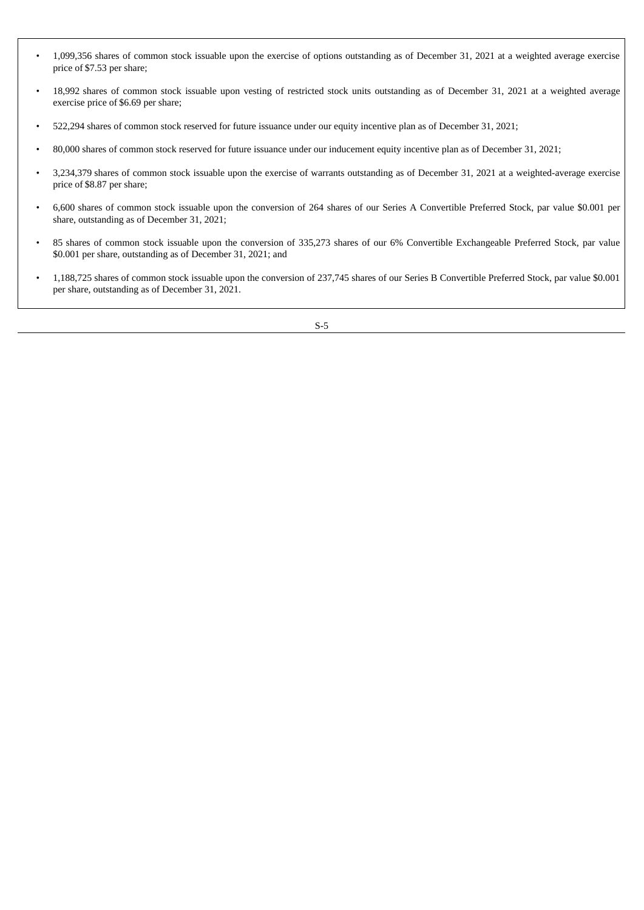- 1,099,356 shares of common stock issuable upon the exercise of options outstanding as of December 31, 2021 at a weighted average exercise price of \$7.53 per share;
- 18,992 shares of common stock issuable upon vesting of restricted stock units outstanding as of December 31, 2021 at a weighted average exercise price of \$6.69 per share;
- 522,294 shares of common stock reserved for future issuance under our equity incentive plan as of December 31, 2021;
- 80,000 shares of common stock reserved for future issuance under our inducement equity incentive plan as of December 31, 2021;
- 3,234,379 shares of common stock issuable upon the exercise of warrants outstanding as of December 31, 2021 at a weighted-average exercise price of \$8.87 per share;
- 6,600 shares of common stock issuable upon the conversion of 264 shares of our Series A Convertible Preferred Stock, par value \$0.001 per share, outstanding as of December 31, 2021;
- 85 shares of common stock issuable upon the conversion of 335,273 shares of our 6% Convertible Exchangeable Preferred Stock, par value \$0.001 per share, outstanding as of December 31, 2021; and
- 1,188,725 shares of common stock issuable upon the conversion of 237,745 shares of our Series B Convertible Preferred Stock, par value \$0.001 per share, outstanding as of December 31, 2021.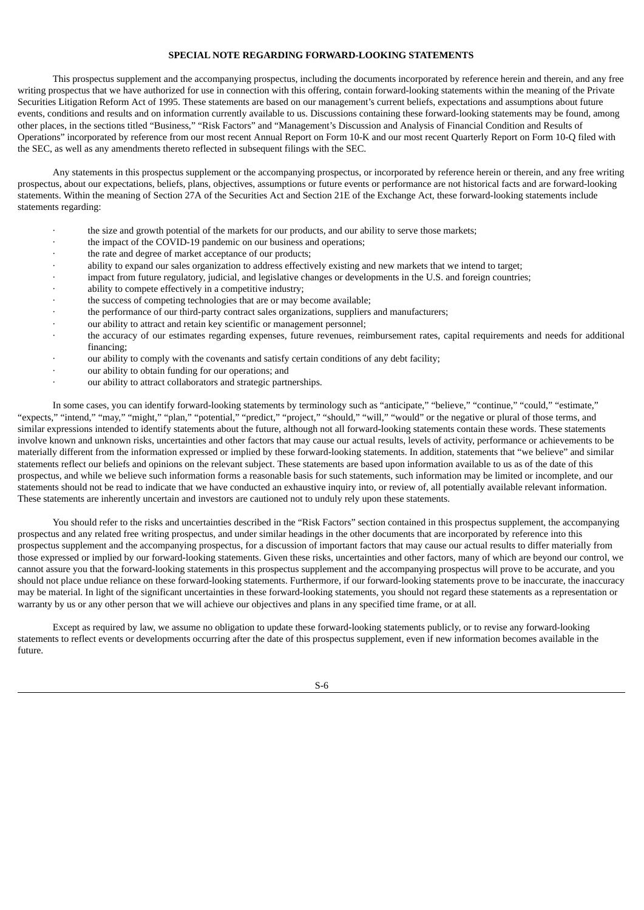### **SPECIAL NOTE REGARDING FORWARD-LOOKING STATEMENTS**

<span id="page-8-0"></span>This prospectus supplement and the accompanying prospectus, including the documents incorporated by reference herein and therein, and any free writing prospectus that we have authorized for use in connection with this offering, contain forward-looking statements within the meaning of the Private Securities Litigation Reform Act of 1995. These statements are based on our management's current beliefs, expectations and assumptions about future events, conditions and results and on information currently available to us. Discussions containing these forward-looking statements may be found, among other places, in the sections titled "Business," "Risk Factors" and "Management's Discussion and Analysis of Financial Condition and Results of Operations" incorporated by reference from our most recent Annual Report on Form 10-K and our most recent Quarterly Report on Form 10-Q filed with the SEC, as well as any amendments thereto reflected in subsequent filings with the SEC.

Any statements in this prospectus supplement or the accompanying prospectus, or incorporated by reference herein or therein, and any free writing prospectus, about our expectations, beliefs, plans, objectives, assumptions or future events or performance are not historical facts and are forward-looking statements. Within the meaning of Section 27A of the Securities Act and Section 21E of the Exchange Act, these forward-looking statements include statements regarding:

- the size and growth potential of the markets for our products, and our ability to serve those markets;
- the impact of the COVID-19 pandemic on our business and operations;
- the rate and degree of market acceptance of our products;
- · ability to expand our sales organization to address effectively existing and new markets that we intend to target;
- impact from future regulatory, judicial, and legislative changes or developments in the U.S. and foreign countries;
- ability to compete effectively in a competitive industry;
- · the success of competing technologies that are or may become available;
- the performance of our third-party contract sales organizations, suppliers and manufacturers;
- our ability to attract and retain key scientific or management personnel;
- the accuracy of our estimates regarding expenses, future revenues, reimbursement rates, capital requirements and needs for additional financing;
- our ability to comply with the covenants and satisfy certain conditions of any debt facility;
- our ability to obtain funding for our operations; and
- our ability to attract collaborators and strategic partnerships.

In some cases, you can identify forward-looking statements by terminology such as "anticipate," "believe," "continue," "could," "estimate," "expects," "intend," "may," "might," "plan," "potential," "predict," "project," "should," "will," "would" or the negative or plural of those terms, and similar expressions intended to identify statements about the future, although not all forward-looking statements contain these words. These statements involve known and unknown risks, uncertainties and other factors that may cause our actual results, levels of activity, performance or achievements to be materially different from the information expressed or implied by these forward-looking statements. In addition, statements that "we believe" and similar statements reflect our beliefs and opinions on the relevant subject. These statements are based upon information available to us as of the date of this prospectus, and while we believe such information forms a reasonable basis for such statements, such information may be limited or incomplete, and our statements should not be read to indicate that we have conducted an exhaustive inquiry into, or review of, all potentially available relevant information. These statements are inherently uncertain and investors are cautioned not to unduly rely upon these statements.

You should refer to the risks and uncertainties described in the "Risk Factors" section contained in this prospectus supplement, the accompanying prospectus and any related free writing prospectus, and under similar headings in the other documents that are incorporated by reference into this prospectus supplement and the accompanying prospectus, for a discussion of important factors that may cause our actual results to differ materially from those expressed or implied by our forward-looking statements. Given these risks, uncertainties and other factors, many of which are beyond our control, we cannot assure you that the forward-looking statements in this prospectus supplement and the accompanying prospectus will prove to be accurate, and you should not place undue reliance on these forward-looking statements. Furthermore, if our forward-looking statements prove to be inaccurate, the inaccuracy may be material. In light of the significant uncertainties in these forward-looking statements, you should not regard these statements as a representation or warranty by us or any other person that we will achieve our objectives and plans in any specified time frame, or at all.

Except as required by law, we assume no obligation to update these forward-looking statements publicly, or to revise any forward-looking statements to reflect events or developments occurring after the date of this prospectus supplement, even if new information becomes available in the future.

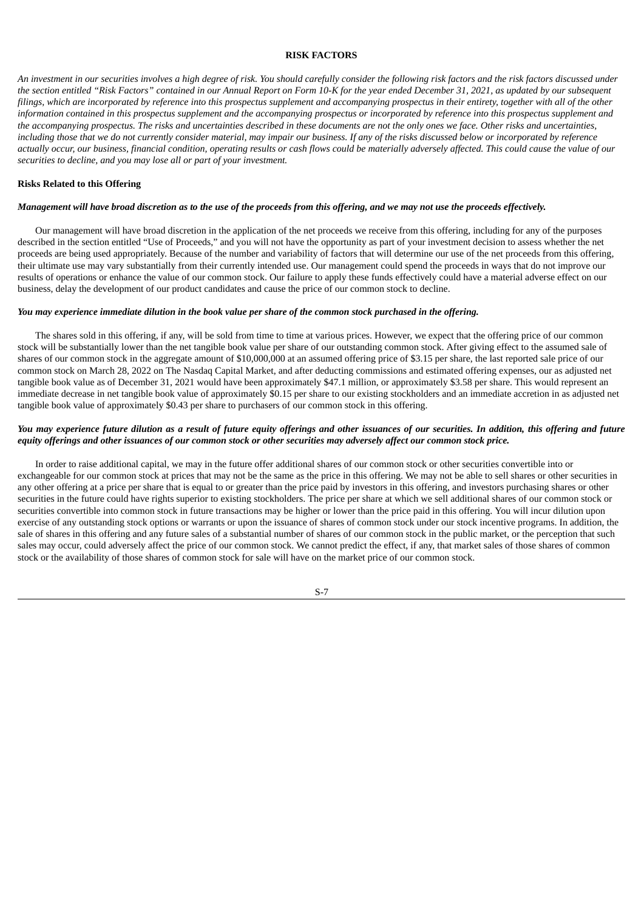#### **RISK FACTORS**

<span id="page-9-0"></span>An investment in our securities involves a high degree of risk. You should carefully consider the following risk factors and the risk factors discussed under the section entitled "Risk Factors" contained in our Annual Report on Form 10-K for the year ended December 31, 2021, as updated by our subsequent filings, which are incorporated by reference into this prospectus supplement and accompanying prospectus in their entirety, together with all of the other information contained in this prospectus supplement and the accompanying prospectus or incorporated by reference into this prospectus supplement and the accompanying prospectus. The risks and uncertainties described in these documents are not the only ones we face. Other risks and uncertainties. including those that we do not currently consider material, may impair our business. If any of the risks discussed below or incorporated by reference actually occur, our business, financial condition, operating results or cash flows could be materially adversely affected. This could cause the value of our *securities to decline, and you may lose all or part of your investment.*

### **Risks Related to this Offering**

#### Management will have broad discretion as to the use of the proceeds from this offering, and we may not use the proceeds effectively.

Our management will have broad discretion in the application of the net proceeds we receive from this offering, including for any of the purposes described in the section entitled "Use of Proceeds," and you will not have the opportunity as part of your investment decision to assess whether the net proceeds are being used appropriately. Because of the number and variability of factors that will determine our use of the net proceeds from this offering, their ultimate use may vary substantially from their currently intended use. Our management could spend the proceeds in ways that do not improve our results of operations or enhance the value of our common stock. Our failure to apply these funds effectively could have a material adverse effect on our business, delay the development of our product candidates and cause the price of our common stock to decline.

#### You may experience immediate dilution in the book value per share of the common stock purchased in the offering.

The shares sold in this offering, if any, will be sold from time to time at various prices. However, we expect that the offering price of our common stock will be substantially lower than the net tangible book value per share of our outstanding common stock. After giving effect to the assumed sale of shares of our common stock in the aggregate amount of \$10,000,000 at an assumed offering price of \$3.15 per share, the last reported sale price of our common stock on March 28, 2022 on The Nasdaq Capital Market, and after deducting commissions and estimated offering expenses, our as adjusted net tangible book value as of December 31, 2021 would have been approximately \$47.1 million, or approximately \$3.58 per share. This would represent an immediate decrease in net tangible book value of approximately \$0.15 per share to our existing stockholders and an immediate accretion in as adjusted net tangible book value of approximately \$0.43 per share to purchasers of our common stock in this offering.

### You may experience future dilution as a result of future equity offerings and other issuances of our securities. In addition, this offering and future equity offerings and other issuances of our common stock or other securities may adversely affect our common stock price.

In order to raise additional capital, we may in the future offer additional shares of our common stock or other securities convertible into or exchangeable for our common stock at prices that may not be the same as the price in this offering. We may not be able to sell shares or other securities in any other offering at a price per share that is equal to or greater than the price paid by investors in this offering, and investors purchasing shares or other securities in the future could have rights superior to existing stockholders. The price per share at which we sell additional shares of our common stock or securities convertible into common stock in future transactions may be higher or lower than the price paid in this offering. You will incur dilution upon exercise of any outstanding stock options or warrants or upon the issuance of shares of common stock under our stock incentive programs. In addition, the sale of shares in this offering and any future sales of a substantial number of shares of our common stock in the public market, or the perception that such sales may occur, could adversely affect the price of our common stock. We cannot predict the effect, if any, that market sales of those shares of common stock or the availability of those shares of common stock for sale will have on the market price of our common stock.

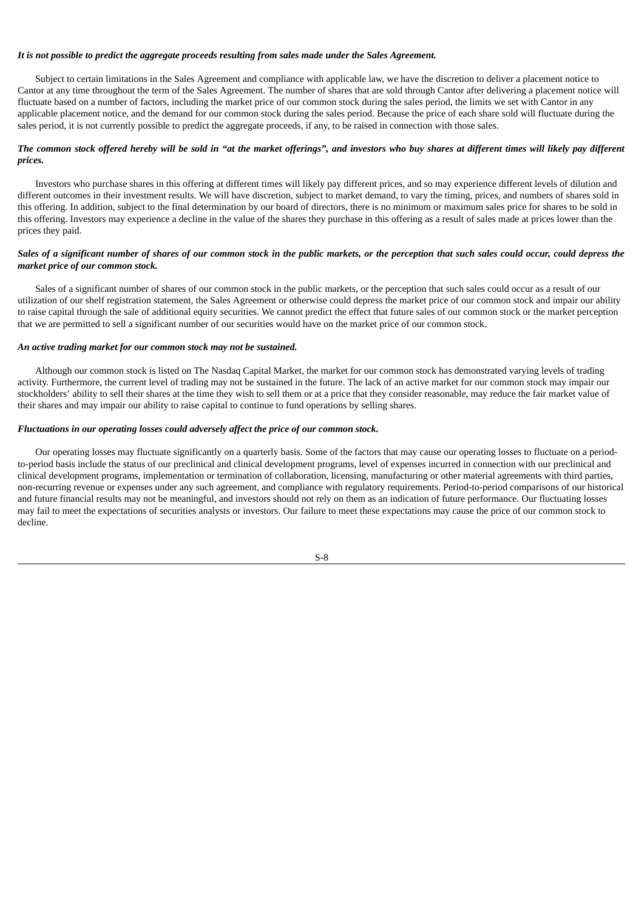### *It is not possible to predict the aggregate proceeds resulting from sales made under the Sales Agreement.*

Subject to certain limitations in the Sales Agreement and compliance with applicable law, we have the discretion to deliver a placement notice to Cantor at any time throughout the term of the Sales Agreement. The number of shares that are sold through Cantor after delivering a placement notice will fluctuate based on a number of factors, including the market price of our common stock during the sales period, the limits we set with Cantor in any applicable placement notice, and the demand for our common stock during the sales period. Because the price of each share sold will fluctuate during the sales period, it is not currently possible to predict the aggregate proceeds, if any, to be raised in connection with those sales.

### The common stock offered hereby will be sold in "at the market offerings", and investors who buy shares at different times will likely pay different *prices.*

Investors who purchase shares in this offering at different times will likely pay different prices, and so may experience different levels of dilution and different outcomes in their investment results. We will have discretion, subject to market demand, to vary the timing, prices, and numbers of shares sold in this offering. In addition, subject to the final determination by our board of directors, there is no minimum or maximum sales price for shares to be sold in this offering. Investors may experience a decline in the value of the shares they purchase in this offering as a result of sales made at prices lower than the prices they paid.

### Sales of a significant number of shares of our common stock in the public markets, or the perception that such sales could occur, could depress the *market price of our common stock.*

Sales of a significant number of shares of our common stock in the public markets, or the perception that such sales could occur as a result of our utilization of our shelf registration statement, the Sales Agreement or otherwise could depress the market price of our common stock and impair our ability to raise capital through the sale of additional equity securities. We cannot predict the effect that future sales of our common stock or the market perception that we are permitted to sell a significant number of our securities would have on the market price of our common stock.

### *An active trading market for our common stock may not be sustained.*

Although our common stock is listed on The Nasdaq Capital Market, the market for our common stock has demonstrated varying levels of trading activity. Furthermore, the current level of trading may not be sustained in the future. The lack of an active market for our common stock may impair our stockholders' ability to sell their shares at the time they wish to sell them or at a price that they consider reasonable, may reduce the fair market value of their shares and may impair our ability to raise capital to continue to fund operations by selling shares.

### *Fluctuations in our operating losses could adversely affect the price of our common stock.*

Our operating losses may fluctuate significantly on a quarterly basis. Some of the factors that may cause our operating losses to fluctuate on a periodto-period basis include the status of our preclinical and clinical development programs, level of expenses incurred in connection with our preclinical and clinical development programs, implementation or termination of collaboration, licensing, manufacturing or other material agreements with third parties, non-recurring revenue or expenses under any such agreement, and compliance with regulatory requirements. Period-to-period comparisons of our historical and future financial results may not be meaningful, and investors should not rely on them as an indication of future performance. Our fluctuating losses may fail to meet the expectations of securities analysts or investors. Our failure to meet these expectations may cause the price of our common stock to decline.

$$
S-8
$$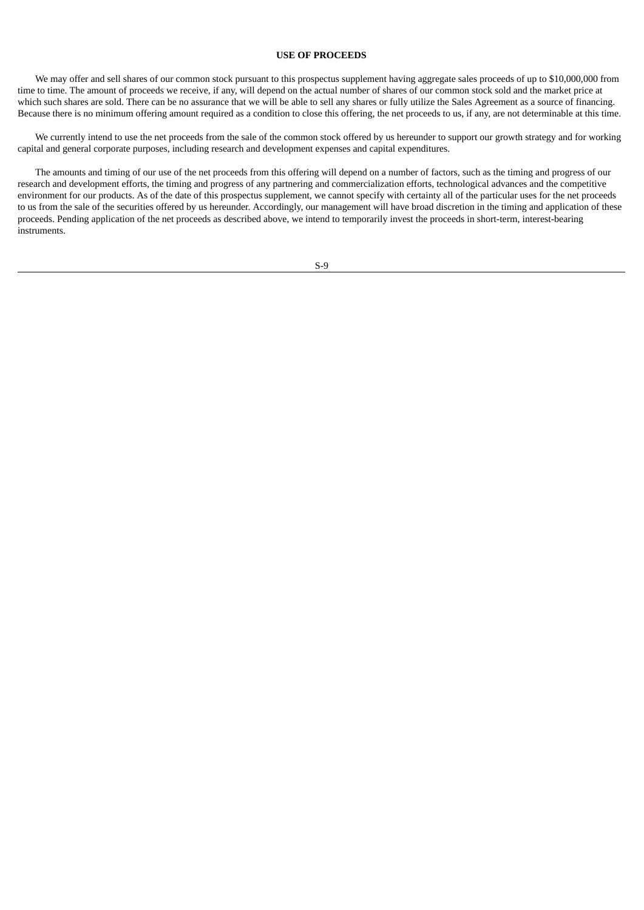### **USE OF PROCEEDS**

<span id="page-11-0"></span>We may offer and sell shares of our common stock pursuant to this prospectus supplement having aggregate sales proceeds of up to \$10,000,000 from time to time. The amount of proceeds we receive, if any, will depend on the actual number of shares of our common stock sold and the market price at which such shares are sold. There can be no assurance that we will be able to sell any shares or fully utilize the Sales Agreement as a source of financing. Because there is no minimum offering amount required as a condition to close this offering, the net proceeds to us, if any, are not determinable at this time.

We currently intend to use the net proceeds from the sale of the common stock offered by us hereunder to support our growth strategy and for working capital and general corporate purposes, including research and development expenses and capital expenditures.

The amounts and timing of our use of the net proceeds from this offering will depend on a number of factors, such as the timing and progress of our research and development efforts, the timing and progress of any partnering and commercialization efforts, technological advances and the competitive environment for our products. As of the date of this prospectus supplement, we cannot specify with certainty all of the particular uses for the net proceeds to us from the sale of the securities offered by us hereunder. Accordingly, our management will have broad discretion in the timing and application of these proceeds. Pending application of the net proceeds as described above, we intend to temporarily invest the proceeds in short-term, interest-bearing instruments.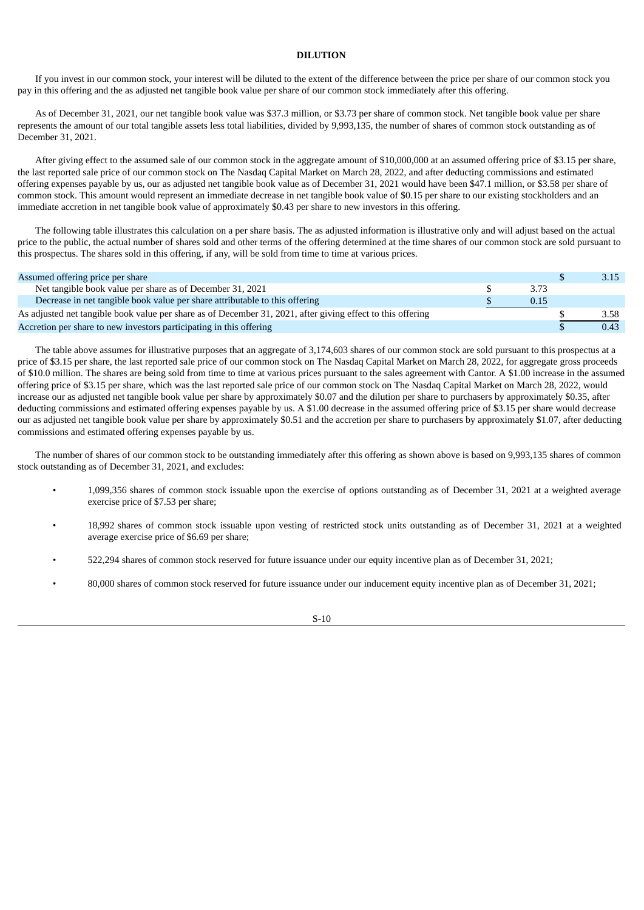# **DILUTION**

<span id="page-12-0"></span>If you invest in our common stock, your interest will be diluted to the extent of the difference between the price per share of our common stock you pay in this offering and the as adjusted net tangible book value per share of our common stock immediately after this offering.

As of December 31, 2021, our net tangible book value was \$37.3 million, or \$3.73 per share of common stock. Net tangible book value per share represents the amount of our total tangible assets less total liabilities, divided by 9,993,135, the number of shares of common stock outstanding as of December 31, 2021.

After giving effect to the assumed sale of our common stock in the aggregate amount of \$10,000,000 at an assumed offering price of \$3.15 per share, the last reported sale price of our common stock on The Nasdaq Capital Market on March 28, 2022, and after deducting commissions and estimated offering expenses payable by us, our as adjusted net tangible book value as of December 31, 2021 would have been \$47.1 million, or \$3.58 per share of common stock. This amount would represent an immediate decrease in net tangible book value of \$0.15 per share to our existing stockholders and an immediate accretion in net tangible book value of approximately \$0.43 per share to new investors in this offering.

The following table illustrates this calculation on a per share basis. The as adjusted information is illustrative only and will adjust based on the actual price to the public, the actual number of shares sold and other terms of the offering determined at the time shares of our common stock are sold pursuant to this prospectus. The shares sold in this offering, if any, will be sold from time to time at various prices.

| Assumed offering price per share                                                                            |      |      |
|-------------------------------------------------------------------------------------------------------------|------|------|
| Net tangible book value per share as of December 31, 2021                                                   | 3.73 |      |
| Decrease in net tangible book value per share attributable to this offering                                 | 0.15 |      |
| As adjusted net tangible book value per share as of December 31, 2021, after giving effect to this offering |      | 3.58 |
| Accretion per share to new investors participating in this offering                                         |      | 0.43 |

The table above assumes for illustrative purposes that an aggregate of 3,174,603 shares of our common stock are sold pursuant to this prospectus at a price of \$3.15 per share, the last reported sale price of our common stock on The Nasdaq Capital Market on March 28, 2022, for aggregate gross proceeds of \$10.0 million. The shares are being sold from time to time at various prices pursuant to the sales agreement with Cantor. A \$1.00 increase in the assumed offering price of \$3.15 per share, which was the last reported sale price of our common stock on The Nasdaq Capital Market on March 28, 2022, would increase our as adjusted net tangible book value per share by approximately \$0.07 and the dilution per share to purchasers by approximately \$0.35, after deducting commissions and estimated offering expenses payable by us. A \$1.00 decrease in the assumed offering price of \$3.15 per share would decrease our as adjusted net tangible book value per share by approximately \$0.51 and the accretion per share to purchasers by approximately \$1.07, after deducting commissions and estimated offering expenses payable by us.

The number of shares of our common stock to be outstanding immediately after this offering as shown above is based on 9,993,135 shares of common stock outstanding as of December 31, 2021, and excludes:

- 1,099,356 shares of common stock issuable upon the exercise of options outstanding as of December 31, 2021 at a weighted average exercise price of \$7.53 per share;
- 18,992 shares of common stock issuable upon vesting of restricted stock units outstanding as of December 31, 2021 at a weighted average exercise price of \$6.69 per share;
- 522,294 shares of common stock reserved for future issuance under our equity incentive plan as of December 31, 2021;
- 80,000 shares of common stock reserved for future issuance under our inducement equity incentive plan as of December 31, 2021;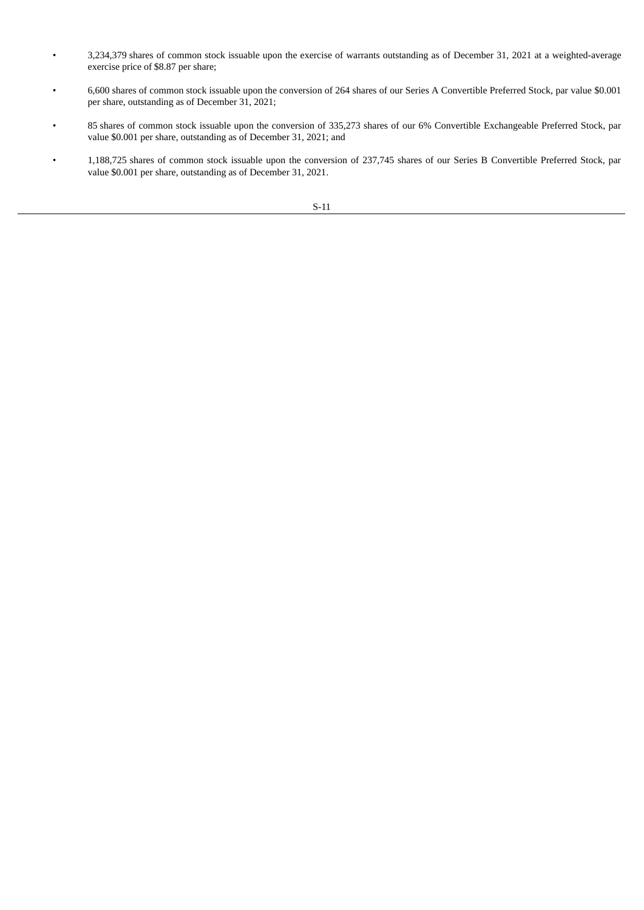- 3,234,379 shares of common stock issuable upon the exercise of warrants outstanding as of December 31, 2021 at a weighted-average exercise price of \$8.87 per share;
- 6,600 shares of common stock issuable upon the conversion of 264 shares of our Series A Convertible Preferred Stock, par value \$0.001 per share, outstanding as of December 31, 2021;
- 85 shares of common stock issuable upon the conversion of 335,273 shares of our 6% Convertible Exchangeable Preferred Stock, par value \$0.001 per share, outstanding as of December 31, 2021; and
- 1,188,725 shares of common stock issuable upon the conversion of 237,745 shares of our Series B Convertible Preferred Stock, par value \$0.001 per share, outstanding as of December 31, 2021.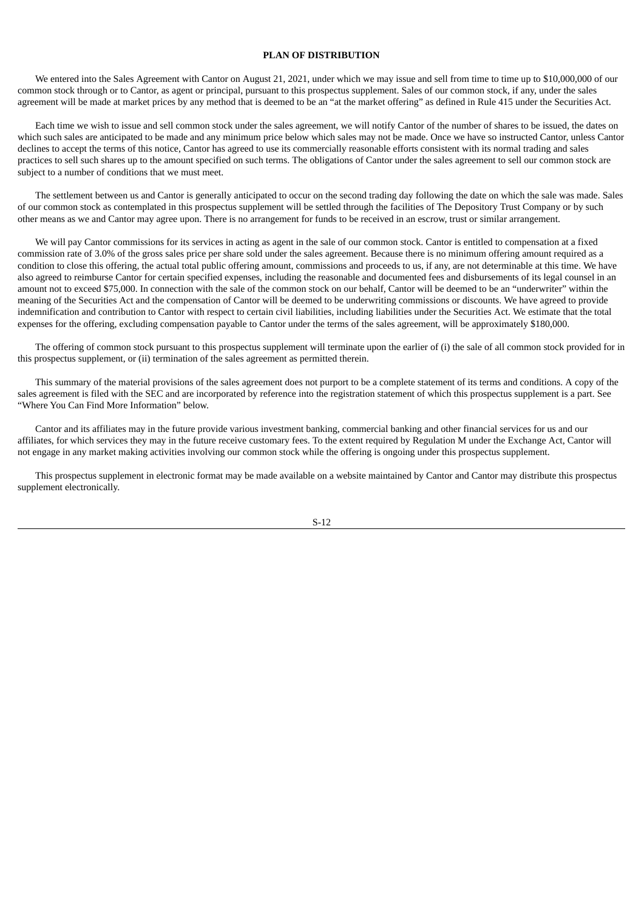### **PLAN OF DISTRIBUTION**

<span id="page-14-0"></span>We entered into the Sales Agreement with Cantor on August 21, 2021, under which we may issue and sell from time to time up to \$10,000,000 of our common stock through or to Cantor, as agent or principal, pursuant to this prospectus supplement. Sales of our common stock, if any, under the sales agreement will be made at market prices by any method that is deemed to be an "at the market offering" as defined in Rule 415 under the Securities Act.

Each time we wish to issue and sell common stock under the sales agreement, we will notify Cantor of the number of shares to be issued, the dates on which such sales are anticipated to be made and any minimum price below which sales may not be made. Once we have so instructed Cantor, unless Cantor declines to accept the terms of this notice, Cantor has agreed to use its commercially reasonable efforts consistent with its normal trading and sales practices to sell such shares up to the amount specified on such terms. The obligations of Cantor under the sales agreement to sell our common stock are subject to a number of conditions that we must meet.

The settlement between us and Cantor is generally anticipated to occur on the second trading day following the date on which the sale was made. Sales of our common stock as contemplated in this prospectus supplement will be settled through the facilities of The Depository Trust Company or by such other means as we and Cantor may agree upon. There is no arrangement for funds to be received in an escrow, trust or similar arrangement.

We will pay Cantor commissions for its services in acting as agent in the sale of our common stock. Cantor is entitled to compensation at a fixed commission rate of 3.0% of the gross sales price per share sold under the sales agreement. Because there is no minimum offering amount required as a condition to close this offering, the actual total public offering amount, commissions and proceeds to us, if any, are not determinable at this time. We have also agreed to reimburse Cantor for certain specified expenses, including the reasonable and documented fees and disbursements of its legal counsel in an amount not to exceed \$75,000. In connection with the sale of the common stock on our behalf, Cantor will be deemed to be an "underwriter" within the meaning of the Securities Act and the compensation of Cantor will be deemed to be underwriting commissions or discounts. We have agreed to provide indemnification and contribution to Cantor with respect to certain civil liabilities, including liabilities under the Securities Act. We estimate that the total expenses for the offering, excluding compensation payable to Cantor under the terms of the sales agreement, will be approximately \$180,000.

The offering of common stock pursuant to this prospectus supplement will terminate upon the earlier of (i) the sale of all common stock provided for in this prospectus supplement, or (ii) termination of the sales agreement as permitted therein.

This summary of the material provisions of the sales agreement does not purport to be a complete statement of its terms and conditions. A copy of the sales agreement is filed with the SEC and are incorporated by reference into the registration statement of which this prospectus supplement is a part. See "Where You Can Find More Information" below.

Cantor and its affiliates may in the future provide various investment banking, commercial banking and other financial services for us and our affiliates, for which services they may in the future receive customary fees. To the extent required by Regulation M under the Exchange Act, Cantor will not engage in any market making activities involving our common stock while the offering is ongoing under this prospectus supplement.

This prospectus supplement in electronic format may be made available on a website maintained by Cantor and Cantor may distribute this prospectus supplement electronically.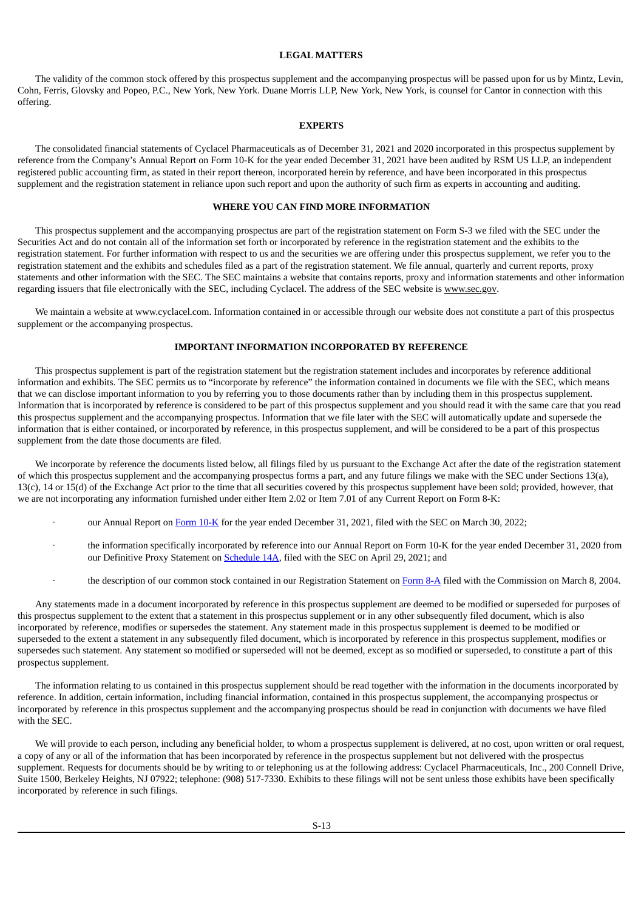## **LEGAL MATTERS**

<span id="page-15-0"></span>The validity of the common stock offered by this prospectus supplement and the accompanying prospectus will be passed upon for us by Mintz, Levin, Cohn, Ferris, Glovsky and Popeo, P.C., New York, New York. Duane Morris LLP, New York, New York, is counsel for Cantor in connection with this offering.

### **EXPERTS**

<span id="page-15-1"></span>The consolidated financial statements of Cyclacel Pharmaceuticals as of December 31, 2021 and 2020 incorporated in this prospectus supplement by reference from the Company's Annual Report on Form 10-K for the year ended December 31, 2021 have been audited by RSM US LLP, an independent registered public accounting firm, as stated in their report thereon, incorporated herein by reference, and have been incorporated in this prospectus supplement and the registration statement in reliance upon such report and upon the authority of such firm as experts in accounting and auditing.

## **WHERE YOU CAN FIND MORE INFORMATION**

<span id="page-15-2"></span>This prospectus supplement and the accompanying prospectus are part of the registration statement on Form S-3 we filed with the SEC under the Securities Act and do not contain all of the information set forth or incorporated by reference in the registration statement and the exhibits to the registration statement. For further information with respect to us and the securities we are offering under this prospectus supplement, we refer you to the registration statement and the exhibits and schedules filed as a part of the registration statement. We file annual, quarterly and current reports, proxy statements and other information with the SEC. The SEC maintains a website that contains reports, proxy and information statements and other information regarding issuers that file electronically with the SEC, including Cyclacel. The address of the SEC website is www.sec.gov.

We maintain a website at www.cyclacel.com. Information contained in or accessible through our website does not constitute a part of this prospectus supplement or the accompanying prospectus.

## **IMPORTANT INFORMATION INCORPORATED BY REFERENCE**

<span id="page-15-3"></span>This prospectus supplement is part of the registration statement but the registration statement includes and incorporates by reference additional information and exhibits. The SEC permits us to "incorporate by reference" the information contained in documents we file with the SEC, which means that we can disclose important information to you by referring you to those documents rather than by including them in this prospectus supplement. Information that is incorporated by reference is considered to be part of this prospectus supplement and you should read it with the same care that you read this prospectus supplement and the accompanying prospectus. Information that we file later with the SEC will automatically update and supersede the information that is either contained, or incorporated by reference, in this prospectus supplement, and will be considered to be a part of this prospectus supplement from the date those documents are filed.

We incorporate by reference the documents listed below, all filings filed by us pursuant to the Exchange Act after the date of the registration statement of which this prospectus supplement and the accompanying prospectus forms a part, and any future filings we make with the SEC under Sections 13(a), 13(c), 14 or 15(d) of the Exchange Act prior to the time that all securities covered by this prospectus supplement have been sold; provided, however, that we are not incorporating any information furnished under either Item 2.02 or Item 7.01 of any Current Report on Form 8-K:

- · our Annual Report on [Form](http://www.sec.gov/ix?doc=/Archives/edgar/data/1130166/000155837022004769/cycc-20211231x10k.htm) 10-K for the year ended December 31, 2021, filed with the SEC on March 30, 2022;
- the information specifically incorporated by reference into our Annual Report on Form 10-K for the year ended December 31, 2020 from our Definitive Proxy Statement on [Schedule](http://www.sec.gov/Archives/edgar/data/1130166/000110465921057542/tm212689d2_defa14a.htm) 14A, filed with the SEC on April 29, 2021; and
- the description of our common stock contained in our Registration Statement on [Form](http://www.sec.gov/Archives/edgar/data/1130166/000119312504035678/d8a12g.htm) 8-A filed with the Commission on March 8, 2004.

Any statements made in a document incorporated by reference in this prospectus supplement are deemed to be modified or superseded for purposes of this prospectus supplement to the extent that a statement in this prospectus supplement or in any other subsequently filed document, which is also incorporated by reference, modifies or supersedes the statement. Any statement made in this prospectus supplement is deemed to be modified or superseded to the extent a statement in any subsequently filed document, which is incorporated by reference in this prospectus supplement, modifies or supersedes such statement. Any statement so modified or superseded will not be deemed, except as so modified or superseded, to constitute a part of this prospectus supplement.

The information relating to us contained in this prospectus supplement should be read together with the information in the documents incorporated by reference. In addition, certain information, including financial information, contained in this prospectus supplement, the accompanying prospectus or incorporated by reference in this prospectus supplement and the accompanying prospectus should be read in conjunction with documents we have filed with the SEC.

We will provide to each person, including any beneficial holder, to whom a prospectus supplement is delivered, at no cost, upon written or oral request, a copy of any or all of the information that has been incorporated by reference in the prospectus supplement but not delivered with the prospectus supplement. Requests for documents should be by writing to or telephoning us at the following address: Cyclacel Pharmaceuticals, Inc., 200 Connell Drive, Suite 1500, Berkeley Heights, NJ 07922; telephone: (908) 517-7330. Exhibits to these filings will not be sent unless those exhibits have been specifically incorporated by reference in such filings.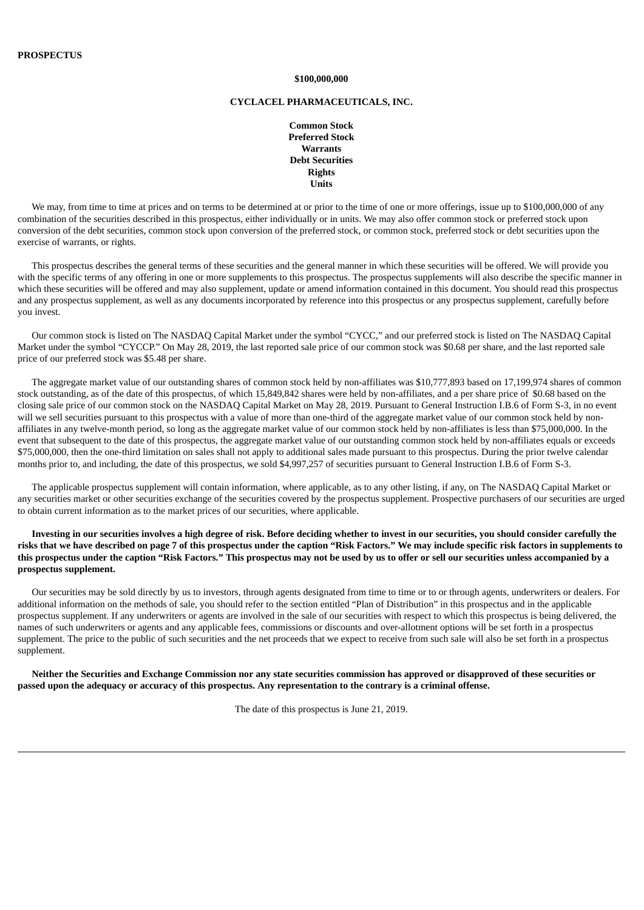#### **\$100,000,000**

#### **CYCLACEL PHARMACEUTICALS, INC.**

**Common Stock Preferred Stock Warrants Debt Securities Rights Units**

We may, from time to time at prices and on terms to be determined at or prior to the time of one or more offerings, issue up to \$100,000,000 of any combination of the securities described in this prospectus, either individually or in units. We may also offer common stock or preferred stock upon conversion of the debt securities, common stock upon conversion of the preferred stock, or common stock, preferred stock or debt securities upon the exercise of warrants, or rights.

This prospectus describes the general terms of these securities and the general manner in which these securities will be offered. We will provide you with the specific terms of any offering in one or more supplements to this prospectus. The prospectus supplements will also describe the specific manner in which these securities will be offered and may also supplement, update or amend information contained in this document. You should read this prospectus and any prospectus supplement, as well as any documents incorporated by reference into this prospectus or any prospectus supplement, carefully before you invest.

Our common stock is listed on The NASDAQ Capital Market under the symbol "CYCC," and our preferred stock is listed on The NASDAQ Capital Market under the symbol "CYCCP." On May 28, 2019, the last reported sale price of our common stock was \$0.68 per share, and the last reported sale price of our preferred stock was \$5.48 per share.

The aggregate market value of our outstanding shares of common stock held by non-affiliates was \$10,777,893 based on 17,199,974 shares of common stock outstanding, as of the date of this prospectus, of which 15,849,842 shares were held by non-affiliates, and a per share price of \$0.68 based on the closing sale price of our common stock on the NASDAQ Capital Market on May 28, 2019. Pursuant to General Instruction I.B.6 of Form S-3, in no event will we sell securities pursuant to this prospectus with a value of more than one-third of the aggregate market value of our common stock held by nonaffiliates in any twelve-month period, so long as the aggregate market value of our common stock held by non-affiliates is less than \$75,000,000. In the event that subsequent to the date of this prospectus, the aggregate market value of our outstanding common stock held by non-affiliates equals or exceeds \$75,000,000, then the one-third limitation on sales shall not apply to additional sales made pursuant to this prospectus. During the prior twelve calendar months prior to, and including, the date of this prospectus, we sold \$4,997,257 of securities pursuant to General Instruction I.B.6 of Form S-3.

The applicable prospectus supplement will contain information, where applicable, as to any other listing, if any, on The NASDAQ Capital Market or any securities market or other securities exchange of the securities covered by the prospectus supplement. Prospective purchasers of our securities are urged to obtain current information as to the market prices of our securities, where applicable.

Investing in our securities involves a high degree of risk. Before deciding whether to invest in our securities, you should consider carefully the risks that we have described on page 7 of this prospectus under the caption "Risk Factors." We may include specific risk factors in supplements to this prospectus under the caption "Risk Factors." This prospectus may not be used by us to offer or sell our securities unless accompanied by a **prospectus supplement.**

Our securities may be sold directly by us to investors, through agents designated from time to time or to or through agents, underwriters or dealers. For additional information on the methods of sale, you should refer to the section entitled "Plan of Distribution" in this prospectus and in the applicable prospectus supplement. If any underwriters or agents are involved in the sale of our securities with respect to which this prospectus is being delivered, the names of such underwriters or agents and any applicable fees, commissions or discounts and over-allotment options will be set forth in a prospectus supplement. The price to the public of such securities and the net proceeds that we expect to receive from such sale will also be set forth in a prospectus supplement.

Neither the Securities and Exchange Commission nor any state securities commission has approved or disapproved of these securities or passed upon the adequacy or accuracy of this prospectus. Any representation to the contrary is a criminal offense.

The date of this prospectus is June 21, 2019.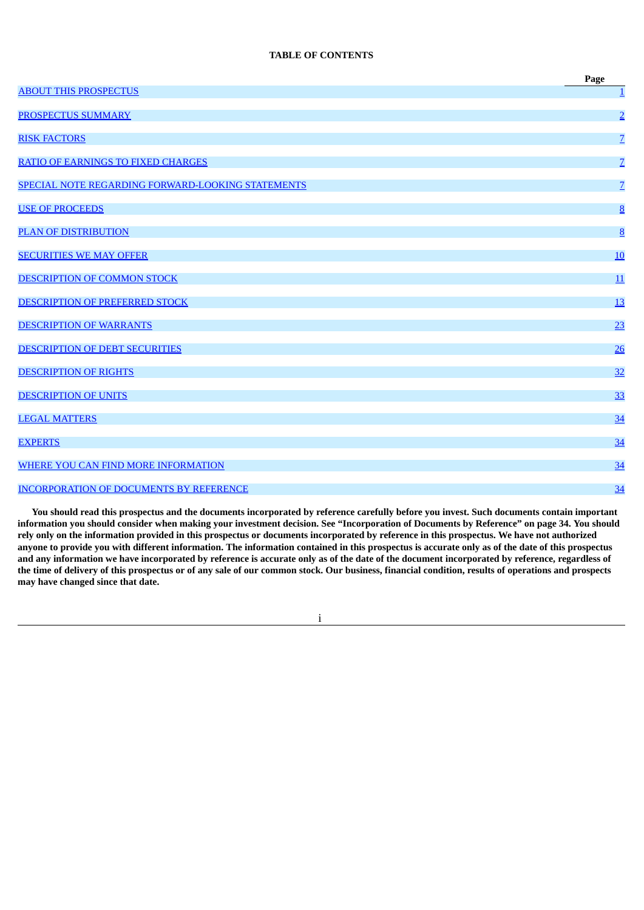# **TABLE OF CONTENTS**

|                                                   | Page            |
|---------------------------------------------------|-----------------|
| <b>ABOUT THIS PROSPECTUS</b>                      | $\mathbf{1}$    |
| PROSPECTUS SUMMARY                                | $\overline{2}$  |
| <b>RISK FACTORS</b>                               | $\overline{Z}$  |
| <b>RATIO OF EARNINGS TO FIXED CHARGES</b>         | $\overline{Z}$  |
| SPECIAL NOTE REGARDING FORWARD-LOOKING STATEMENTS | $\overline{Z}$  |
| <b>USE OF PROCEEDS</b>                            | $\underline{8}$ |
| <b>PLAN OF DISTRIBUTION</b>                       | 8               |
| <b>SECURITIES WE MAY OFFER</b>                    | 10              |
| DESCRIPTION OF COMMON STOCK                       | 11              |
| DESCRIPTION OF PREFERRED STOCK                    | 13              |
| <b>DESCRIPTION OF WARRANTS</b>                    | 23              |
| DESCRIPTION OF DEBT SECURITIES                    | 26              |
| <b>DESCRIPTION OF RIGHTS</b>                      | 32              |
| <b>DESCRIPTION OF UNITS</b>                       | 33              |
| <b>LEGAL MATTERS</b>                              | 34              |
| <b>EXPERTS</b>                                    | 34              |
| WHERE YOU CAN FIND MORE INFORMATION               | 34              |
| <b>INCORPORATION OF DOCUMENTS BY REFERENCE</b>    | 34              |

You should read this prospectus and the documents incorporated by reference carefully before you invest. Such documents contain important information you should consider when making your investment decision. See "Incorporation of Documents by Reference" on page 34. You should rely only on the information provided in this prospectus or documents incorporated by reference in this prospectus. We have not authorized anyone to provide you with different information. The information contained in this prospectus is accurate only as of the date of this prospectus and any information we have incorporated by reference is accurate only as of the date of the document incorporated by reference, regardless of the time of delivery of this prospectus or of any sale of our common stock. Our business, financial condition, results of operations and prospects **may have changed since that date.**

i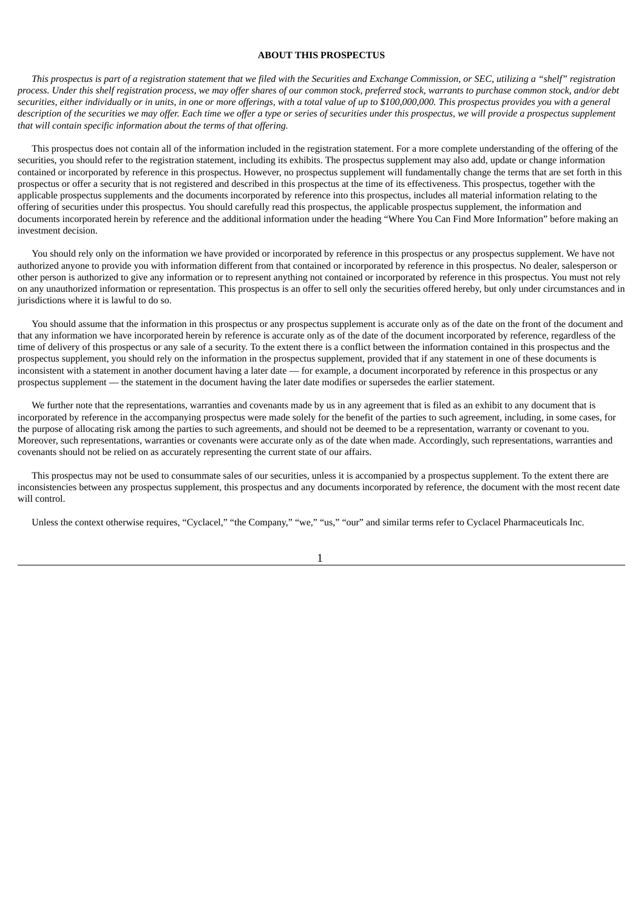## **ABOUT THIS PROSPECTUS**

<span id="page-18-0"></span>This prospectus is part of a registration statement that we filed with the Securities and Exchange Commission, or SEC, utilizing a "shelf" registration process. Under this shelf registration process, we may offer shares of our common stock, preferred stock, warrants to purchase common stock, and/or debt securities, either individually or in units, in one or more offerings, with a total value of up to \$100,000,000. This prospectus provides you with a general description of the securities we may offer. Each time we offer a type or series of securities under this prospectus, we will provide a prospectus supplement *that will contain specific information about the terms of that offering.*

This prospectus does not contain all of the information included in the registration statement. For a more complete understanding of the offering of the securities, you should refer to the registration statement, including its exhibits. The prospectus supplement may also add, update or change information contained or incorporated by reference in this prospectus. However, no prospectus supplement will fundamentally change the terms that are set forth in this prospectus or offer a security that is not registered and described in this prospectus at the time of its effectiveness. This prospectus, together with the applicable prospectus supplements and the documents incorporated by reference into this prospectus, includes all material information relating to the offering of securities under this prospectus. You should carefully read this prospectus, the applicable prospectus supplement, the information and documents incorporated herein by reference and the additional information under the heading "Where You Can Find More Information" before making an investment decision.

You should rely only on the information we have provided or incorporated by reference in this prospectus or any prospectus supplement. We have not authorized anyone to provide you with information different from that contained or incorporated by reference in this prospectus. No dealer, salesperson or other person is authorized to give any information or to represent anything not contained or incorporated by reference in this prospectus. You must not rely on any unauthorized information or representation. This prospectus is an offer to sell only the securities offered hereby, but only under circumstances and in jurisdictions where it is lawful to do so.

You should assume that the information in this prospectus or any prospectus supplement is accurate only as of the date on the front of the document and that any information we have incorporated herein by reference is accurate only as of the date of the document incorporated by reference, regardless of the time of delivery of this prospectus or any sale of a security. To the extent there is a conflict between the information contained in this prospectus and the prospectus supplement, you should rely on the information in the prospectus supplement, provided that if any statement in one of these documents is inconsistent with a statement in another document having a later date — for example, a document incorporated by reference in this prospectus or any prospectus supplement — the statement in the document having the later date modifies or supersedes the earlier statement.

We further note that the representations, warranties and covenants made by us in any agreement that is filed as an exhibit to any document that is incorporated by reference in the accompanying prospectus were made solely for the benefit of the parties to such agreement, including, in some cases, for the purpose of allocating risk among the parties to such agreements, and should not be deemed to be a representation, warranty or covenant to you. Moreover, such representations, warranties or covenants were accurate only as of the date when made. Accordingly, such representations, warranties and covenants should not be relied on as accurately representing the current state of our affairs.

This prospectus may not be used to consummate sales of our securities, unless it is accompanied by a prospectus supplement. To the extent there are inconsistencies between any prospectus supplement, this prospectus and any documents incorporated by reference, the document with the most recent date will control.

Unless the context otherwise requires, "Cyclacel," "the Company," "we," "us," "our" and similar terms refer to Cyclacel Pharmaceuticals Inc.

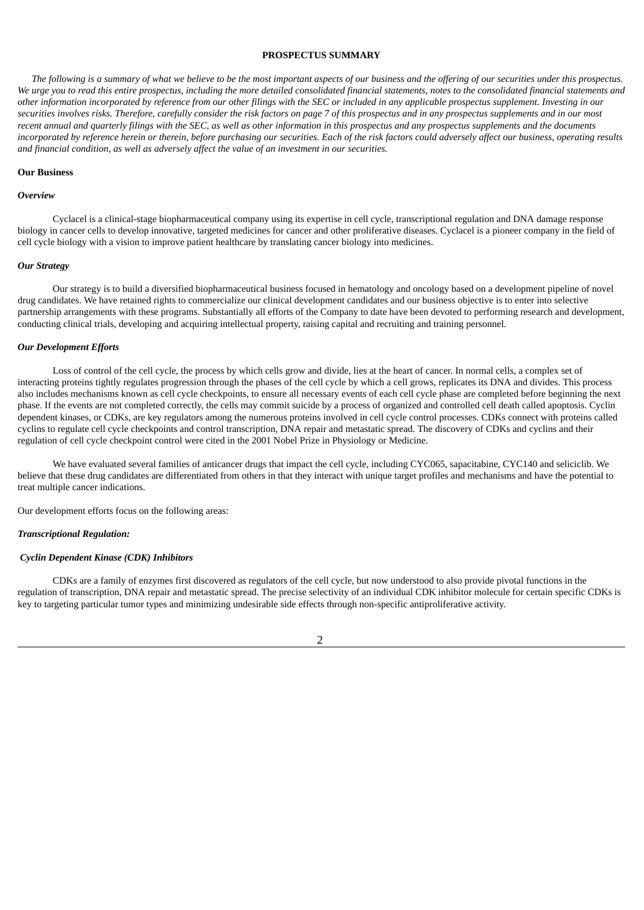## **PROSPECTUS SUMMARY**

<span id="page-19-0"></span>The following is a summary of what we believe to be the most important aspects of our business and the offering of our securities under this prospectus. We urge you to read this entire prospectus, including the more detailed consolidated financial statements, notes to the consolidated financial statements and other information incorporated by reference from our other filings with the SEC or included in any applicable prospectus supplement. Investing in our securities involves risks. Therefore, carefully consider the risk factors on page 7 of this prospectus and in any prospectus supplements and in our most recent annual and quarterly filings with the SEC, as well as other information in this prospectus and any prospectus supplements and the documents incorporated by reference herein or therein, before purchasing our securities. Each of the risk factors could adversely affect our business, operating results *and financial condition, as well as adversely affect the value of an investment in our securities.*

#### **Our Business**

#### *Overview*

Cyclacel is a clinical-stage biopharmaceutical company using its expertise in cell cycle, transcriptional regulation and DNA damage response biology in cancer cells to develop innovative, targeted medicines for cancer and other proliferative diseases. Cyclacel is a pioneer company in the field of cell cycle biology with a vision to improve patient healthcare by translating cancer biology into medicines.

#### *Our Strategy*

Our strategy is to build a diversified biopharmaceutical business focused in hematology and oncology based on a development pipeline of novel drug candidates. We have retained rights to commercialize our clinical development candidates and our business objective is to enter into selective partnership arrangements with these programs. Substantially all efforts of the Company to date have been devoted to performing research and development, conducting clinical trials, developing and acquiring intellectual property, raising capital and recruiting and training personnel.

#### *Our Development Efforts*

Loss of control of the cell cycle, the process by which cells grow and divide, lies at the heart of cancer. In normal cells, a complex set of interacting proteins tightly regulates progression through the phases of the cell cycle by which a cell grows, replicates its DNA and divides. This process also includes mechanisms known as cell cycle checkpoints, to ensure all necessary events of each cell cycle phase are completed before beginning the next phase. If the events are not completed correctly, the cells may commit suicide by a process of organized and controlled cell death called apoptosis. Cyclin dependent kinases, or CDKs, are key regulators among the numerous proteins involved in cell cycle control processes. CDKs connect with proteins called cyclins to regulate cell cycle checkpoints and control transcription, DNA repair and metastatic spread. The discovery of CDKs and cyclins and their regulation of cell cycle checkpoint control were cited in the 2001 Nobel Prize in Physiology or Medicine.

We have evaluated several families of anticancer drugs that impact the cell cycle, including CYC065, sapacitabine, CYC140 and seliciclib. We believe that these drug candidates are differentiated from others in that they interact with unique target profiles and mechanisms and have the potential to treat multiple cancer indications.

Our development efforts focus on the following areas:

### *Transcriptional Regulation:*

#### *Cyclin Dependent Kinase (CDK) Inhibitors*

CDKs are a family of enzymes first discovered as regulators of the cell cycle, but now understood to also provide pivotal functions in the regulation of transcription, DNA repair and metastatic spread. The precise selectivity of an individual CDK inhibitor molecule for certain specific CDKs is key to targeting particular tumor types and minimizing undesirable side effects through non-specific antiproliferative activity.

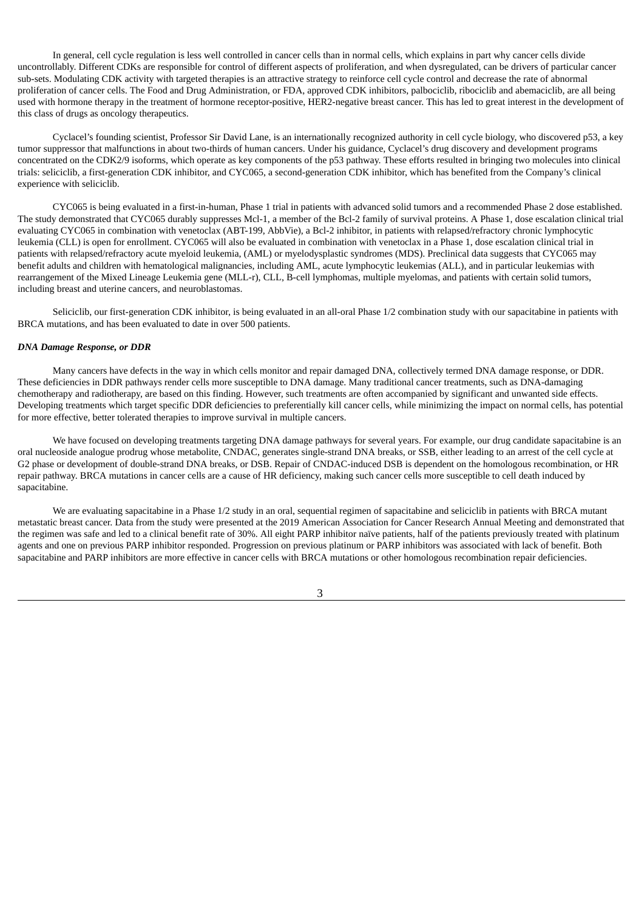In general, cell cycle regulation is less well controlled in cancer cells than in normal cells, which explains in part why cancer cells divide uncontrollably. Different CDKs are responsible for control of different aspects of proliferation, and when dysregulated, can be drivers of particular cancer sub-sets. Modulating CDK activity with targeted therapies is an attractive strategy to reinforce cell cycle control and decrease the rate of abnormal proliferation of cancer cells. The Food and Drug Administration, or FDA, approved CDK inhibitors, palbociclib, ribociclib and abemaciclib, are all being used with hormone therapy in the treatment of hormone receptor-positive, HER2-negative breast cancer. This has led to great interest in the development of this class of drugs as oncology therapeutics.

Cyclacel's founding scientist, Professor Sir David Lane, is an internationally recognized authority in cell cycle biology, who discovered p53, a key tumor suppressor that malfunctions in about two-thirds of human cancers. Under his guidance, Cyclacel's drug discovery and development programs concentrated on the CDK2/9 isoforms, which operate as key components of the p53 pathway. These efforts resulted in bringing two molecules into clinical trials: seliciclib, a first-generation CDK inhibitor, and CYC065, a second-generation CDK inhibitor, which has benefited from the Company's clinical experience with seliciclib.

CYC065 is being evaluated in a first-in-human, Phase 1 trial in patients with advanced solid tumors and a recommended Phase 2 dose established. The study demonstrated that CYC065 durably suppresses Mcl-1, a member of the Bcl-2 family of survival proteins. A Phase 1, dose escalation clinical trial evaluating CYC065 in combination with venetoclax (ABT-199, AbbVie), a Bcl-2 inhibitor, in patients with relapsed/refractory chronic lymphocytic leukemia (CLL) is open for enrollment. CYC065 will also be evaluated in combination with venetoclax in a Phase 1, dose escalation clinical trial in patients with relapsed/refractory acute myeloid leukemia, (AML) or myelodysplastic syndromes (MDS). Preclinical data suggests that CYC065 may benefit adults and children with hematological malignancies, including AML, acute lymphocytic leukemias (ALL), and in particular leukemias with rearrangement of the Mixed Lineage Leukemia gene (MLL-r), CLL, B-cell lymphomas, multiple myelomas, and patients with certain solid tumors, including breast and uterine cancers, and neuroblastomas.

Seliciclib, our first-generation CDK inhibitor, is being evaluated in an all-oral Phase 1/2 combination study with our sapacitabine in patients with BRCA mutations, and has been evaluated to date in over 500 patients.

### *DNA Damage Response, or DDR*

Many cancers have defects in the way in which cells monitor and repair damaged DNA, collectively termed DNA damage response, or DDR. These deficiencies in DDR pathways render cells more susceptible to DNA damage. Many traditional cancer treatments, such as DNA-damaging chemotherapy and radiotherapy, are based on this finding. However, such treatments are often accompanied by significant and unwanted side effects. Developing treatments which target specific DDR deficiencies to preferentially kill cancer cells, while minimizing the impact on normal cells, has potential for more effective, better tolerated therapies to improve survival in multiple cancers.

We have focused on developing treatments targeting DNA damage pathways for several years. For example, our drug candidate sapacitabine is an oral nucleoside analogue prodrug whose metabolite, CNDAC, generates single-strand DNA breaks, or SSB, either leading to an arrest of the cell cycle at G2 phase or development of double-strand DNA breaks, or DSB. Repair of CNDAC-induced DSB is dependent on the homologous recombination, or HR repair pathway. BRCA mutations in cancer cells are a cause of HR deficiency, making such cancer cells more susceptible to cell death induced by sapacitabine.

We are evaluating sapacitabine in a Phase 1/2 study in an oral, sequential regimen of sapacitabine and seliciclib in patients with BRCA mutant metastatic breast cancer. Data from the study were presented at the 2019 American Association for Cancer Research Annual Meeting and demonstrated that the regimen was safe and led to a clinical benefit rate of 30%. All eight PARP inhibitor naïve patients, half of the patients previously treated with platinum agents and one on previous PARP inhibitor responded. Progression on previous platinum or PARP inhibitors was associated with lack of benefit. Both sapacitabine and PARP inhibitors are more effective in cancer cells with BRCA mutations or other homologous recombination repair deficiencies.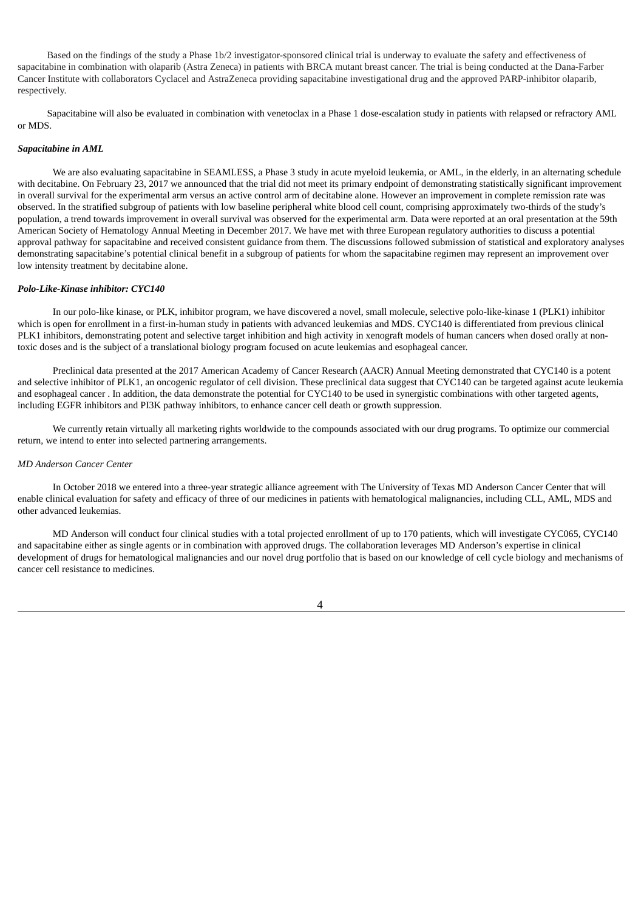Based on the findings of the study a Phase 1b/2 investigator-sponsored clinical trial is underway to evaluate the safety and effectiveness of sapacitabine in combination with olaparib (Astra Zeneca) in patients with BRCA mutant breast cancer. The trial is being conducted at the Dana-Farber Cancer Institute with collaborators Cyclacel and AstraZeneca providing sapacitabine investigational drug and the approved PARP-inhibitor olaparib, respectively.

Sapacitabine will also be evaluated in combination with venetoclax in a Phase 1 dose-escalation study in patients with relapsed or refractory AML or MDS.

### *Sapacitabine in AML*

We are also evaluating sapacitabine in SEAMLESS, a Phase 3 study in acute myeloid leukemia, or AML, in the elderly, in an alternating schedule with decitabine. On February 23, 2017 we announced that the trial did not meet its primary endpoint of demonstrating statistically significant improvement in overall survival for the experimental arm versus an active control arm of decitabine alone. However an improvement in complete remission rate was observed. In the stratified subgroup of patients with low baseline peripheral white blood cell count, comprising approximately two-thirds of the study's population, a trend towards improvement in overall survival was observed for the experimental arm. Data were reported at an oral presentation at the 59th American Society of Hematology Annual Meeting in December 2017. We have met with three European regulatory authorities to discuss a potential approval pathway for sapacitabine and received consistent guidance from them. The discussions followed submission of statistical and exploratory analyses demonstrating sapacitabine's potential clinical benefit in a subgroup of patients for whom the sapacitabine regimen may represent an improvement over low intensity treatment by decitabine alone.

#### *Polo-Like-Kinase inhibitor: CYC140*

In our polo-like kinase, or PLK, inhibitor program, we have discovered a novel, small molecule, selective polo-like-kinase 1 (PLK1) inhibitor which is open for enrollment in a first-in-human study in patients with advanced leukemias and MDS. CYC140 is differentiated from previous clinical PLK1 inhibitors, demonstrating potent and selective target inhibition and high activity in xenograft models of human cancers when dosed orally at nontoxic doses and is the subject of a translational biology program focused on acute leukemias and esophageal cancer.

Preclinical data presented at the 2017 American Academy of Cancer Research (AACR) Annual Meeting demonstrated that CYC140 is a potent and selective inhibitor of PLK1, an oncogenic regulator of cell division. These preclinical data suggest that CYC140 can be targeted against acute leukemia and esophageal cancer . In addition, the data demonstrate the potential for CYC140 to be used in synergistic combinations with other targeted agents, including EGFR inhibitors and PI3K pathway inhibitors, to enhance cancer cell death or growth suppression.

We currently retain virtually all marketing rights worldwide to the compounds associated with our drug programs. To optimize our commercial return, we intend to enter into selected partnering arrangements.

#### *MD Anderson Cancer Center*

In October 2018 we entered into a three-year strategic alliance agreement with The University of Texas MD Anderson Cancer Center that will enable clinical evaluation for safety and efficacy of three of our medicines in patients with hematological malignancies, including CLL, AML, MDS and other advanced leukemias.

MD Anderson will conduct four clinical studies with a total projected enrollment of up to 170 patients, which will investigate CYC065, CYC140 and sapacitabine either as single agents or in combination with approved drugs. The collaboration leverages MD Anderson's expertise in clinical development of drugs for hematological malignancies and our novel drug portfolio that is based on our knowledge of cell cycle biology and mechanisms of cancer cell resistance to medicines.

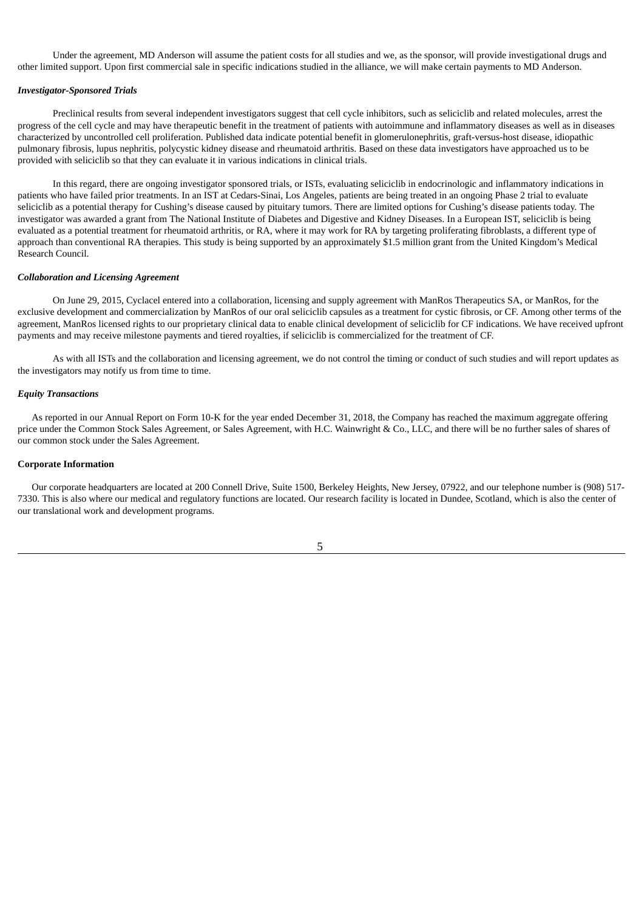Under the agreement, MD Anderson will assume the patient costs for all studies and we, as the sponsor, will provide investigational drugs and other limited support. Upon first commercial sale in specific indications studied in the alliance, we will make certain payments to MD Anderson.

#### *Investigator-Sponsored Trials*

Preclinical results from several independent investigators suggest that cell cycle inhibitors, such as seliciclib and related molecules, arrest the progress of the cell cycle and may have therapeutic benefit in the treatment of patients with autoimmune and inflammatory diseases as well as in diseases characterized by uncontrolled cell proliferation. Published data indicate potential benefit in glomerulonephritis, graft-versus-host disease, idiopathic pulmonary fibrosis, lupus nephritis, polycystic kidney disease and rheumatoid arthritis. Based on these data investigators have approached us to be provided with seliciclib so that they can evaluate it in various indications in clinical trials.

In this regard, there are ongoing investigator sponsored trials, or ISTs, evaluating seliciclib in endocrinologic and inflammatory indications in patients who have failed prior treatments. In an IST at Cedars-Sinai, Los Angeles, patients are being treated in an ongoing Phase 2 trial to evaluate seliciclib as a potential therapy for Cushing's disease caused by pituitary tumors. There are limited options for Cushing's disease patients today. The investigator was awarded a grant from The National Institute of Diabetes and Digestive and Kidney Diseases. In a European IST, seliciclib is being evaluated as a potential treatment for rheumatoid arthritis, or RA, where it may work for RA by targeting proliferating fibroblasts, a different type of approach than conventional RA therapies. This study is being supported by an approximately \$1.5 million grant from the United Kingdom's Medical Research Council.

### *Collaboration and Licensing Agreement*

On June 29, 2015, Cyclacel entered into a collaboration, licensing and supply agreement with ManRos Therapeutics SA, or ManRos, for the exclusive development and commercialization by ManRos of our oral seliciclib capsules as a treatment for cystic fibrosis, or CF. Among other terms of the agreement, ManRos licensed rights to our proprietary clinical data to enable clinical development of seliciclib for CF indications. We have received upfront payments and may receive milestone payments and tiered royalties, if seliciclib is commercialized for the treatment of CF.

As with all ISTs and the collaboration and licensing agreement, we do not control the timing or conduct of such studies and will report updates as the investigators may notify us from time to time.

#### *Equity Transactions*

As reported in our Annual Report on Form 10-K for the year ended December 31, 2018, the Company has reached the maximum aggregate offering price under the Common Stock Sales Agreement, or Sales Agreement, with H.C. Wainwright & Co., LLC, and there will be no further sales of shares of our common stock under the Sales Agreement.

#### **Corporate Information**

Our corporate headquarters are located at 200 Connell Drive, Suite 1500, Berkeley Heights, New Jersey, 07922, and our telephone number is (908) 517- 7330. This is also where our medical and regulatory functions are located. Our research facility is located in Dundee, Scotland, which is also the center of our translational work and development programs.

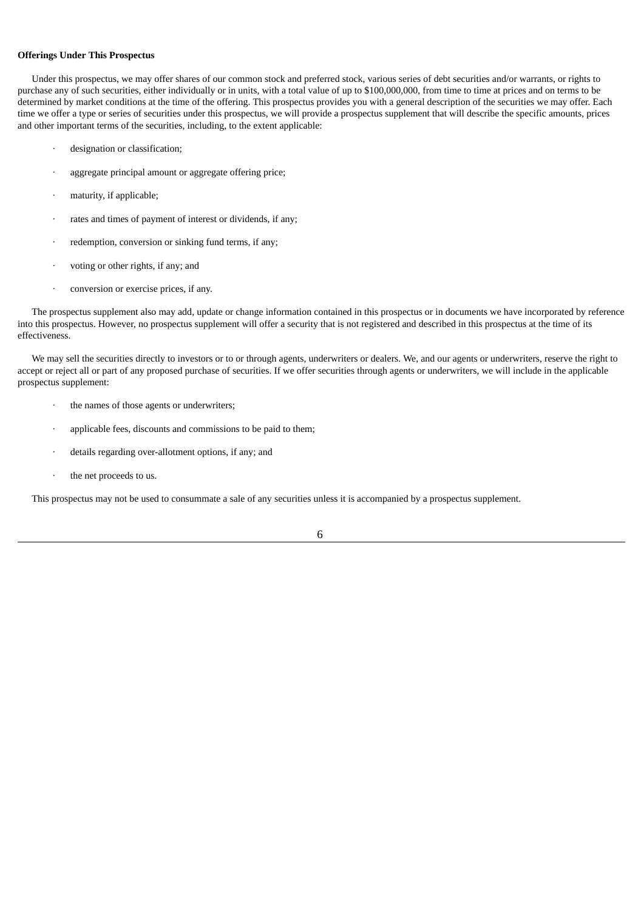# **Offerings Under This Prospectus**

Under this prospectus, we may offer shares of our common stock and preferred stock, various series of debt securities and/or warrants, or rights to purchase any of such securities, either individually or in units, with a total value of up to \$100,000,000, from time to time at prices and on terms to be determined by market conditions at the time of the offering. This prospectus provides you with a general description of the securities we may offer. Each time we offer a type or series of securities under this prospectus, we will provide a prospectus supplement that will describe the specific amounts, prices and other important terms of the securities, including, to the extent applicable:

- designation or classification;
- aggregate principal amount or aggregate offering price;
- maturity, if applicable;
- rates and times of payment of interest or dividends, if any;
- redemption, conversion or sinking fund terms, if any;
- voting or other rights, if any; and
- · conversion or exercise prices, if any.

The prospectus supplement also may add, update or change information contained in this prospectus or in documents we have incorporated by reference into this prospectus. However, no prospectus supplement will offer a security that is not registered and described in this prospectus at the time of its effectiveness.

We may sell the securities directly to investors or to or through agents, underwriters or dealers. We, and our agents or underwriters, reserve the right to accept or reject all or part of any proposed purchase of securities. If we offer securities through agents or underwriters, we will include in the applicable prospectus supplement:

- the names of those agents or underwriters;
- applicable fees, discounts and commissions to be paid to them;
- details regarding over-allotment options, if any; and
- · the net proceeds to us.

This prospectus may not be used to consummate a sale of any securities unless it is accompanied by a prospectus supplement.

6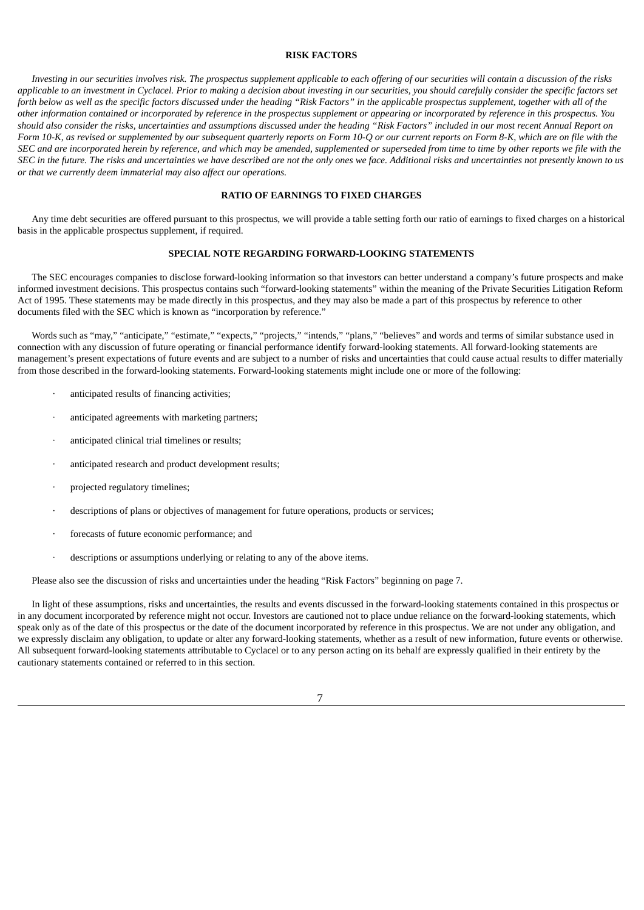#### **RISK FACTORS**

<span id="page-24-0"></span>Investing in our securities involves risk. The prospectus supplement applicable to each offering of our securities will contain a discussion of the risks applicable to an investment in Cyclacel. Prior to making a decision about investing in our securities, you should carefully consider the specific factors set forth below as well as the specific factors discussed under the heading "Risk Factors" in the applicable prospectus supplement, together with all of the other information contained or incorporated by reference in the prospectus supplement or appearing or incorporated by reference in this prospectus. You should also consider the risks, uncertainties and assumptions discussed under the heading "Risk Factors" included in our most recent Annual Report on Form 10-K, as revised or supplemented by our subsequent quarterly reports on Form 10-Q or our current reports on Form 8-K, which are on file with the SEC and are incorporated herein by reference, and which may be amended, supplemented or superseded from time to time by other reports we file with the SEC in the future. The risks and uncertainties we have described are not the only ones we face. Additional risks and uncertainties not presently known to us *or that we currently deem immaterial may also affect our operations.*

# **RATIO OF EARNINGS TO FIXED CHARGES**

<span id="page-24-1"></span>Any time debt securities are offered pursuant to this prospectus, we will provide a table setting forth our ratio of earnings to fixed charges on a historical basis in the applicable prospectus supplement, if required.

### **SPECIAL NOTE REGARDING FORWARD-LOOKING STATEMENTS**

<span id="page-24-2"></span>The SEC encourages companies to disclose forward-looking information so that investors can better understand a company's future prospects and make informed investment decisions. This prospectus contains such "forward-looking statements" within the meaning of the Private Securities Litigation Reform Act of 1995. These statements may be made directly in this prospectus, and they may also be made a part of this prospectus by reference to other documents filed with the SEC which is known as "incorporation by reference."

Words such as "may," "anticipate," "estimate," "expects," "projects," "intends," "plans," "believes" and words and terms of similar substance used in connection with any discussion of future operating or financial performance identify forward-looking statements. All forward-looking statements are management's present expectations of future events and are subject to a number of risks and uncertainties that could cause actual results to differ materially from those described in the forward-looking statements. Forward-looking statements might include one or more of the following:

- anticipated results of financing activities;
- anticipated agreements with marketing partners;
- anticipated clinical trial timelines or results;
- anticipated research and product development results;
- projected regulatory timelines;
- descriptions of plans or objectives of management for future operations, products or services;
- forecasts of future economic performance; and
- descriptions or assumptions underlying or relating to any of the above items.

Please also see the discussion of risks and uncertainties under the heading "Risk Factors" beginning on page 7.

In light of these assumptions, risks and uncertainties, the results and events discussed in the forward-looking statements contained in this prospectus or in any document incorporated by reference might not occur. Investors are cautioned not to place undue reliance on the forward-looking statements, which speak only as of the date of this prospectus or the date of the document incorporated by reference in this prospectus. We are not under any obligation, and we expressly disclaim any obligation, to update or alter any forward-looking statements, whether as a result of new information, future events or otherwise. All subsequent forward-looking statements attributable to Cyclacel or to any person acting on its behalf are expressly qualified in their entirety by the cautionary statements contained or referred to in this section.

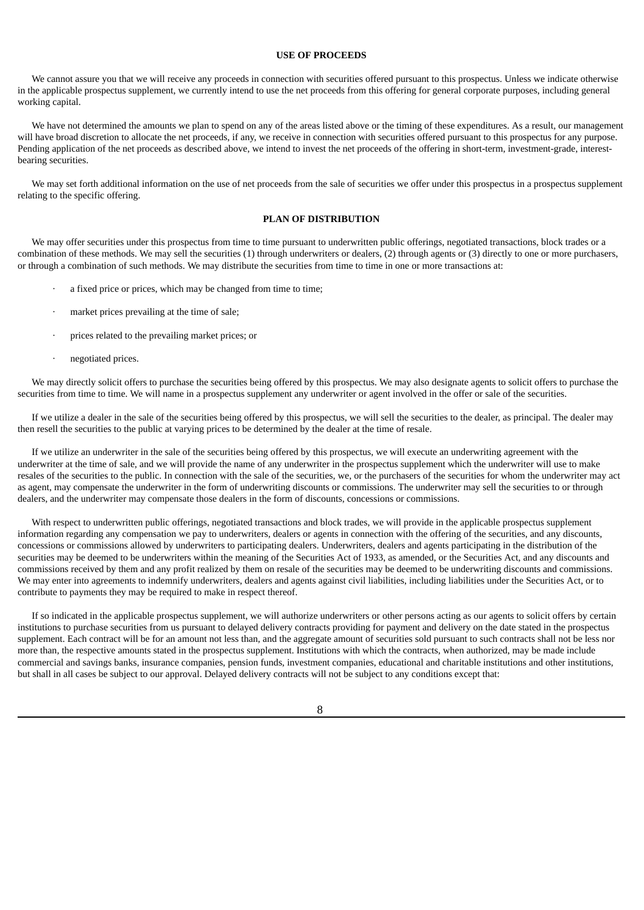### **USE OF PROCEEDS**

<span id="page-25-0"></span>We cannot assure you that we will receive any proceeds in connection with securities offered pursuant to this prospectus. Unless we indicate otherwise in the applicable prospectus supplement, we currently intend to use the net proceeds from this offering for general corporate purposes, including general working capital.

We have not determined the amounts we plan to spend on any of the areas listed above or the timing of these expenditures. As a result, our management will have broad discretion to allocate the net proceeds, if any, we receive in connection with securities offered pursuant to this prospectus for any purpose. Pending application of the net proceeds as described above, we intend to invest the net proceeds of the offering in short-term, investment-grade, interestbearing securities.

We may set forth additional information on the use of net proceeds from the sale of securities we offer under this prospectus in a prospectus supplement relating to the specific offering.

### **PLAN OF DISTRIBUTION**

<span id="page-25-1"></span>We may offer securities under this prospectus from time to time pursuant to underwritten public offerings, negotiated transactions, block trades or a combination of these methods. We may sell the securities (1) through underwriters or dealers, (2) through agents or (3) directly to one or more purchasers, or through a combination of such methods. We may distribute the securities from time to time in one or more transactions at:

- a fixed price or prices, which may be changed from time to time;
- market prices prevailing at the time of sale;
- prices related to the prevailing market prices; or
- negotiated prices.

We may directly solicit offers to purchase the securities being offered by this prospectus. We may also designate agents to solicit offers to purchase the securities from time to time. We will name in a prospectus supplement any underwriter or agent involved in the offer or sale of the securities.

If we utilize a dealer in the sale of the securities being offered by this prospectus, we will sell the securities to the dealer, as principal. The dealer may then resell the securities to the public at varying prices to be determined by the dealer at the time of resale.

If we utilize an underwriter in the sale of the securities being offered by this prospectus, we will execute an underwriting agreement with the underwriter at the time of sale, and we will provide the name of any underwriter in the prospectus supplement which the underwriter will use to make resales of the securities to the public. In connection with the sale of the securities, we, or the purchasers of the securities for whom the underwriter may act as agent, may compensate the underwriter in the form of underwriting discounts or commissions. The underwriter may sell the securities to or through dealers, and the underwriter may compensate those dealers in the form of discounts, concessions or commissions.

With respect to underwritten public offerings, negotiated transactions and block trades, we will provide in the applicable prospectus supplement information regarding any compensation we pay to underwriters, dealers or agents in connection with the offering of the securities, and any discounts, concessions or commissions allowed by underwriters to participating dealers. Underwriters, dealers and agents participating in the distribution of the securities may be deemed to be underwriters within the meaning of the Securities Act of 1933, as amended, or the Securities Act, and any discounts and commissions received by them and any profit realized by them on resale of the securities may be deemed to be underwriting discounts and commissions. We may enter into agreements to indemnify underwriters, dealers and agents against civil liabilities, including liabilities under the Securities Act, or to contribute to payments they may be required to make in respect thereof.

If so indicated in the applicable prospectus supplement, we will authorize underwriters or other persons acting as our agents to solicit offers by certain institutions to purchase securities from us pursuant to delayed delivery contracts providing for payment and delivery on the date stated in the prospectus supplement. Each contract will be for an amount not less than, and the aggregate amount of securities sold pursuant to such contracts shall not be less nor more than, the respective amounts stated in the prospectus supplement. Institutions with which the contracts, when authorized, may be made include commercial and savings banks, insurance companies, pension funds, investment companies, educational and charitable institutions and other institutions, but shall in all cases be subject to our approval. Delayed delivery contracts will not be subject to any conditions except that: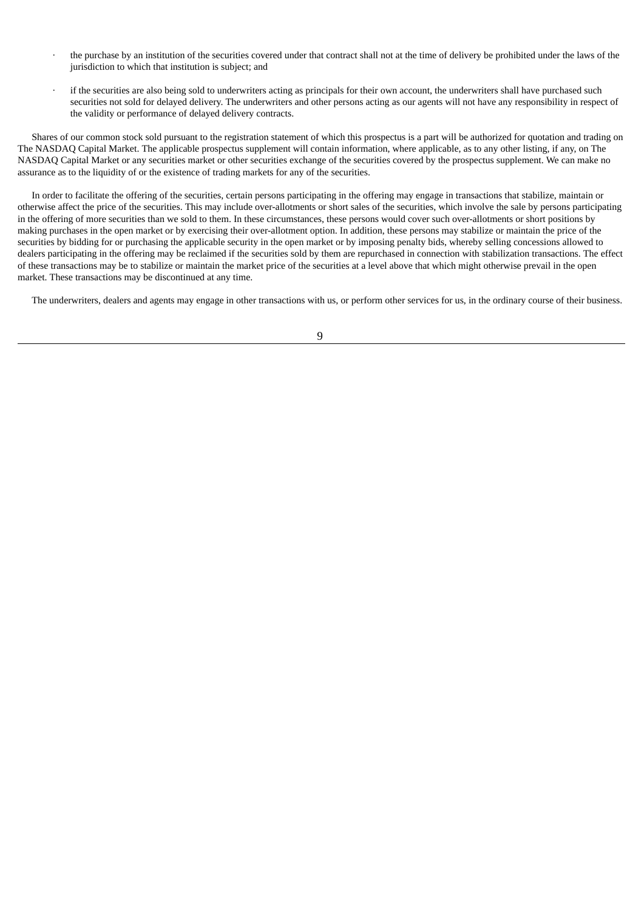- · the purchase by an institution of the securities covered under that contract shall not at the time of delivery be prohibited under the laws of the jurisdiction to which that institution is subject; and
- if the securities are also being sold to underwriters acting as principals for their own account, the underwriters shall have purchased such securities not sold for delayed delivery. The underwriters and other persons acting as our agents will not have any responsibility in respect of the validity or performance of delayed delivery contracts.

Shares of our common stock sold pursuant to the registration statement of which this prospectus is a part will be authorized for quotation and trading on The NASDAQ Capital Market. The applicable prospectus supplement will contain information, where applicable, as to any other listing, if any, on The NASDAQ Capital Market or any securities market or other securities exchange of the securities covered by the prospectus supplement. We can make no assurance as to the liquidity of or the existence of trading markets for any of the securities.

In order to facilitate the offering of the securities, certain persons participating in the offering may engage in transactions that stabilize, maintain or otherwise affect the price of the securities. This may include over-allotments or short sales of the securities, which involve the sale by persons participating in the offering of more securities than we sold to them. In these circumstances, these persons would cover such over-allotments or short positions by making purchases in the open market or by exercising their over-allotment option. In addition, these persons may stabilize or maintain the price of the securities by bidding for or purchasing the applicable security in the open market or by imposing penalty bids, whereby selling concessions allowed to dealers participating in the offering may be reclaimed if the securities sold by them are repurchased in connection with stabilization transactions. The effect of these transactions may be to stabilize or maintain the market price of the securities at a level above that which might otherwise prevail in the open market. These transactions may be discontinued at any time.

The underwriters, dealers and agents may engage in other transactions with us, or perform other services for us, in the ordinary course of their business.

9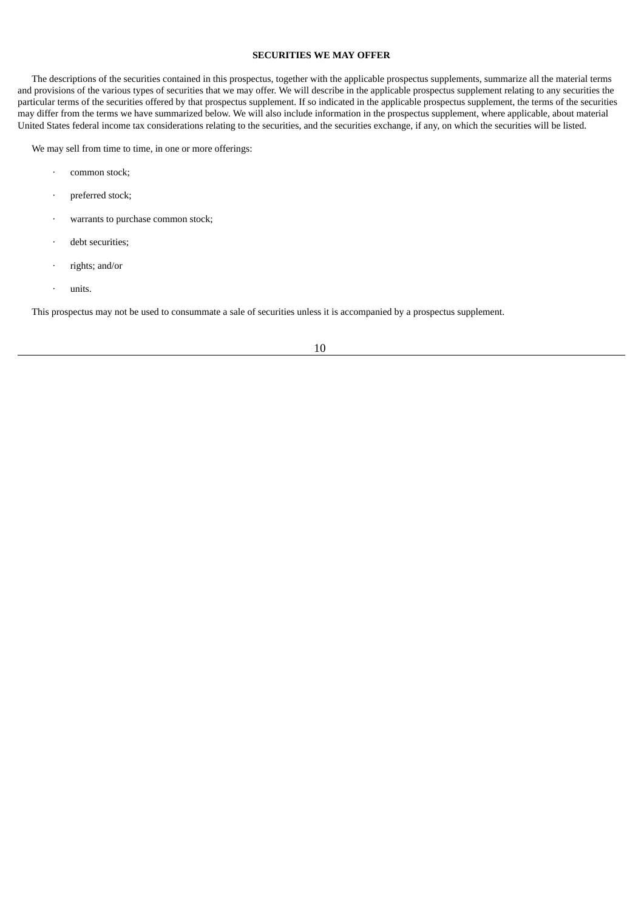# **SECURITIES WE MAY OFFER**

<span id="page-27-0"></span>The descriptions of the securities contained in this prospectus, together with the applicable prospectus supplements, summarize all the material terms and provisions of the various types of securities that we may offer. We will describe in the applicable prospectus supplement relating to any securities the particular terms of the securities offered by that prospectus supplement. If so indicated in the applicable prospectus supplement, the terms of the securities may differ from the terms we have summarized below. We will also include information in the prospectus supplement, where applicable, about material United States federal income tax considerations relating to the securities, and the securities exchange, if any, on which the securities will be listed.

We may sell from time to time, in one or more offerings:

- · common stock;
- · preferred stock;
- warrants to purchase common stock;
- debt securities;
- rights; and/or
- · units.

This prospectus may not be used to consummate a sale of securities unless it is accompanied by a prospectus supplement.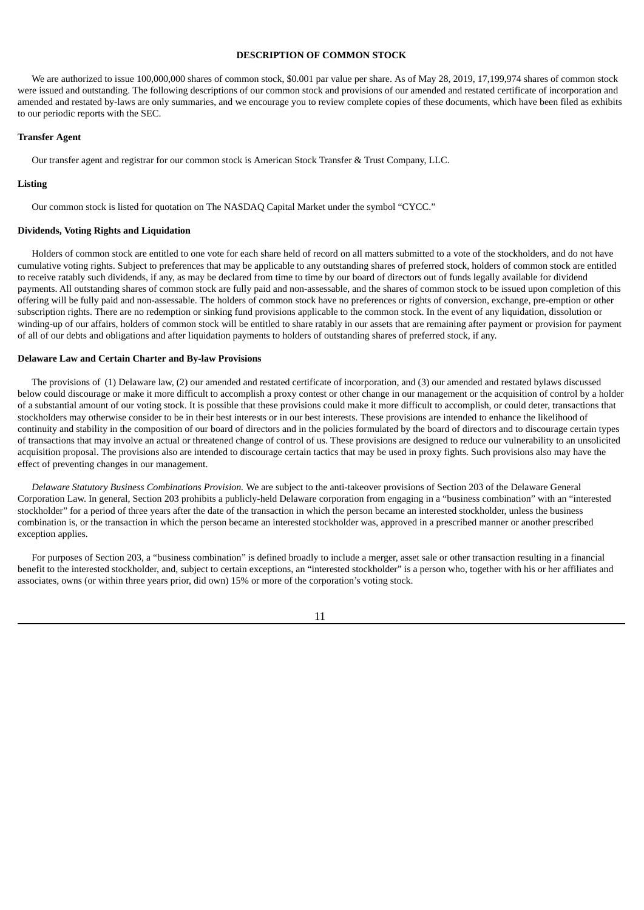# **DESCRIPTION OF COMMON STOCK**

<span id="page-28-0"></span>We are authorized to issue 100,000,000 shares of common stock, \$0.001 par value per share. As of May 28, 2019, 17,199,974 shares of common stock were issued and outstanding. The following descriptions of our common stock and provisions of our amended and restated certificate of incorporation and amended and restated by-laws are only summaries, and we encourage you to review complete copies of these documents, which have been filed as exhibits to our periodic reports with the SEC.

### **Transfer Agent**

Our transfer agent and registrar for our common stock is American Stock Transfer & Trust Company, LLC.

### **Listing**

Our common stock is listed for quotation on The NASDAQ Capital Market under the symbol "CYCC."

### **Dividends, Voting Rights and Liquidation**

Holders of common stock are entitled to one vote for each share held of record on all matters submitted to a vote of the stockholders, and do not have cumulative voting rights. Subject to preferences that may be applicable to any outstanding shares of preferred stock, holders of common stock are entitled to receive ratably such dividends, if any, as may be declared from time to time by our board of directors out of funds legally available for dividend payments. All outstanding shares of common stock are fully paid and non-assessable, and the shares of common stock to be issued upon completion of this offering will be fully paid and non-assessable. The holders of common stock have no preferences or rights of conversion, exchange, pre-emption or other subscription rights. There are no redemption or sinking fund provisions applicable to the common stock. In the event of any liquidation, dissolution or winding-up of our affairs, holders of common stock will be entitled to share ratably in our assets that are remaining after payment or provision for payment of all of our debts and obligations and after liquidation payments to holders of outstanding shares of preferred stock, if any.

### **Delaware Law and Certain Charter and By-law Provisions**

The provisions of (1) Delaware law, (2) our amended and restated certificate of incorporation, and (3) our amended and restated bylaws discussed below could discourage or make it more difficult to accomplish a proxy contest or other change in our management or the acquisition of control by a holder of a substantial amount of our voting stock. It is possible that these provisions could make it more difficult to accomplish, or could deter, transactions that stockholders may otherwise consider to be in their best interests or in our best interests. These provisions are intended to enhance the likelihood of continuity and stability in the composition of our board of directors and in the policies formulated by the board of directors and to discourage certain types of transactions that may involve an actual or threatened change of control of us. These provisions are designed to reduce our vulnerability to an unsolicited acquisition proposal. The provisions also are intended to discourage certain tactics that may be used in proxy fights. Such provisions also may have the effect of preventing changes in our management.

*Delaware Statutory Business Combinations Provision.* We are subject to the anti-takeover provisions of Section 203 of the Delaware General Corporation Law. In general, Section 203 prohibits a publicly-held Delaware corporation from engaging in a "business combination" with an "interested stockholder" for a period of three years after the date of the transaction in which the person became an interested stockholder, unless the business combination is, or the transaction in which the person became an interested stockholder was, approved in a prescribed manner or another prescribed exception applies.

For purposes of Section 203, a "business combination" is defined broadly to include a merger, asset sale or other transaction resulting in a financial benefit to the interested stockholder, and, subject to certain exceptions, an "interested stockholder" is a person who, together with his or her affiliates and associates, owns (or within three years prior, did own) 15% or more of the corporation's voting stock.

11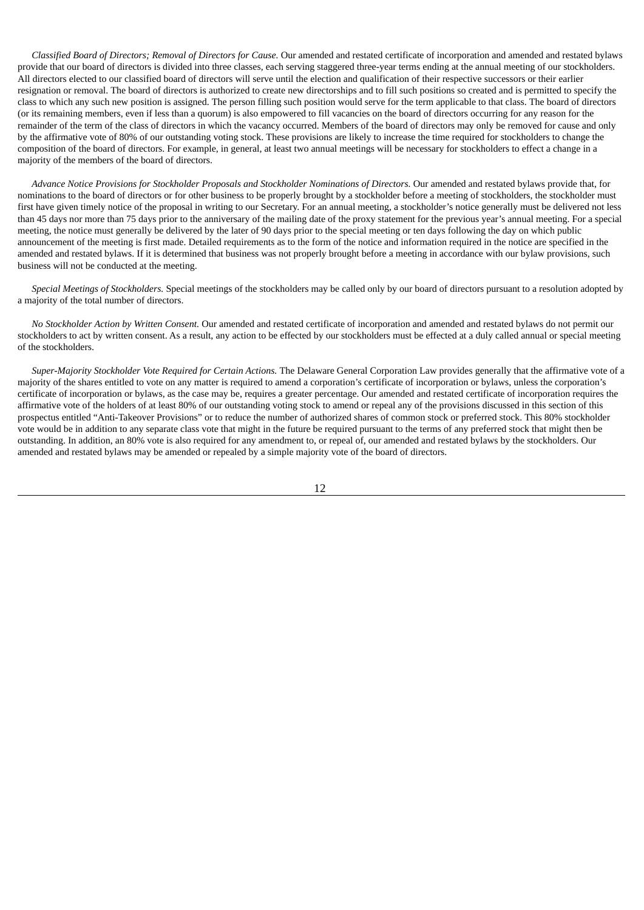*Classified Board of Directors; Removal of Directors for Cause.* Our amended and restated certificate of incorporation and amended and restated bylaws provide that our board of directors is divided into three classes, each serving staggered three-year terms ending at the annual meeting of our stockholders. All directors elected to our classified board of directors will serve until the election and qualification of their respective successors or their earlier resignation or removal. The board of directors is authorized to create new directorships and to fill such positions so created and is permitted to specify the class to which any such new position is assigned. The person filling such position would serve for the term applicable to that class. The board of directors (or its remaining members, even if less than a quorum) is also empowered to fill vacancies on the board of directors occurring for any reason for the remainder of the term of the class of directors in which the vacancy occurred. Members of the board of directors may only be removed for cause and only by the affirmative vote of 80% of our outstanding voting stock. These provisions are likely to increase the time required for stockholders to change the composition of the board of directors. For example, in general, at least two annual meetings will be necessary for stockholders to effect a change in a majority of the members of the board of directors.

*Advance Notice Provisions for Stockholder Proposals and Stockholder Nominations of Directors.* Our amended and restated bylaws provide that, for nominations to the board of directors or for other business to be properly brought by a stockholder before a meeting of stockholders, the stockholder must first have given timely notice of the proposal in writing to our Secretary. For an annual meeting, a stockholder's notice generally must be delivered not less than 45 days nor more than 75 days prior to the anniversary of the mailing date of the proxy statement for the previous year's annual meeting. For a special meeting, the notice must generally be delivered by the later of 90 days prior to the special meeting or ten days following the day on which public announcement of the meeting is first made. Detailed requirements as to the form of the notice and information required in the notice are specified in the amended and restated bylaws. If it is determined that business was not properly brought before a meeting in accordance with our bylaw provisions, such business will not be conducted at the meeting.

*Special Meetings of Stockholders.* Special meetings of the stockholders may be called only by our board of directors pursuant to a resolution adopted by a majority of the total number of directors.

*No Stockholder Action by Written Consent.* Our amended and restated certificate of incorporation and amended and restated bylaws do not permit our stockholders to act by written consent. As a result, any action to be effected by our stockholders must be effected at a duly called annual or special meeting of the stockholders.

*Super-Majority Stockholder Vote Required for Certain Actions.* The Delaware General Corporation Law provides generally that the affirmative vote of a majority of the shares entitled to vote on any matter is required to amend a corporation's certificate of incorporation or bylaws, unless the corporation's certificate of incorporation or bylaws, as the case may be, requires a greater percentage. Our amended and restated certificate of incorporation requires the affirmative vote of the holders of at least 80% of our outstanding voting stock to amend or repeal any of the provisions discussed in this section of this prospectus entitled "Anti-Takeover Provisions" or to reduce the number of authorized shares of common stock or preferred stock. This 80% stockholder vote would be in addition to any separate class vote that might in the future be required pursuant to the terms of any preferred stock that might then be outstanding. In addition, an 80% vote is also required for any amendment to, or repeal of, our amended and restated bylaws by the stockholders. Our amended and restated bylaws may be amended or repealed by a simple majority vote of the board of directors.

12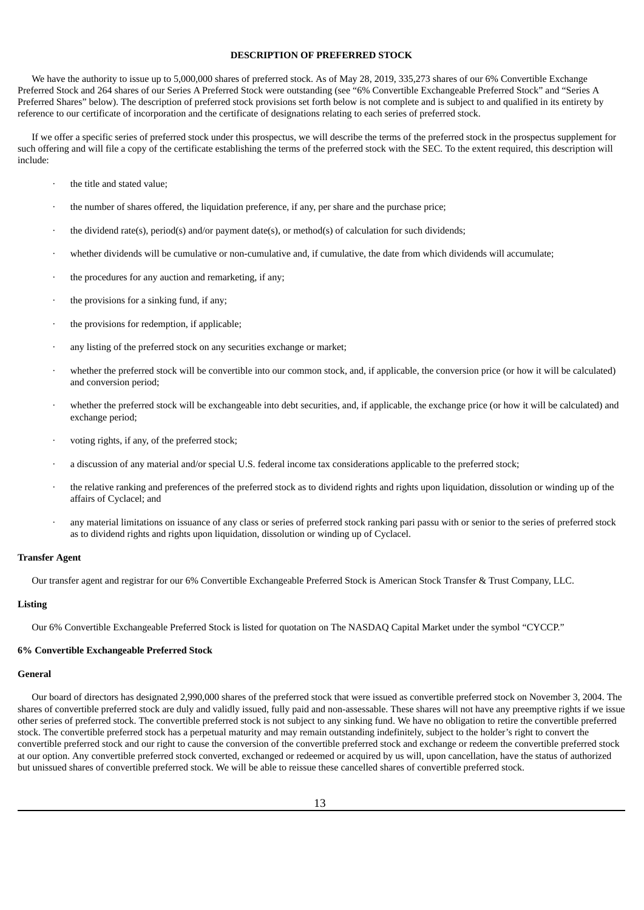# **DESCRIPTION OF PREFERRED STOCK**

<span id="page-30-0"></span>We have the authority to issue up to 5,000,000 shares of preferred stock. As of May 28, 2019, 335,273 shares of our 6% Convertible Exchange Preferred Stock and 264 shares of our Series A Preferred Stock were outstanding (see "6% Convertible Exchangeable Preferred Stock" and "Series A Preferred Shares" below). The description of preferred stock provisions set forth below is not complete and is subject to and qualified in its entirety by reference to our certificate of incorporation and the certificate of designations relating to each series of preferred stock.

If we offer a specific series of preferred stock under this prospectus, we will describe the terms of the preferred stock in the prospectus supplement for such offering and will file a copy of the certificate establishing the terms of the preferred stock with the SEC. To the extent required, this description will include:

- the title and stated value;
- the number of shares offered, the liquidation preference, if any, per share and the purchase price;
- the dividend rate(s), period(s) and/or payment date(s), or method(s) of calculation for such dividends;
- · whether dividends will be cumulative or non-cumulative and, if cumulative, the date from which dividends will accumulate;
- the procedures for any auction and remarketing, if any;
- the provisions for a sinking fund, if any;
- the provisions for redemption, if applicable;
- any listing of the preferred stock on any securities exchange or market;
- · whether the preferred stock will be convertible into our common stock, and, if applicable, the conversion price (or how it will be calculated) and conversion period;
- · whether the preferred stock will be exchangeable into debt securities, and, if applicable, the exchange price (or how it will be calculated) and exchange period;
- voting rights, if any, of the preferred stock;
- a discussion of any material and/or special U.S. federal income tax considerations applicable to the preferred stock;
- · the relative ranking and preferences of the preferred stock as to dividend rights and rights upon liquidation, dissolution or winding up of the affairs of Cyclacel; and
- · any material limitations on issuance of any class or series of preferred stock ranking pari passu with or senior to the series of preferred stock as to dividend rights and rights upon liquidation, dissolution or winding up of Cyclacel.

#### **Transfer Agent**

Our transfer agent and registrar for our 6% Convertible Exchangeable Preferred Stock is American Stock Transfer & Trust Company, LLC.

#### **Listing**

Our 6% Convertible Exchangeable Preferred Stock is listed for quotation on The NASDAQ Capital Market under the symbol "CYCCP."

#### **6% Convertible Exchangeable Preferred Stock**

#### **General**

Our board of directors has designated 2,990,000 shares of the preferred stock that were issued as convertible preferred stock on November 3, 2004. The shares of convertible preferred stock are duly and validly issued, fully paid and non-assessable. These shares will not have any preemptive rights if we issue other series of preferred stock. The convertible preferred stock is not subject to any sinking fund. We have no obligation to retire the convertible preferred stock. The convertible preferred stock has a perpetual maturity and may remain outstanding indefinitely, subject to the holder's right to convert the convertible preferred stock and our right to cause the conversion of the convertible preferred stock and exchange or redeem the convertible preferred stock at our option. Any convertible preferred stock converted, exchanged or redeemed or acquired by us will, upon cancellation, have the status of authorized but unissued shares of convertible preferred stock. We will be able to reissue these cancelled shares of convertible preferred stock.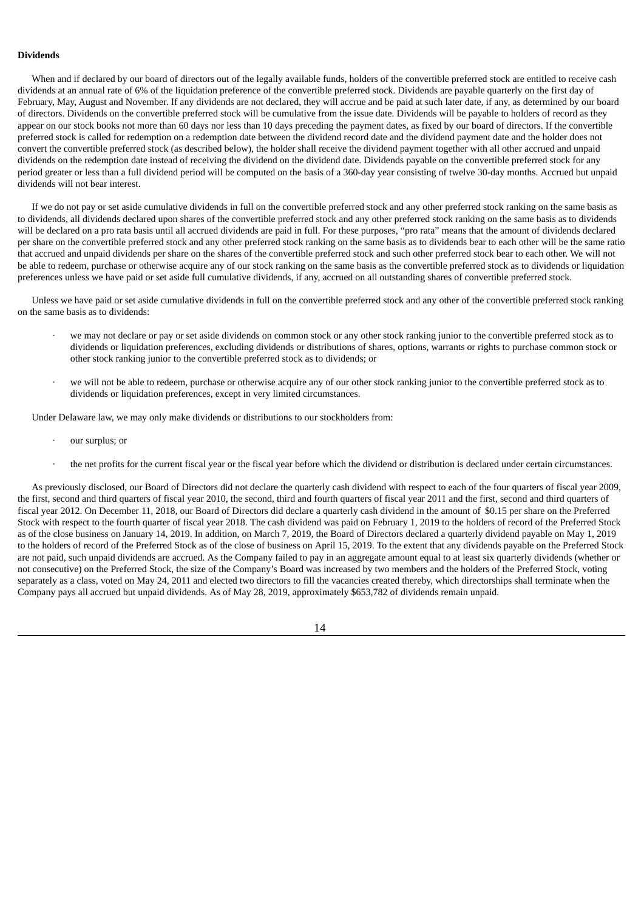# **Dividends**

When and if declared by our board of directors out of the legally available funds, holders of the convertible preferred stock are entitled to receive cash dividends at an annual rate of 6% of the liquidation preference of the convertible preferred stock. Dividends are payable quarterly on the first day of February, May, August and November. If any dividends are not declared, they will accrue and be paid at such later date, if any, as determined by our board of directors. Dividends on the convertible preferred stock will be cumulative from the issue date. Dividends will be payable to holders of record as they appear on our stock books not more than 60 days nor less than 10 days preceding the payment dates, as fixed by our board of directors. If the convertible preferred stock is called for redemption on a redemption date between the dividend record date and the dividend payment date and the holder does not convert the convertible preferred stock (as described below), the holder shall receive the dividend payment together with all other accrued and unpaid dividends on the redemption date instead of receiving the dividend on the dividend date. Dividends payable on the convertible preferred stock for any period greater or less than a full dividend period will be computed on the basis of a 360-day year consisting of twelve 30-day months. Accrued but unpaid dividends will not bear interest.

If we do not pay or set aside cumulative dividends in full on the convertible preferred stock and any other preferred stock ranking on the same basis as to dividends, all dividends declared upon shares of the convertible preferred stock and any other preferred stock ranking on the same basis as to dividends will be declared on a pro rata basis until all accrued dividends are paid in full. For these purposes, "pro rata" means that the amount of dividends declared per share on the convertible preferred stock and any other preferred stock ranking on the same basis as to dividends bear to each other will be the same ratio that accrued and unpaid dividends per share on the shares of the convertible preferred stock and such other preferred stock bear to each other. We will not be able to redeem, purchase or otherwise acquire any of our stock ranking on the same basis as the convertible preferred stock as to dividends or liquidation preferences unless we have paid or set aside full cumulative dividends, if any, accrued on all outstanding shares of convertible preferred stock.

Unless we have paid or set aside cumulative dividends in full on the convertible preferred stock and any other of the convertible preferred stock ranking on the same basis as to dividends:

- · we may not declare or pay or set aside dividends on common stock or any other stock ranking junior to the convertible preferred stock as to dividends or liquidation preferences, excluding dividends or distributions of shares, options, warrants or rights to purchase common stock or other stock ranking junior to the convertible preferred stock as to dividends; or
- · we will not be able to redeem, purchase or otherwise acquire any of our other stock ranking junior to the convertible preferred stock as to dividends or liquidation preferences, except in very limited circumstances.

Under Delaware law, we may only make dividends or distributions to our stockholders from:

- our surplus; or
- · the net profits for the current fiscal year or the fiscal year before which the dividend or distribution is declared under certain circumstances.

As previously disclosed, our Board of Directors did not declare the quarterly cash dividend with respect to each of the four quarters of fiscal year 2009, the first, second and third quarters of fiscal year 2010, the second, third and fourth quarters of fiscal year 2011 and the first, second and third quarters of fiscal year 2012. On December 11, 2018, our Board of Directors did declare a quarterly cash dividend in the amount of \$0.15 per share on the Preferred Stock with respect to the fourth quarter of fiscal year 2018. The cash dividend was paid on February 1, 2019 to the holders of record of the Preferred Stock as of the close business on January 14, 2019. In addition, on March 7, 2019, the Board of Directors declared a quarterly dividend payable on May 1, 2019 to the holders of record of the Preferred Stock as of the close of business on April 15, 2019. To the extent that any dividends payable on the Preferred Stock are not paid, such unpaid dividends are accrued. As the Company failed to pay in an aggregate amount equal to at least six quarterly dividends (whether or not consecutive) on the Preferred Stock, the size of the Company's Board was increased by two members and the holders of the Preferred Stock, voting separately as a class, voted on May 24, 2011 and elected two directors to fill the vacancies created thereby, which directorships shall terminate when the Company pays all accrued but unpaid dividends. As of May 28, 2019, approximately \$653,782 of dividends remain unpaid.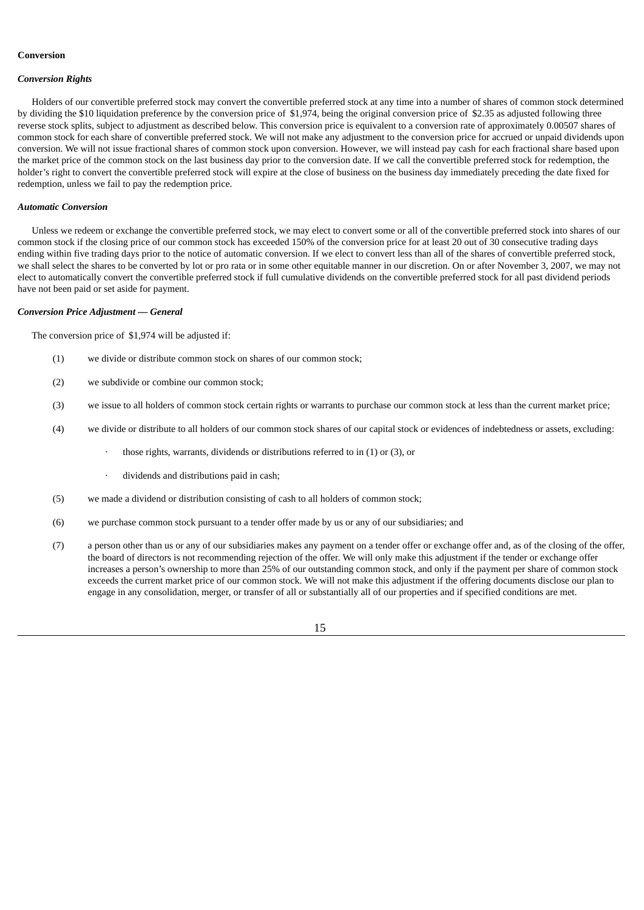### **Conversion**

#### *Conversion Rights*

Holders of our convertible preferred stock may convert the convertible preferred stock at any time into a number of shares of common stock determined by dividing the \$10 liquidation preference by the conversion price of \$1,974, being the original conversion price of \$2.35 as adjusted following three reverse stock splits, subject to adjustment as described below. This conversion price is equivalent to a conversion rate of approximately 0.00507 shares of common stock for each share of convertible preferred stock. We will not make any adjustment to the conversion price for accrued or unpaid dividends upon conversion. We will not issue fractional shares of common stock upon conversion. However, we will instead pay cash for each fractional share based upon the market price of the common stock on the last business day prior to the conversion date. If we call the convertible preferred stock for redemption, the holder's right to convert the convertible preferred stock will expire at the close of business on the business day immediately preceding the date fixed for redemption, unless we fail to pay the redemption price.

#### *Automatic Conversion*

Unless we redeem or exchange the convertible preferred stock, we may elect to convert some or all of the convertible preferred stock into shares of our common stock if the closing price of our common stock has exceeded 150% of the conversion price for at least 20 out of 30 consecutive trading days ending within five trading days prior to the notice of automatic conversion. If we elect to convert less than all of the shares of convertible preferred stock, we shall select the shares to be converted by lot or pro rata or in some other equitable manner in our discretion. On or after November 3, 2007, we may not elect to automatically convert the convertible preferred stock if full cumulative dividends on the convertible preferred stock for all past dividend periods have not been paid or set aside for payment.

#### *Conversion Price Adjustment — General*

The conversion price of \$1,974 will be adjusted if:

- (1) we divide or distribute common stock on shares of our common stock;
- (2) we subdivide or combine our common stock;
- (3) we issue to all holders of common stock certain rights or warrants to purchase our common stock at less than the current market price;
- (4) we divide or distribute to all holders of our common stock shares of our capital stock or evidences of indebtedness or assets, excluding:
	- those rights, warrants, dividends or distributions referred to in  $(1)$  or  $(3)$ , or
	- dividends and distributions paid in cash;
- (5) we made a dividend or distribution consisting of cash to all holders of common stock;
- (6) we purchase common stock pursuant to a tender offer made by us or any of our subsidiaries; and
- (7) a person other than us or any of our subsidiaries makes any payment on a tender offer or exchange offer and, as of the closing of the offer, the board of directors is not recommending rejection of the offer. We will only make this adjustment if the tender or exchange offer increases a person's ownership to more than 25% of our outstanding common stock, and only if the payment per share of common stock exceeds the current market price of our common stock. We will not make this adjustment if the offering documents disclose our plan to engage in any consolidation, merger, or transfer of all or substantially all of our properties and if specified conditions are met.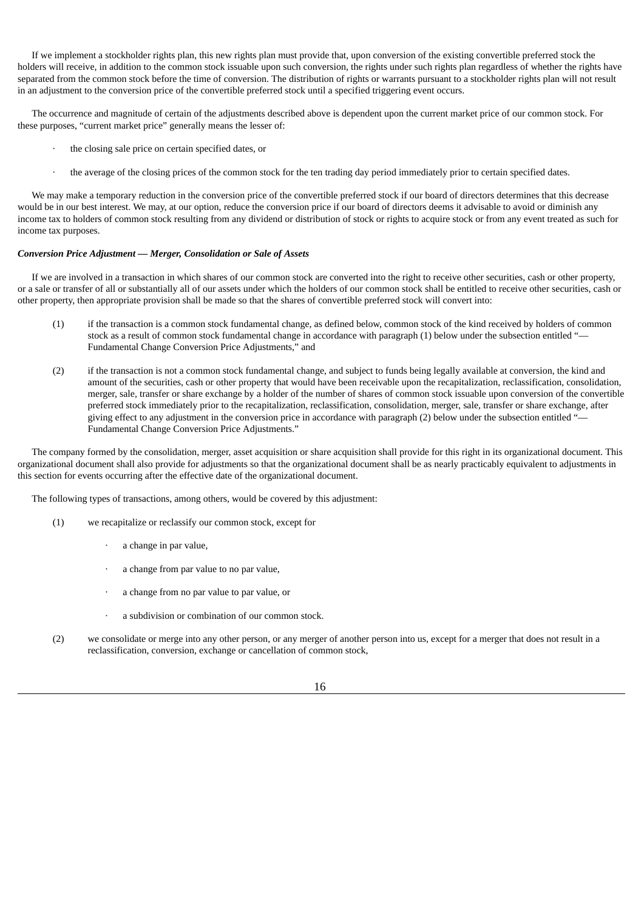If we implement a stockholder rights plan, this new rights plan must provide that, upon conversion of the existing convertible preferred stock the holders will receive, in addition to the common stock issuable upon such conversion, the rights under such rights plan regardless of whether the rights have separated from the common stock before the time of conversion. The distribution of rights or warrants pursuant to a stockholder rights plan will not result in an adjustment to the conversion price of the convertible preferred stock until a specified triggering event occurs.

The occurrence and magnitude of certain of the adjustments described above is dependent upon the current market price of our common stock. For these purposes, "current market price" generally means the lesser of:

- the closing sale price on certain specified dates, or
- · the average of the closing prices of the common stock for the ten trading day period immediately prior to certain specified dates.

We may make a temporary reduction in the conversion price of the convertible preferred stock if our board of directors determines that this decrease would be in our best interest. We may, at our option, reduce the conversion price if our board of directors deems it advisable to avoid or diminish any income tax to holders of common stock resulting from any dividend or distribution of stock or rights to acquire stock or from any event treated as such for income tax purposes.

### *Conversion Price Adjustment — Merger, Consolidation or Sale of Assets*

If we are involved in a transaction in which shares of our common stock are converted into the right to receive other securities, cash or other property, or a sale or transfer of all or substantially all of our assets under which the holders of our common stock shall be entitled to receive other securities, cash or other property, then appropriate provision shall be made so that the shares of convertible preferred stock will convert into:

- (1) if the transaction is a common stock fundamental change, as defined below, common stock of the kind received by holders of common stock as a result of common stock fundamental change in accordance with paragraph (1) below under the subsection entitled "-Fundamental Change Conversion Price Adjustments," and
- (2) if the transaction is not a common stock fundamental change, and subject to funds being legally available at conversion, the kind and amount of the securities, cash or other property that would have been receivable upon the recapitalization, reclassification, consolidation, merger, sale, transfer or share exchange by a holder of the number of shares of common stock issuable upon conversion of the convertible preferred stock immediately prior to the recapitalization, reclassification, consolidation, merger, sale, transfer or share exchange, after giving effect to any adjustment in the conversion price in accordance with paragraph (2) below under the subsection entitled "— Fundamental Change Conversion Price Adjustments."

The company formed by the consolidation, merger, asset acquisition or share acquisition shall provide for this right in its organizational document. This organizational document shall also provide for adjustments so that the organizational document shall be as nearly practicably equivalent to adjustments in this section for events occurring after the effective date of the organizational document.

The following types of transactions, among others, would be covered by this adjustment:

- (1) we recapitalize or reclassify our common stock, except for
	- · a change in par value,
	- · a change from par value to no par value,
	- · a change from no par value to par value, or
	- a subdivision or combination of our common stock.
- (2) we consolidate or merge into any other person, or any merger of another person into us, except for a merger that does not result in a reclassification, conversion, exchange or cancellation of common stock,

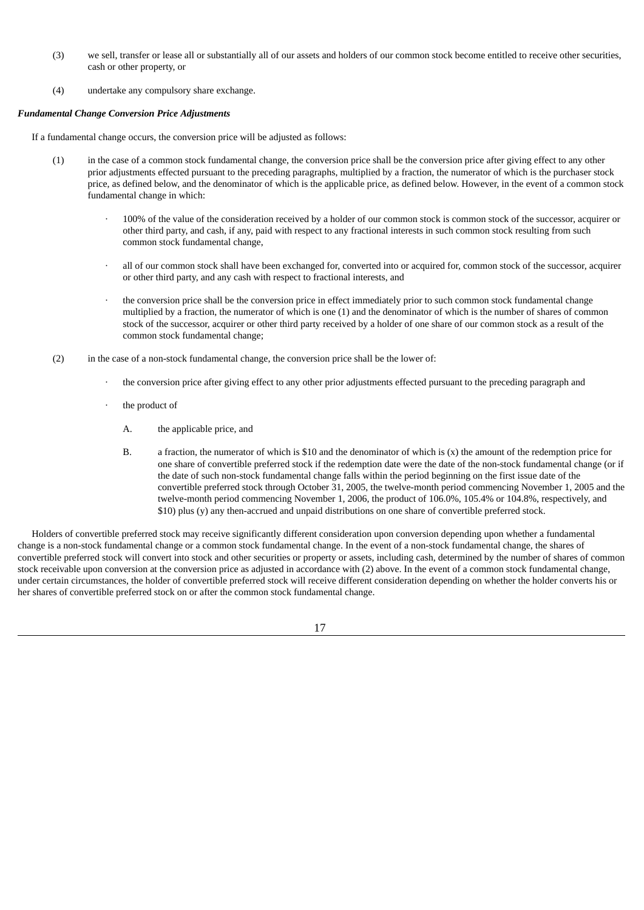- (3) we sell, transfer or lease all or substantially all of our assets and holders of our common stock become entitled to receive other securities, cash or other property, or
- (4) undertake any compulsory share exchange.

### *Fundamental Change Conversion Price Adjustments*

If a fundamental change occurs, the conversion price will be adjusted as follows:

- (1) in the case of a common stock fundamental change, the conversion price shall be the conversion price after giving effect to any other prior adjustments effected pursuant to the preceding paragraphs, multiplied by a fraction, the numerator of which is the purchaser stock price, as defined below, and the denominator of which is the applicable price, as defined below. However, in the event of a common stock fundamental change in which:
	- · 100% of the value of the consideration received by a holder of our common stock is common stock of the successor, acquirer or other third party, and cash, if any, paid with respect to any fractional interests in such common stock resulting from such common stock fundamental change,
	- all of our common stock shall have been exchanged for, converted into or acquired for, common stock of the successor, acquirer or other third party, and any cash with respect to fractional interests, and
	- the conversion price shall be the conversion price in effect immediately prior to such common stock fundamental change multiplied by a fraction, the numerator of which is one (1) and the denominator of which is the number of shares of common stock of the successor, acquirer or other third party received by a holder of one share of our common stock as a result of the common stock fundamental change;
- (2) in the case of a non-stock fundamental change, the conversion price shall be the lower of:
	- the conversion price after giving effect to any other prior adjustments effected pursuant to the preceding paragraph and
	- the product of
		- A. the applicable price, and
		- B. a fraction, the numerator of which is \$10 and the denominator of which is (x) the amount of the redemption price for one share of convertible preferred stock if the redemption date were the date of the non-stock fundamental change (or if the date of such non-stock fundamental change falls within the period beginning on the first issue date of the convertible preferred stock through October 31, 2005, the twelve-month period commencing November 1, 2005 and the twelve-month period commencing November 1, 2006, the product of 106.0%, 105.4% or 104.8%, respectively, and \$10) plus (y) any then-accrued and unpaid distributions on one share of convertible preferred stock.

Holders of convertible preferred stock may receive significantly different consideration upon conversion depending upon whether a fundamental change is a non-stock fundamental change or a common stock fundamental change. In the event of a non-stock fundamental change, the shares of convertible preferred stock will convert into stock and other securities or property or assets, including cash, determined by the number of shares of common stock receivable upon conversion at the conversion price as adjusted in accordance with (2) above. In the event of a common stock fundamental change, under certain circumstances, the holder of convertible preferred stock will receive different consideration depending on whether the holder converts his or her shares of convertible preferred stock on or after the common stock fundamental change.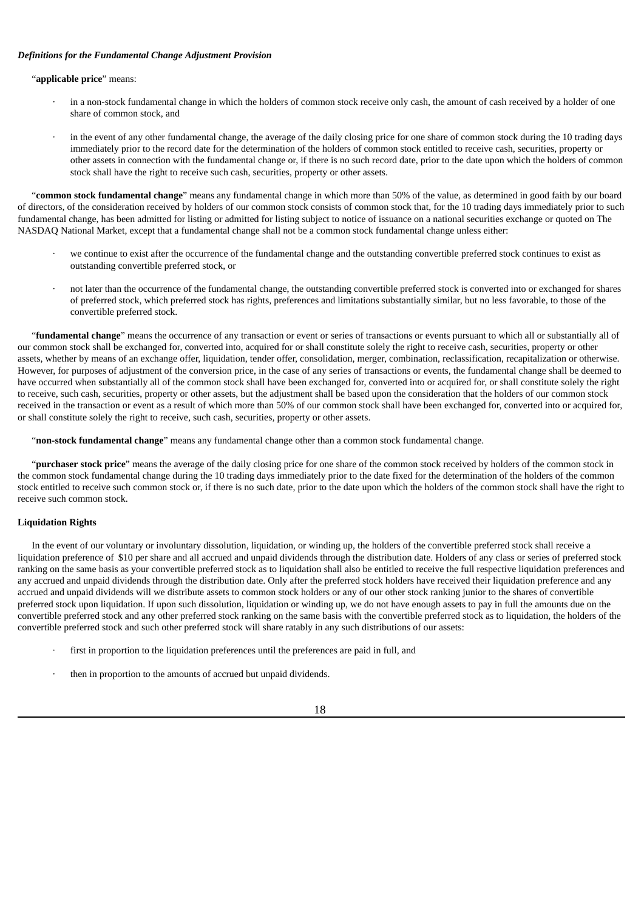### *Definitions for the Fundamental Change Adjustment Provision*

### "**applicable price**" means:

- in a non-stock fundamental change in which the holders of common stock receive only cash, the amount of cash received by a holder of one share of common stock, and
- in the event of any other fundamental change, the average of the daily closing price for one share of common stock during the 10 trading days immediately prior to the record date for the determination of the holders of common stock entitled to receive cash, securities, property or other assets in connection with the fundamental change or, if there is no such record date, prior to the date upon which the holders of common stock shall have the right to receive such cash, securities, property or other assets.

"**common stock fundamental change**" means any fundamental change in which more than 50% of the value, as determined in good faith by our board of directors, of the consideration received by holders of our common stock consists of common stock that, for the 10 trading days immediately prior to such fundamental change, has been admitted for listing or admitted for listing subject to notice of issuance on a national securities exchange or quoted on The NASDAQ National Market, except that a fundamental change shall not be a common stock fundamental change unless either:

- · we continue to exist after the occurrence of the fundamental change and the outstanding convertible preferred stock continues to exist as outstanding convertible preferred stock, or
- · not later than the occurrence of the fundamental change, the outstanding convertible preferred stock is converted into or exchanged for shares of preferred stock, which preferred stock has rights, preferences and limitations substantially similar, but no less favorable, to those of the convertible preferred stock.

"**fundamental change**" means the occurrence of any transaction or event or series of transactions or events pursuant to which all or substantially all of our common stock shall be exchanged for, converted into, acquired for or shall constitute solely the right to receive cash, securities, property or other assets, whether by means of an exchange offer, liquidation, tender offer, consolidation, merger, combination, reclassification, recapitalization or otherwise. However, for purposes of adjustment of the conversion price, in the case of any series of transactions or events, the fundamental change shall be deemed to have occurred when substantially all of the common stock shall have been exchanged for, converted into or acquired for, or shall constitute solely the right to receive, such cash, securities, property or other assets, but the adjustment shall be based upon the consideration that the holders of our common stock received in the transaction or event as a result of which more than 50% of our common stock shall have been exchanged for, converted into or acquired for, or shall constitute solely the right to receive, such cash, securities, property or other assets.

"**non-stock fundamental change**" means any fundamental change other than a common stock fundamental change.

"**purchaser stock price**" means the average of the daily closing price for one share of the common stock received by holders of the common stock in the common stock fundamental change during the 10 trading days immediately prior to the date fixed for the determination of the holders of the common stock entitled to receive such common stock or, if there is no such date, prior to the date upon which the holders of the common stock shall have the right to receive such common stock.

### **Liquidation Rights**

In the event of our voluntary or involuntary dissolution, liquidation, or winding up, the holders of the convertible preferred stock shall receive a liquidation preference of \$10 per share and all accrued and unpaid dividends through the distribution date. Holders of any class or series of preferred stock ranking on the same basis as your convertible preferred stock as to liquidation shall also be entitled to receive the full respective liquidation preferences and any accrued and unpaid dividends through the distribution date. Only after the preferred stock holders have received their liquidation preference and any accrued and unpaid dividends will we distribute assets to common stock holders or any of our other stock ranking junior to the shares of convertible preferred stock upon liquidation. If upon such dissolution, liquidation or winding up, we do not have enough assets to pay in full the amounts due on the convertible preferred stock and any other preferred stock ranking on the same basis with the convertible preferred stock as to liquidation, the holders of the convertible preferred stock and such other preferred stock will share ratably in any such distributions of our assets:

- first in proportion to the liquidation preferences until the preferences are paid in full, and
- then in proportion to the amounts of accrued but unpaid dividends.

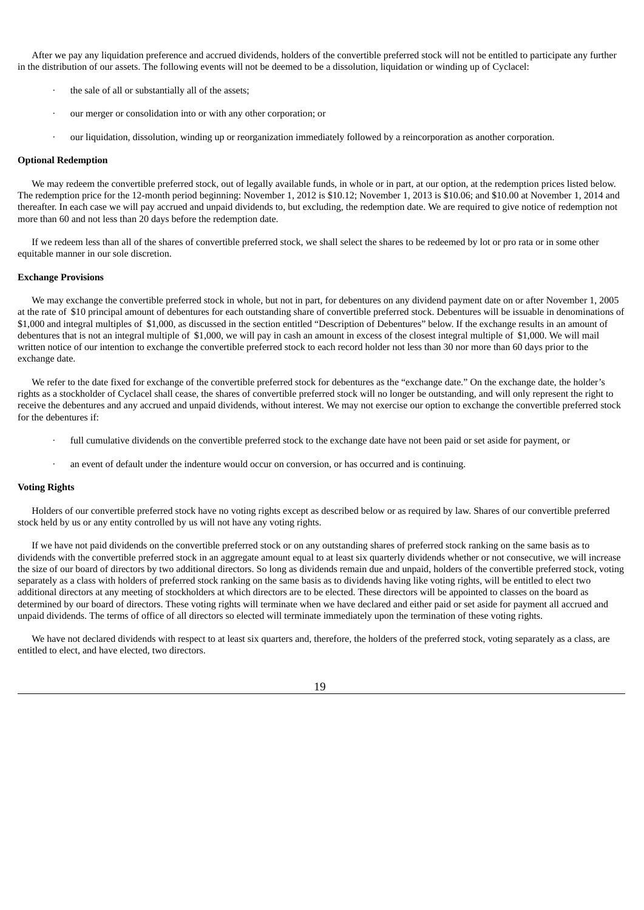After we pay any liquidation preference and accrued dividends, holders of the convertible preferred stock will not be entitled to participate any further in the distribution of our assets. The following events will not be deemed to be a dissolution, liquidation or winding up of Cyclacel:

- the sale of all or substantially all of the assets;
- · our merger or consolidation into or with any other corporation; or
- · our liquidation, dissolution, winding up or reorganization immediately followed by a reincorporation as another corporation.

#### **Optional Redemption**

We may redeem the convertible preferred stock, out of legally available funds, in whole or in part, at our option, at the redemption prices listed below. The redemption price for the 12-month period beginning: November 1, 2012 is \$10.12; November 1, 2013 is \$10.06; and \$10.00 at November 1, 2014 and thereafter. In each case we will pay accrued and unpaid dividends to, but excluding, the redemption date. We are required to give notice of redemption not more than 60 and not less than 20 days before the redemption date.

If we redeem less than all of the shares of convertible preferred stock, we shall select the shares to be redeemed by lot or pro rata or in some other equitable manner in our sole discretion.

#### **Exchange Provisions**

We may exchange the convertible preferred stock in whole, but not in part, for debentures on any dividend payment date on or after November 1, 2005 at the rate of \$10 principal amount of debentures for each outstanding share of convertible preferred stock. Debentures will be issuable in denominations of \$1,000 and integral multiples of \$1,000, as discussed in the section entitled "Description of Debentures" below. If the exchange results in an amount of debentures that is not an integral multiple of \$1,000, we will pay in cash an amount in excess of the closest integral multiple of \$1,000. We will mail written notice of our intention to exchange the convertible preferred stock to each record holder not less than 30 nor more than 60 days prior to the exchange date.

We refer to the date fixed for exchange of the convertible preferred stock for debentures as the "exchange date." On the exchange date, the holder's rights as a stockholder of Cyclacel shall cease, the shares of convertible preferred stock will no longer be outstanding, and will only represent the right to receive the debentures and any accrued and unpaid dividends, without interest. We may not exercise our option to exchange the convertible preferred stock for the debentures if:

- full cumulative dividends on the convertible preferred stock to the exchange date have not been paid or set aside for payment, or
- an event of default under the indenture would occur on conversion, or has occurred and is continuing.

#### **Voting Rights**

Holders of our convertible preferred stock have no voting rights except as described below or as required by law. Shares of our convertible preferred stock held by us or any entity controlled by us will not have any voting rights.

If we have not paid dividends on the convertible preferred stock or on any outstanding shares of preferred stock ranking on the same basis as to dividends with the convertible preferred stock in an aggregate amount equal to at least six quarterly dividends whether or not consecutive, we will increase the size of our board of directors by two additional directors. So long as dividends remain due and unpaid, holders of the convertible preferred stock, voting separately as a class with holders of preferred stock ranking on the same basis as to dividends having like voting rights, will be entitled to elect two additional directors at any meeting of stockholders at which directors are to be elected. These directors will be appointed to classes on the board as determined by our board of directors. These voting rights will terminate when we have declared and either paid or set aside for payment all accrued and unpaid dividends. The terms of office of all directors so elected will terminate immediately upon the termination of these voting rights.

We have not declared dividends with respect to at least six quarters and, therefore, the holders of the preferred stock, voting separately as a class, are entitled to elect, and have elected, two directors.

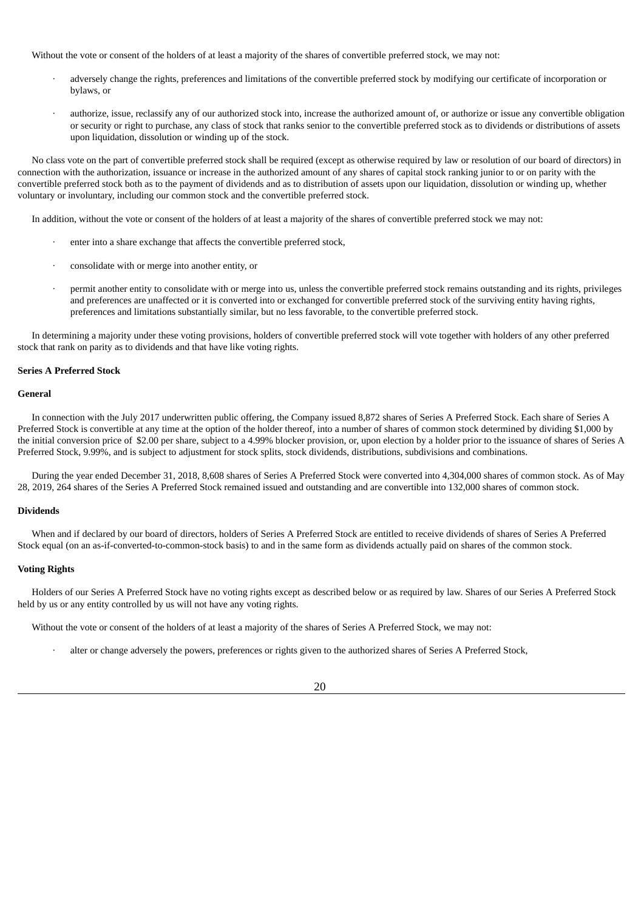Without the vote or consent of the holders of at least a majority of the shares of convertible preferred stock, we may not:

- · adversely change the rights, preferences and limitations of the convertible preferred stock by modifying our certificate of incorporation or bylaws, or
- authorize, issue, reclassify any of our authorized stock into, increase the authorized amount of, or authorize or issue any convertible obligation or security or right to purchase, any class of stock that ranks senior to the convertible preferred stock as to dividends or distributions of assets upon liquidation, dissolution or winding up of the stock.

No class vote on the part of convertible preferred stock shall be required (except as otherwise required by law or resolution of our board of directors) in connection with the authorization, issuance or increase in the authorized amount of any shares of capital stock ranking junior to or on parity with the convertible preferred stock both as to the payment of dividends and as to distribution of assets upon our liquidation, dissolution or winding up, whether voluntary or involuntary, including our common stock and the convertible preferred stock.

In addition, without the vote or consent of the holders of at least a majority of the shares of convertible preferred stock we may not:

- enter into a share exchange that affects the convertible preferred stock,
- consolidate with or merge into another entity, or
- · permit another entity to consolidate with or merge into us, unless the convertible preferred stock remains outstanding and its rights, privileges and preferences are unaffected or it is converted into or exchanged for convertible preferred stock of the surviving entity having rights, preferences and limitations substantially similar, but no less favorable, to the convertible preferred stock.

In determining a majority under these voting provisions, holders of convertible preferred stock will vote together with holders of any other preferred stock that rank on parity as to dividends and that have like voting rights.

### **Series A Preferred Stock**

#### **General**

In connection with the July 2017 underwritten public offering, the Company issued 8,872 shares of Series A Preferred Stock. Each share of Series A Preferred Stock is convertible at any time at the option of the holder thereof, into a number of shares of common stock determined by dividing \$1,000 by the initial conversion price of \$2.00 per share, subject to a 4.99% blocker provision, or, upon election by a holder prior to the issuance of shares of Series A Preferred Stock, 9.99%, and is subject to adjustment for stock splits, stock dividends, distributions, subdivisions and combinations.

During the year ended December 31, 2018, 8,608 shares of Series A Preferred Stock were converted into 4,304,000 shares of common stock. As of May 28, 2019, 264 shares of the Series A Preferred Stock remained issued and outstanding and are convertible into 132,000 shares of common stock.

#### **Dividends**

When and if declared by our board of directors, holders of Series A Preferred Stock are entitled to receive dividends of shares of Series A Preferred Stock equal (on an as-if-converted-to-common-stock basis) to and in the same form as dividends actually paid on shares of the common stock.

#### **Voting Rights**

Holders of our Series A Preferred Stock have no voting rights except as described below or as required by law. Shares of our Series A Preferred Stock held by us or any entity controlled by us will not have any voting rights.

Without the vote or consent of the holders of at least a majority of the shares of Series A Preferred Stock, we may not:

alter or change adversely the powers, preferences or rights given to the authorized shares of Series A Preferred Stock,

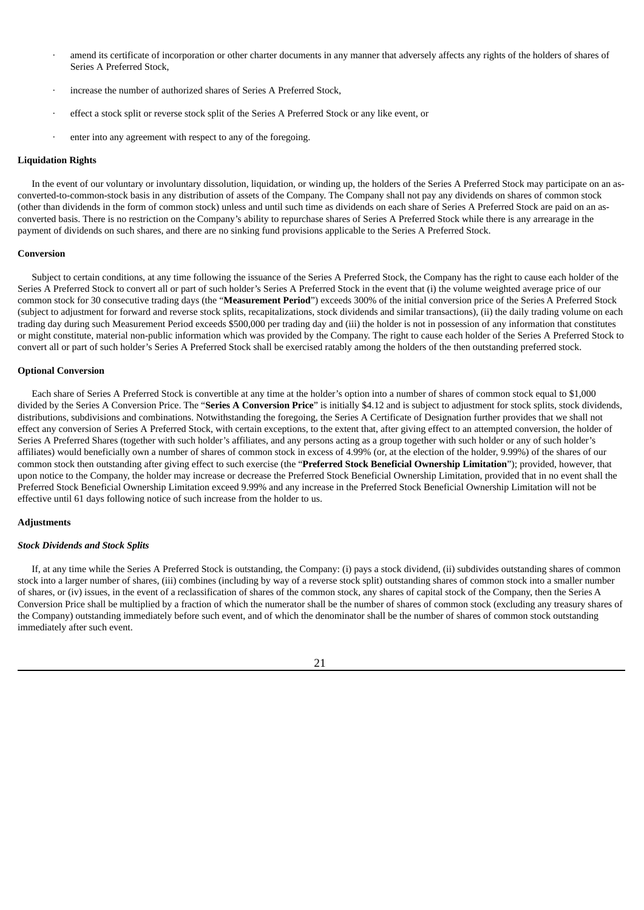- amend its certificate of incorporation or other charter documents in any manner that adversely affects any rights of the holders of shares of Series A Preferred Stock,
- increase the number of authorized shares of Series A Preferred Stock,
- effect a stock split or reverse stock split of the Series A Preferred Stock or any like event, or
- enter into any agreement with respect to any of the foregoing.

#### **Liquidation Rights**

In the event of our voluntary or involuntary dissolution, liquidation, or winding up, the holders of the Series A Preferred Stock may participate on an asconverted-to-common-stock basis in any distribution of assets of the Company. The Company shall not pay any dividends on shares of common stock (other than dividends in the form of common stock) unless and until such time as dividends on each share of Series A Preferred Stock are paid on an asconverted basis. There is no restriction on the Company's ability to repurchase shares of Series A Preferred Stock while there is any arrearage in the payment of dividends on such shares, and there are no sinking fund provisions applicable to the Series A Preferred Stock.

#### **Conversion**

Subject to certain conditions, at any time following the issuance of the Series A Preferred Stock, the Company has the right to cause each holder of the Series A Preferred Stock to convert all or part of such holder's Series A Preferred Stock in the event that (i) the volume weighted average price of our common stock for 30 consecutive trading days (the "**Measurement Period**") exceeds 300% of the initial conversion price of the Series A Preferred Stock (subject to adjustment for forward and reverse stock splits, recapitalizations, stock dividends and similar transactions), (ii) the daily trading volume on each trading day during such Measurement Period exceeds \$500,000 per trading day and (iii) the holder is not in possession of any information that constitutes or might constitute, material non-public information which was provided by the Company. The right to cause each holder of the Series A Preferred Stock to convert all or part of such holder's Series A Preferred Stock shall be exercised ratably among the holders of the then outstanding preferred stock.

#### **Optional Conversion**

Each share of Series A Preferred Stock is convertible at any time at the holder's option into a number of shares of common stock equal to \$1,000 divided by the Series A Conversion Price. The "**Series A Conversion Price**" is initially \$4.12 and is subject to adjustment for stock splits, stock dividends, distributions, subdivisions and combinations. Notwithstanding the foregoing, the Series A Certificate of Designation further provides that we shall not effect any conversion of Series A Preferred Stock, with certain exceptions, to the extent that, after giving effect to an attempted conversion, the holder of Series A Preferred Shares (together with such holder's affiliates, and any persons acting as a group together with such holder or any of such holder's affiliates) would beneficially own a number of shares of common stock in excess of 4.99% (or, at the election of the holder, 9.99%) of the shares of our common stock then outstanding after giving effect to such exercise (the "**Preferred Stock Beneficial Ownership Limitation**"); provided, however, that upon notice to the Company, the holder may increase or decrease the Preferred Stock Beneficial Ownership Limitation, provided that in no event shall the Preferred Stock Beneficial Ownership Limitation exceed 9.99% and any increase in the Preferred Stock Beneficial Ownership Limitation will not be effective until 61 days following notice of such increase from the holder to us.

#### **Adjustments**

#### *Stock Dividends and Stock Splits*

If, at any time while the Series A Preferred Stock is outstanding, the Company: (i) pays a stock dividend, (ii) subdivides outstanding shares of common stock into a larger number of shares, (iii) combines (including by way of a reverse stock split) outstanding shares of common stock into a smaller number of shares, or (iv) issues, in the event of a reclassification of shares of the common stock, any shares of capital stock of the Company, then the Series A Conversion Price shall be multiplied by a fraction of which the numerator shall be the number of shares of common stock (excluding any treasury shares of the Company) outstanding immediately before such event, and of which the denominator shall be the number of shares of common stock outstanding immediately after such event.

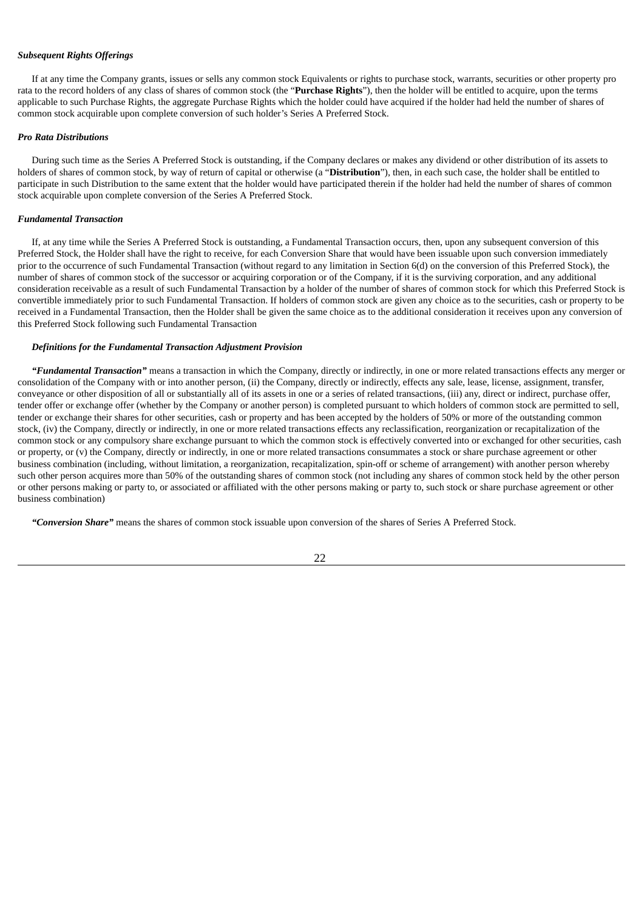### *Subsequent Rights Offerings*

If at any time the Company grants, issues or sells any common stock Equivalents or rights to purchase stock, warrants, securities or other property pro rata to the record holders of any class of shares of common stock (the "**Purchase Rights**"), then the holder will be entitled to acquire, upon the terms applicable to such Purchase Rights, the aggregate Purchase Rights which the holder could have acquired if the holder had held the number of shares of common stock acquirable upon complete conversion of such holder's Series A Preferred Stock.

#### *Pro Rata Distributions*

During such time as the Series A Preferred Stock is outstanding, if the Company declares or makes any dividend or other distribution of its assets to holders of shares of common stock, by way of return of capital or otherwise (a "**Distribution**"), then, in each such case, the holder shall be entitled to participate in such Distribution to the same extent that the holder would have participated therein if the holder had held the number of shares of common stock acquirable upon complete conversion of the Series A Preferred Stock.

#### *Fundamental Transaction*

If, at any time while the Series A Preferred Stock is outstanding, a Fundamental Transaction occurs, then, upon any subsequent conversion of this Preferred Stock, the Holder shall have the right to receive, for each Conversion Share that would have been issuable upon such conversion immediately prior to the occurrence of such Fundamental Transaction (without regard to any limitation in Section 6(d) on the conversion of this Preferred Stock), the number of shares of common stock of the successor or acquiring corporation or of the Company, if it is the surviving corporation, and any additional consideration receivable as a result of such Fundamental Transaction by a holder of the number of shares of common stock for which this Preferred Stock is convertible immediately prior to such Fundamental Transaction. If holders of common stock are given any choice as to the securities, cash or property to be received in a Fundamental Transaction, then the Holder shall be given the same choice as to the additional consideration it receives upon any conversion of this Preferred Stock following such Fundamental Transaction

#### *Definitions for the Fundamental Transaction Adjustment Provision*

*"Fundamental Transaction"* means a transaction in which the Company, directly or indirectly, in one or more related transactions effects any merger or consolidation of the Company with or into another person, (ii) the Company, directly or indirectly, effects any sale, lease, license, assignment, transfer, conveyance or other disposition of all or substantially all of its assets in one or a series of related transactions, (iii) any, direct or indirect, purchase offer, tender offer or exchange offer (whether by the Company or another person) is completed pursuant to which holders of common stock are permitted to sell, tender or exchange their shares for other securities, cash or property and has been accepted by the holders of 50% or more of the outstanding common stock, (iv) the Company, directly or indirectly, in one or more related transactions effects any reclassification, reorganization or recapitalization of the common stock or any compulsory share exchange pursuant to which the common stock is effectively converted into or exchanged for other securities, cash or property, or (v) the Company, directly or indirectly, in one or more related transactions consummates a stock or share purchase agreement or other business combination (including, without limitation, a reorganization, recapitalization, spin-off or scheme of arrangement) with another person whereby such other person acquires more than 50% of the outstanding shares of common stock (not including any shares of common stock held by the other person or other persons making or party to, or associated or affiliated with the other persons making or party to, such stock or share purchase agreement or other business combination)

*"Conversion Share"* means the shares of common stock issuable upon conversion of the shares of Series A Preferred Stock.

#### 22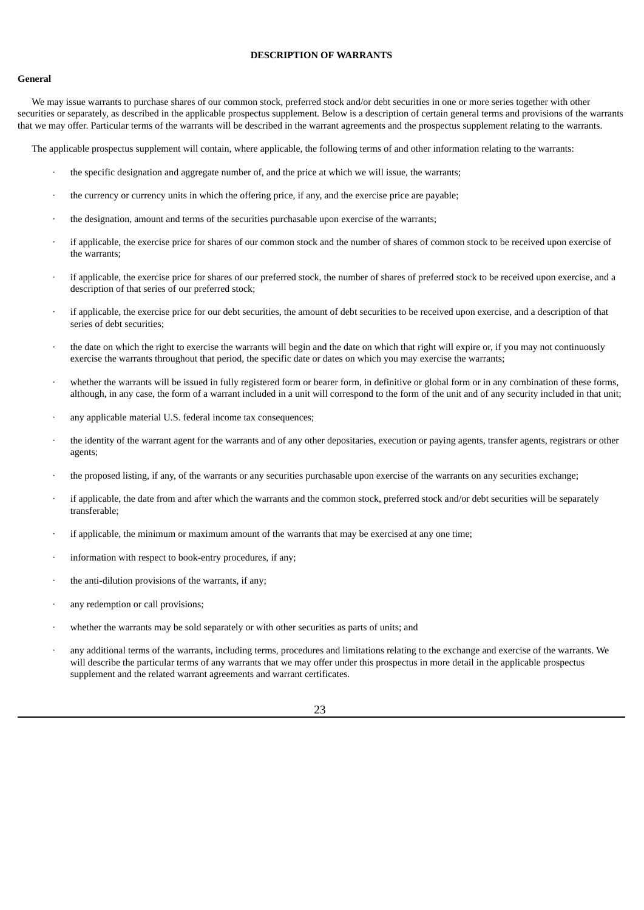# **DESCRIPTION OF WARRANTS**

### <span id="page-40-0"></span>**General**

We may issue warrants to purchase shares of our common stock, preferred stock and/or debt securities in one or more series together with other securities or separately, as described in the applicable prospectus supplement. Below is a description of certain general terms and provisions of the warrants that we may offer. Particular terms of the warrants will be described in the warrant agreements and the prospectus supplement relating to the warrants.

The applicable prospectus supplement will contain, where applicable, the following terms of and other information relating to the warrants:

- the specific designation and aggregate number of, and the price at which we will issue, the warrants;
- the currency or currency units in which the offering price, if any, and the exercise price are payable;
- · the designation, amount and terms of the securities purchasable upon exercise of the warrants;
- if applicable, the exercise price for shares of our common stock and the number of shares of common stock to be received upon exercise of the warrants;
- · if applicable, the exercise price for shares of our preferred stock, the number of shares of preferred stock to be received upon exercise, and a description of that series of our preferred stock;
- · if applicable, the exercise price for our debt securities, the amount of debt securities to be received upon exercise, and a description of that series of debt securities;
- the date on which the right to exercise the warrants will begin and the date on which that right will expire or, if you may not continuously exercise the warrants throughout that period, the specific date or dates on which you may exercise the warrants;
- whether the warrants will be issued in fully registered form or bearer form, in definitive or global form or in any combination of these forms, although, in any case, the form of a warrant included in a unit will correspond to the form of the unit and of any security included in that unit;
- any applicable material U.S. federal income tax consequences;
- the identity of the warrant agent for the warrants and of any other depositaries, execution or paying agents, transfer agents, registrars or other agents;
- · the proposed listing, if any, of the warrants or any securities purchasable upon exercise of the warrants on any securities exchange;
- if applicable, the date from and after which the warrants and the common stock, preferred stock and/or debt securities will be separately transferable;
- if applicable, the minimum or maximum amount of the warrants that may be exercised at any one time;
- information with respect to book-entry procedures, if any;
- the anti-dilution provisions of the warrants, if any;
- any redemption or call provisions:
- whether the warrants may be sold separately or with other securities as parts of units; and
- any additional terms of the warrants, including terms, procedures and limitations relating to the exchange and exercise of the warrants. We will describe the particular terms of any warrants that we may offer under this prospectus in more detail in the applicable prospectus supplement and the related warrant agreements and warrant certificates.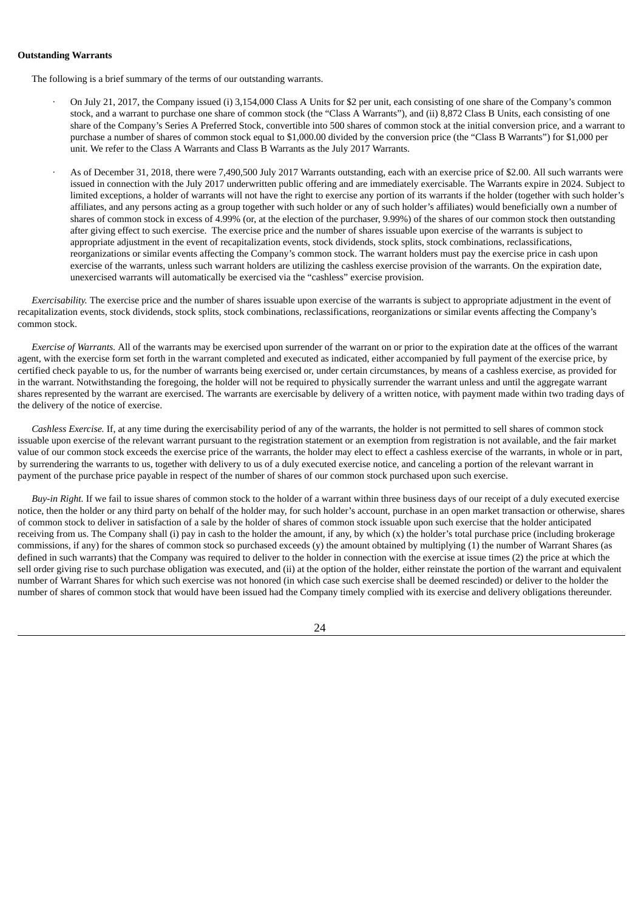### **Outstanding Warrants**

The following is a brief summary of the terms of our outstanding warrants.

- · On July 21, 2017, the Company issued (i) 3,154,000 Class A Units for \$2 per unit, each consisting of one share of the Company's common stock, and a warrant to purchase one share of common stock (the "Class A Warrants"), and (ii) 8,872 Class B Units, each consisting of one share of the Company's Series A Preferred Stock, convertible into 500 shares of common stock at the initial conversion price, and a warrant to purchase a number of shares of common stock equal to \$1,000.00 divided by the conversion price (the "Class B Warrants") for \$1,000 per unit. We refer to the Class A Warrants and Class B Warrants as the July 2017 Warrants.
- · As of December 31, 2018, there were 7,490,500 July 2017 Warrants outstanding, each with an exercise price of \$2.00. All such warrants were issued in connection with the July 2017 underwritten public offering and are immediately exercisable. The Warrants expire in 2024. Subject to limited exceptions, a holder of warrants will not have the right to exercise any portion of its warrants if the holder (together with such holder's affiliates, and any persons acting as a group together with such holder or any of such holder's affiliates) would beneficially own a number of shares of common stock in excess of 4.99% (or, at the election of the purchaser, 9.99%) of the shares of our common stock then outstanding after giving effect to such exercise. The exercise price and the number of shares issuable upon exercise of the warrants is subject to appropriate adjustment in the event of recapitalization events, stock dividends, stock splits, stock combinations, reclassifications, reorganizations or similar events affecting the Company's common stock. The warrant holders must pay the exercise price in cash upon exercise of the warrants, unless such warrant holders are utilizing the cashless exercise provision of the warrants. On the expiration date, unexercised warrants will automatically be exercised via the "cashless" exercise provision.

*Exercisability.* The exercise price and the number of shares issuable upon exercise of the warrants is subject to appropriate adjustment in the event of recapitalization events, stock dividends, stock splits, stock combinations, reclassifications, reorganizations or similar events affecting the Company's common stock.

*Exercise of Warrants.* All of the warrants may be exercised upon surrender of the warrant on or prior to the expiration date at the offices of the warrant agent, with the exercise form set forth in the warrant completed and executed as indicated, either accompanied by full payment of the exercise price, by certified check payable to us, for the number of warrants being exercised or, under certain circumstances, by means of a cashless exercise, as provided for in the warrant. Notwithstanding the foregoing, the holder will not be required to physically surrender the warrant unless and until the aggregate warrant shares represented by the warrant are exercised. The warrants are exercisable by delivery of a written notice, with payment made within two trading days of the delivery of the notice of exercise.

*Cashless Exercise.* If, at any time during the exercisability period of any of the warrants, the holder is not permitted to sell shares of common stock issuable upon exercise of the relevant warrant pursuant to the registration statement or an exemption from registration is not available, and the fair market value of our common stock exceeds the exercise price of the warrants, the holder may elect to effect a cashless exercise of the warrants, in whole or in part, by surrendering the warrants to us, together with delivery to us of a duly executed exercise notice, and canceling a portion of the relevant warrant in payment of the purchase price payable in respect of the number of shares of our common stock purchased upon such exercise.

*Buy-in Right.* If we fail to issue shares of common stock to the holder of a warrant within three business days of our receipt of a duly executed exercise notice, then the holder or any third party on behalf of the holder may, for such holder's account, purchase in an open market transaction or otherwise, shares of common stock to deliver in satisfaction of a sale by the holder of shares of common stock issuable upon such exercise that the holder anticipated receiving from us. The Company shall (i) pay in cash to the holder the amount, if any, by which  $(x)$  the holder's total purchase price (including brokerage commissions, if any) for the shares of common stock so purchased exceeds (y) the amount obtained by multiplying (1) the number of Warrant Shares (as defined in such warrants) that the Company was required to deliver to the holder in connection with the exercise at issue times (2) the price at which the sell order giving rise to such purchase obligation was executed, and (ii) at the option of the holder, either reinstate the portion of the warrant and equivalent number of Warrant Shares for which such exercise was not honored (in which case such exercise shall be deemed rescinded) or deliver to the holder the number of shares of common stock that would have been issued had the Company timely complied with its exercise and delivery obligations thereunder.

24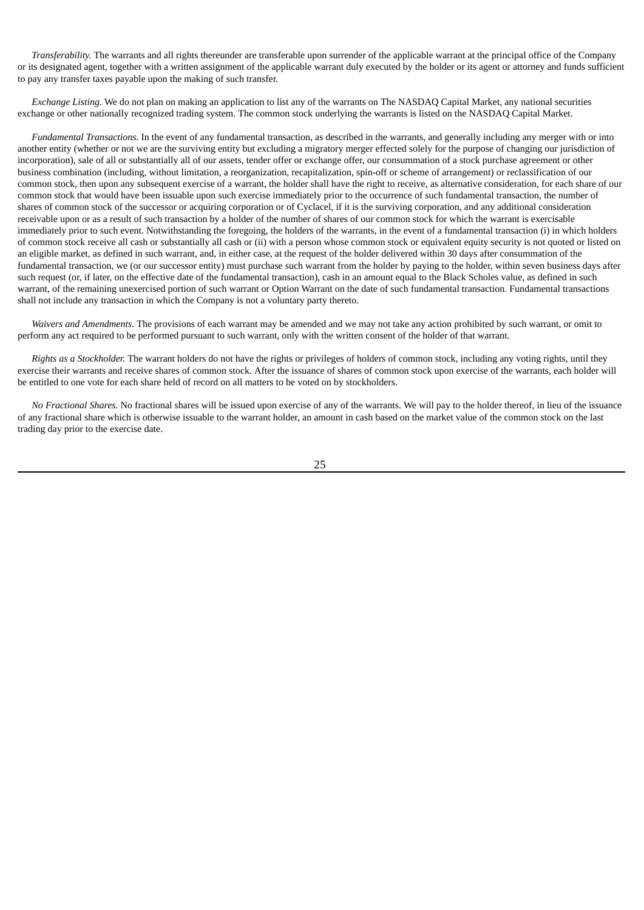*Transferability*. The warrants and all rights thereunder are transferable upon surrender of the applicable warrant at the principal office of the Company or its designated agent, together with a written assignment of the applicable warrant duly executed by the holder or its agent or attorney and funds sufficient to pay any transfer taxes payable upon the making of such transfer.

*Exchange Listing.* We do not plan on making an application to list any of the warrants on The NASDAQ Capital Market, any national securities exchange or other nationally recognized trading system. The common stock underlying the warrants is listed on the NASDAQ Capital Market.

*Fundamental Transactions.* In the event of any fundamental transaction, as described in the warrants, and generally including any merger with or into another entity (whether or not we are the surviving entity but excluding a migratory merger effected solely for the purpose of changing our jurisdiction of incorporation), sale of all or substantially all of our assets, tender offer or exchange offer, our consummation of a stock purchase agreement or other business combination (including, without limitation, a reorganization, recapitalization, spin-off or scheme of arrangement) or reclassification of our common stock, then upon any subsequent exercise of a warrant, the holder shall have the right to receive, as alternative consideration, for each share of our common stock that would have been issuable upon such exercise immediately prior to the occurrence of such fundamental transaction, the number of shares of common stock of the successor or acquiring corporation or of Cyclacel, if it is the surviving corporation, and any additional consideration receivable upon or as a result of such transaction by a holder of the number of shares of our common stock for which the warrant is exercisable immediately prior to such event. Notwithstanding the foregoing, the holders of the warrants, in the event of a fundamental transaction (i) in which holders of common stock receive all cash or substantially all cash or (ii) with a person whose common stock or equivalent equity security is not quoted or listed on an eligible market, as defined in such warrant, and, in either case, at the request of the holder delivered within 30 days after consummation of the fundamental transaction, we (or our successor entity) must purchase such warrant from the holder by paying to the holder, within seven business days after such request (or, if later, on the effective date of the fundamental transaction), cash in an amount equal to the Black Scholes value, as defined in such warrant, of the remaining unexercised portion of such warrant or Option Warrant on the date of such fundamental transaction. Fundamental transactions shall not include any transaction in which the Company is not a voluntary party thereto.

*Waivers and Amendments.* The provisions of each warrant may be amended and we may not take any action prohibited by such warrant, or omit to perform any act required to be performed pursuant to such warrant, only with the written consent of the holder of that warrant.

*Rights as a Stockholder.* The warrant holders do not have the rights or privileges of holders of common stock, including any voting rights, until they exercise their warrants and receive shares of common stock. After the issuance of shares of common stock upon exercise of the warrants, each holder will be entitled to one vote for each share held of record on all matters to be voted on by stockholders.

*No Fractional Shares.* No fractional shares will be issued upon exercise of any of the warrants. We will pay to the holder thereof, in lieu of the issuance of any fractional share which is otherwise issuable to the warrant holder, an amount in cash based on the market value of the common stock on the last trading day prior to the exercise date.

25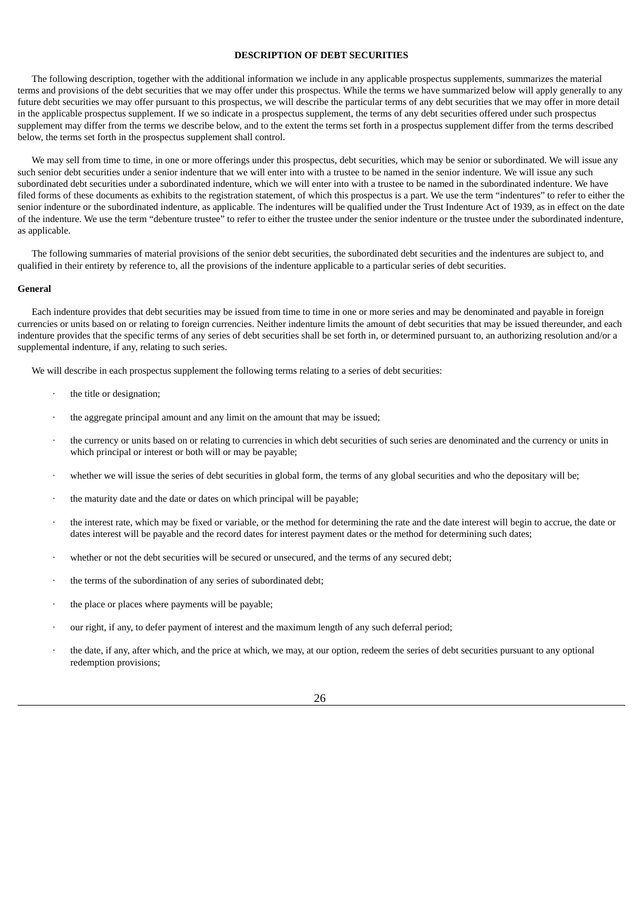## **DESCRIPTION OF DEBT SECURITIES**

<span id="page-43-0"></span>The following description, together with the additional information we include in any applicable prospectus supplements, summarizes the material terms and provisions of the debt securities that we may offer under this prospectus. While the terms we have summarized below will apply generally to any future debt securities we may offer pursuant to this prospectus, we will describe the particular terms of any debt securities that we may offer in more detail in the applicable prospectus supplement. If we so indicate in a prospectus supplement, the terms of any debt securities offered under such prospectus supplement may differ from the terms we describe below, and to the extent the terms set forth in a prospectus supplement differ from the terms described below, the terms set forth in the prospectus supplement shall control.

We may sell from time to time, in one or more offerings under this prospectus, debt securities, which may be senior or subordinated. We will issue any such senior debt securities under a senior indenture that we will enter into with a trustee to be named in the senior indenture. We will issue any such subordinated debt securities under a subordinated indenture, which we will enter into with a trustee to be named in the subordinated indenture. We have filed forms of these documents as exhibits to the registration statement, of which this prospectus is a part. We use the term "indentures" to refer to either the senior indenture or the subordinated indenture, as applicable. The indentures will be qualified under the Trust Indenture Act of 1939, as in effect on the date of the indenture. We use the term "debenture trustee" to refer to either the trustee under the senior indenture or the trustee under the subordinated indenture, as applicable.

The following summaries of material provisions of the senior debt securities, the subordinated debt securities and the indentures are subject to, and qualified in their entirety by reference to, all the provisions of the indenture applicable to a particular series of debt securities.

#### **General**

Each indenture provides that debt securities may be issued from time to time in one or more series and may be denominated and payable in foreign currencies or units based on or relating to foreign currencies. Neither indenture limits the amount of debt securities that may be issued thereunder, and each indenture provides that the specific terms of any series of debt securities shall be set forth in, or determined pursuant to, an authorizing resolution and/or a supplemental indenture, if any, relating to such series.

We will describe in each prospectus supplement the following terms relating to a series of debt securities:

- the title or designation;
- the aggregate principal amount and any limit on the amount that may be issued;
- the currency or units based on or relating to currencies in which debt securities of such series are denominated and the currency or units in which principal or interest or both will or may be payable;
- · whether we will issue the series of debt securities in global form, the terms of any global securities and who the depositary will be;
- the maturity date and the date or dates on which principal will be payable;
- · the interest rate, which may be fixed or variable, or the method for determining the rate and the date interest will begin to accrue, the date or dates interest will be payable and the record dates for interest payment dates or the method for determining such dates;
- whether or not the debt securities will be secured or unsecured, and the terms of any secured debt;
- the terms of the subordination of any series of subordinated debt;
- · the place or places where payments will be payable;
- our right, if any, to defer payment of interest and the maximum length of any such deferral period;
- the date, if any, after which, and the price at which, we may, at our option, redeem the series of debt securities pursuant to any optional redemption provisions;

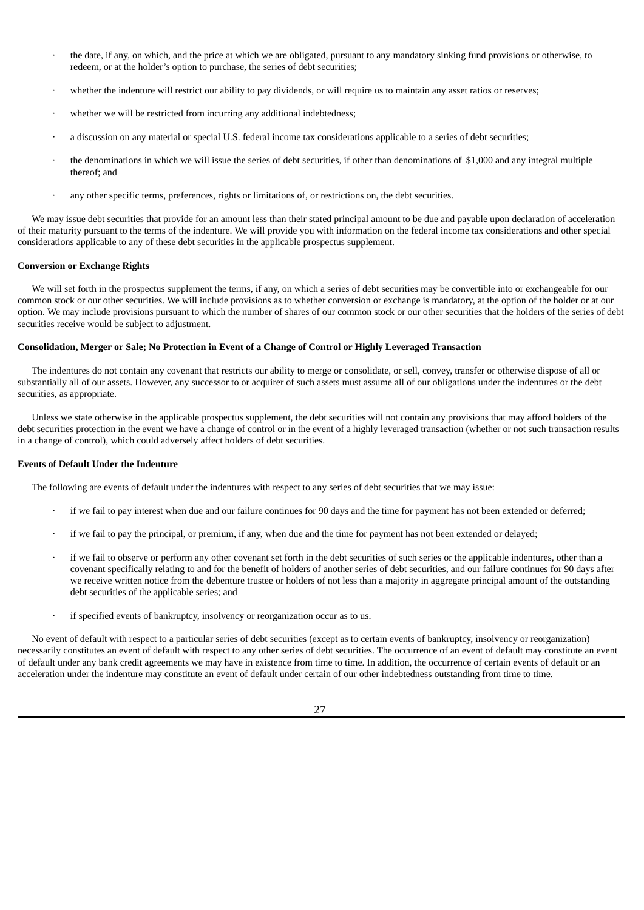- · the date, if any, on which, and the price at which we are obligated, pursuant to any mandatory sinking fund provisions or otherwise, to redeem, or at the holder's option to purchase, the series of debt securities;
- whether the indenture will restrict our ability to pay dividends, or will require us to maintain any asset ratios or reserves;
- whether we will be restricted from incurring any additional indebtedness;
- · a discussion on any material or special U.S. federal income tax considerations applicable to a series of debt securities;
- the denominations in which we will issue the series of debt securities, if other than denominations of \$1,000 and any integral multiple thereof; and
- any other specific terms, preferences, rights or limitations of, or restrictions on, the debt securities.

We may issue debt securities that provide for an amount less than their stated principal amount to be due and payable upon declaration of acceleration of their maturity pursuant to the terms of the indenture. We will provide you with information on the federal income tax considerations and other special considerations applicable to any of these debt securities in the applicable prospectus supplement.

#### **Conversion or Exchange Rights**

We will set forth in the prospectus supplement the terms, if any, on which a series of debt securities may be convertible into or exchangeable for our common stock or our other securities. We will include provisions as to whether conversion or exchange is mandatory, at the option of the holder or at our option. We may include provisions pursuant to which the number of shares of our common stock or our other securities that the holders of the series of debt securities receive would be subject to adjustment.

### Consolidation, Merger or Sale; No Protection in Event of a Change of Control or Highly Leveraged Transaction

The indentures do not contain any covenant that restricts our ability to merge or consolidate, or sell, convey, transfer or otherwise dispose of all or substantially all of our assets. However, any successor to or acquirer of such assets must assume all of our obligations under the indentures or the debt securities, as appropriate.

Unless we state otherwise in the applicable prospectus supplement, the debt securities will not contain any provisions that may afford holders of the debt securities protection in the event we have a change of control or in the event of a highly leveraged transaction (whether or not such transaction results in a change of control), which could adversely affect holders of debt securities.

### **Events of Default Under the Indenture**

The following are events of default under the indentures with respect to any series of debt securities that we may issue:

- if we fail to pay interest when due and our failure continues for 90 days and the time for payment has not been extended or deferred;
- · if we fail to pay the principal, or premium, if any, when due and the time for payment has not been extended or delayed;
- if we fail to observe or perform any other covenant set forth in the debt securities of such series or the applicable indentures, other than a covenant specifically relating to and for the benefit of holders of another series of debt securities, and our failure continues for 90 days after we receive written notice from the debenture trustee or holders of not less than a majority in aggregate principal amount of the outstanding debt securities of the applicable series; and
- if specified events of bankruptcy, insolvency or reorganization occur as to us.

No event of default with respect to a particular series of debt securities (except as to certain events of bankruptcy, insolvency or reorganization) necessarily constitutes an event of default with respect to any other series of debt securities. The occurrence of an event of default may constitute an event of default under any bank credit agreements we may have in existence from time to time. In addition, the occurrence of certain events of default or an acceleration under the indenture may constitute an event of default under certain of our other indebtedness outstanding from time to time.

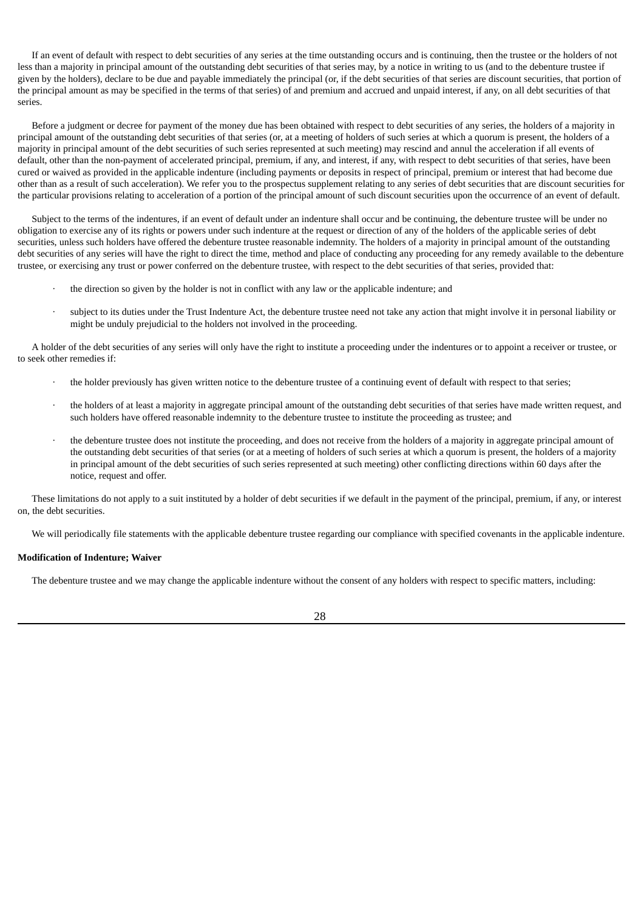If an event of default with respect to debt securities of any series at the time outstanding occurs and is continuing, then the trustee or the holders of not less than a majority in principal amount of the outstanding debt securities of that series may, by a notice in writing to us (and to the debenture trustee if given by the holders), declare to be due and payable immediately the principal (or, if the debt securities of that series are discount securities, that portion of the principal amount as may be specified in the terms of that series) of and premium and accrued and unpaid interest, if any, on all debt securities of that series.

Before a judgment or decree for payment of the money due has been obtained with respect to debt securities of any series, the holders of a majority in principal amount of the outstanding debt securities of that series (or, at a meeting of holders of such series at which a quorum is present, the holders of a majority in principal amount of the debt securities of such series represented at such meeting) may rescind and annul the acceleration if all events of default, other than the non-payment of accelerated principal, premium, if any, and interest, if any, with respect to debt securities of that series, have been cured or waived as provided in the applicable indenture (including payments or deposits in respect of principal, premium or interest that had become due other than as a result of such acceleration). We refer you to the prospectus supplement relating to any series of debt securities that are discount securities for the particular provisions relating to acceleration of a portion of the principal amount of such discount securities upon the occurrence of an event of default.

Subject to the terms of the indentures, if an event of default under an indenture shall occur and be continuing, the debenture trustee will be under no obligation to exercise any of its rights or powers under such indenture at the request or direction of any of the holders of the applicable series of debt securities, unless such holders have offered the debenture trustee reasonable indemnity. The holders of a majority in principal amount of the outstanding debt securities of any series will have the right to direct the time, method and place of conducting any proceeding for any remedy available to the debenture trustee, or exercising any trust or power conferred on the debenture trustee, with respect to the debt securities of that series, provided that:

- the direction so given by the holder is not in conflict with any law or the applicable indenture; and
- subject to its duties under the Trust Indenture Act, the debenture trustee need not take any action that might involve it in personal liability or might be unduly prejudicial to the holders not involved in the proceeding.

A holder of the debt securities of any series will only have the right to institute a proceeding under the indentures or to appoint a receiver or trustee, or to seek other remedies if:

- · the holder previously has given written notice to the debenture trustee of a continuing event of default with respect to that series;
- · the holders of at least a majority in aggregate principal amount of the outstanding debt securities of that series have made written request, and such holders have offered reasonable indemnity to the debenture trustee to institute the proceeding as trustee; and
- the debenture trustee does not institute the proceeding, and does not receive from the holders of a majority in aggregate principal amount of the outstanding debt securities of that series (or at a meeting of holders of such series at which a quorum is present, the holders of a majority in principal amount of the debt securities of such series represented at such meeting) other conflicting directions within 60 days after the notice, request and offer.

These limitations do not apply to a suit instituted by a holder of debt securities if we default in the payment of the principal, premium, if any, or interest on, the debt securities.

We will periodically file statements with the applicable debenture trustee regarding our compliance with specified covenants in the applicable indenture.

#### **Modification of Indenture; Waiver**

The debenture trustee and we may change the applicable indenture without the consent of any holders with respect to specific matters, including:

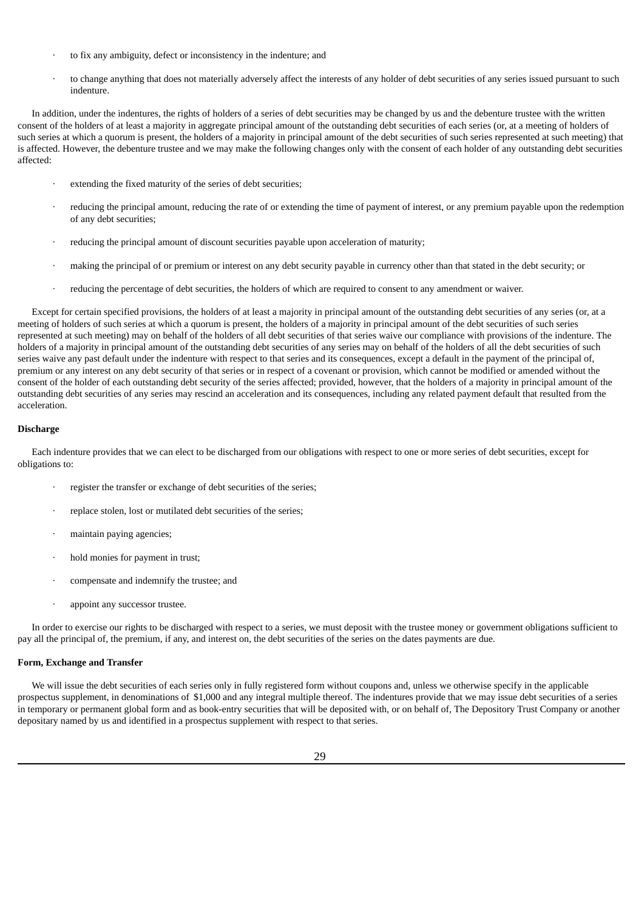- · to fix any ambiguity, defect or inconsistency in the indenture; and
- · to change anything that does not materially adversely affect the interests of any holder of debt securities of any series issued pursuant to such indenture.

In addition, under the indentures, the rights of holders of a series of debt securities may be changed by us and the debenture trustee with the written consent of the holders of at least a majority in aggregate principal amount of the outstanding debt securities of each series (or, at a meeting of holders of such series at which a quorum is present, the holders of a majority in principal amount of the debt securities of such series represented at such meeting) that is affected. However, the debenture trustee and we may make the following changes only with the consent of each holder of any outstanding debt securities affected:

- extending the fixed maturity of the series of debt securities;
- · reducing the principal amount, reducing the rate of or extending the time of payment of interest, or any premium payable upon the redemption of any debt securities;
- reducing the principal amount of discount securities payable upon acceleration of maturity;
- making the principal of or premium or interest on any debt security payable in currency other than that stated in the debt security; or
- · reducing the percentage of debt securities, the holders of which are required to consent to any amendment or waiver.

Except for certain specified provisions, the holders of at least a majority in principal amount of the outstanding debt securities of any series (or, at a meeting of holders of such series at which a quorum is present, the holders of a majority in principal amount of the debt securities of such series represented at such meeting) may on behalf of the holders of all debt securities of that series waive our compliance with provisions of the indenture. The holders of a majority in principal amount of the outstanding debt securities of any series may on behalf of the holders of all the debt securities of such series waive any past default under the indenture with respect to that series and its consequences, except a default in the payment of the principal of, premium or any interest on any debt security of that series or in respect of a covenant or provision, which cannot be modified or amended without the consent of the holder of each outstanding debt security of the series affected; provided, however, that the holders of a majority in principal amount of the outstanding debt securities of any series may rescind an acceleration and its consequences, including any related payment default that resulted from the acceleration.

### **Discharge**

Each indenture provides that we can elect to be discharged from our obligations with respect to one or more series of debt securities, except for obligations to:

- register the transfer or exchange of debt securities of the series;
- replace stolen, lost or mutilated debt securities of the series;
- maintain paying agencies;
- hold monies for payment in trust;
- compensate and indemnify the trustee; and
- appoint any successor trustee.

In order to exercise our rights to be discharged with respect to a series, we must deposit with the trustee money or government obligations sufficient to pay all the principal of, the premium, if any, and interest on, the debt securities of the series on the dates payments are due.

### **Form, Exchange and Transfer**

We will issue the debt securities of each series only in fully registered form without coupons and, unless we otherwise specify in the applicable prospectus supplement, in denominations of \$1,000 and any integral multiple thereof. The indentures provide that we may issue debt securities of a series in temporary or permanent global form and as book-entry securities that will be deposited with, or on behalf of, The Depository Trust Company or another depositary named by us and identified in a prospectus supplement with respect to that series.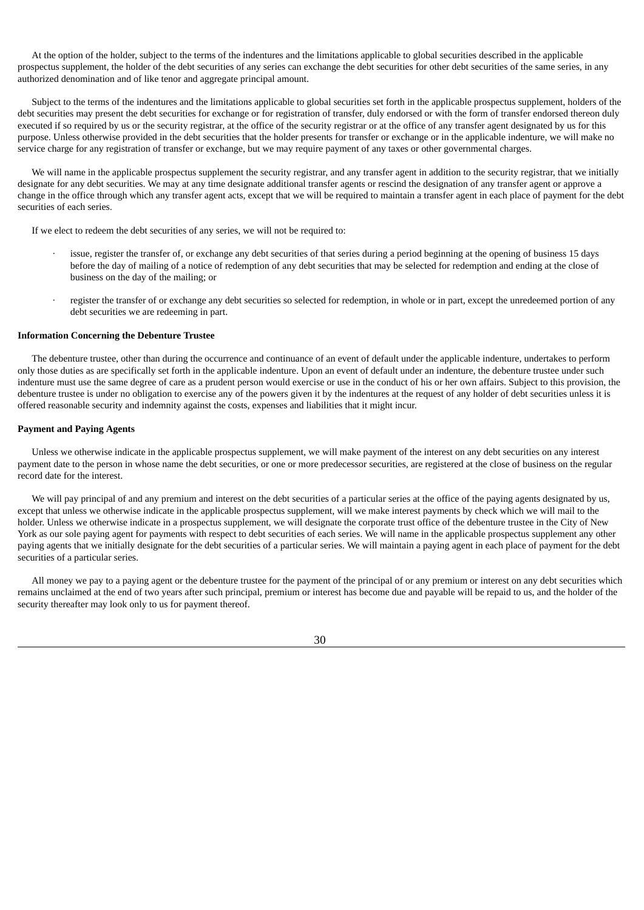At the option of the holder, subject to the terms of the indentures and the limitations applicable to global securities described in the applicable prospectus supplement, the holder of the debt securities of any series can exchange the debt securities for other debt securities of the same series, in any authorized denomination and of like tenor and aggregate principal amount.

Subject to the terms of the indentures and the limitations applicable to global securities set forth in the applicable prospectus supplement, holders of the debt securities may present the debt securities for exchange or for registration of transfer, duly endorsed or with the form of transfer endorsed thereon duly executed if so required by us or the security registrar, at the office of the security registrar or at the office of any transfer agent designated by us for this purpose. Unless otherwise provided in the debt securities that the holder presents for transfer or exchange or in the applicable indenture, we will make no service charge for any registration of transfer or exchange, but we may require payment of any taxes or other governmental charges.

We will name in the applicable prospectus supplement the security registrar, and any transfer agent in addition to the security registrar, that we initially designate for any debt securities. We may at any time designate additional transfer agents or rescind the designation of any transfer agent or approve a change in the office through which any transfer agent acts, except that we will be required to maintain a transfer agent in each place of payment for the debt securities of each series.

If we elect to redeem the debt securities of any series, we will not be required to:

- issue, register the transfer of, or exchange any debt securities of that series during a period beginning at the opening of business 15 days before the day of mailing of a notice of redemption of any debt securities that may be selected for redemption and ending at the close of business on the day of the mailing; or
- register the transfer of or exchange any debt securities so selected for redemption, in whole or in part, except the unredeemed portion of any debt securities we are redeeming in part.

## **Information Concerning the Debenture Trustee**

The debenture trustee, other than during the occurrence and continuance of an event of default under the applicable indenture, undertakes to perform only those duties as are specifically set forth in the applicable indenture. Upon an event of default under an indenture, the debenture trustee under such indenture must use the same degree of care as a prudent person would exercise or use in the conduct of his or her own affairs. Subject to this provision, the debenture trustee is under no obligation to exercise any of the powers given it by the indentures at the request of any holder of debt securities unless it is offered reasonable security and indemnity against the costs, expenses and liabilities that it might incur.

### **Payment and Paying Agents**

Unless we otherwise indicate in the applicable prospectus supplement, we will make payment of the interest on any debt securities on any interest payment date to the person in whose name the debt securities, or one or more predecessor securities, are registered at the close of business on the regular record date for the interest.

We will pay principal of and any premium and interest on the debt securities of a particular series at the office of the paying agents designated by us, except that unless we otherwise indicate in the applicable prospectus supplement, will we make interest payments by check which we will mail to the holder. Unless we otherwise indicate in a prospectus supplement, we will designate the corporate trust office of the debenture trustee in the City of New York as our sole paying agent for payments with respect to debt securities of each series. We will name in the applicable prospectus supplement any other paying agents that we initially designate for the debt securities of a particular series. We will maintain a paying agent in each place of payment for the debt securities of a particular series.

All money we pay to a paying agent or the debenture trustee for the payment of the principal of or any premium or interest on any debt securities which remains unclaimed at the end of two years after such principal, premium or interest has become due and payable will be repaid to us, and the holder of the security thereafter may look only to us for payment thereof.

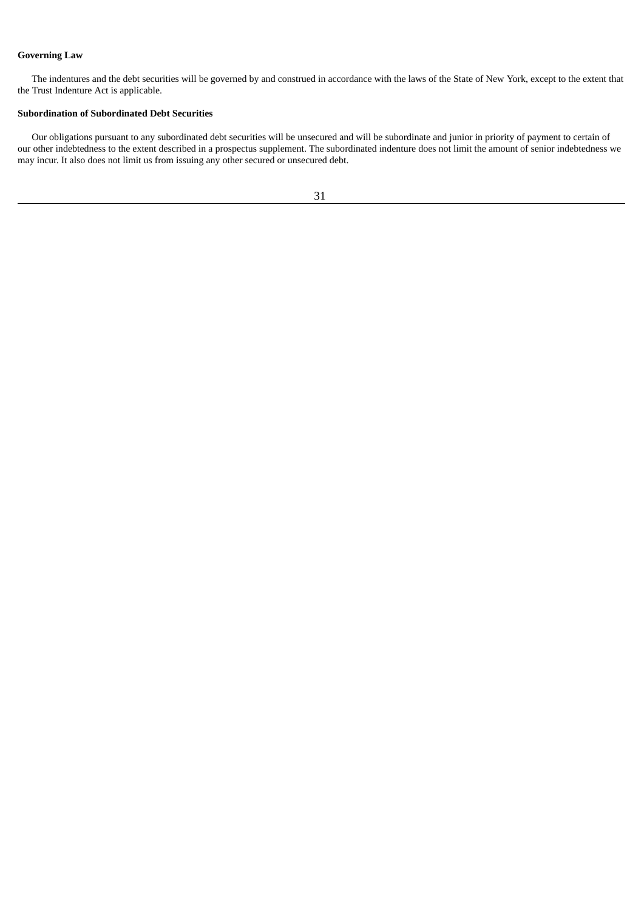# **Governing Law**

The indentures and the debt securities will be governed by and construed in accordance with the laws of the State of New York, except to the extent that the Trust Indenture Act is applicable.

# **Subordination of Subordinated Debt Securities**

Our obligations pursuant to any subordinated debt securities will be unsecured and will be subordinate and junior in priority of payment to certain of our other indebtedness to the extent described in a prospectus supplement. The subordinated indenture does not limit the amount of senior indebtedness we may incur. It also does not limit us from issuing any other secured or unsecured debt.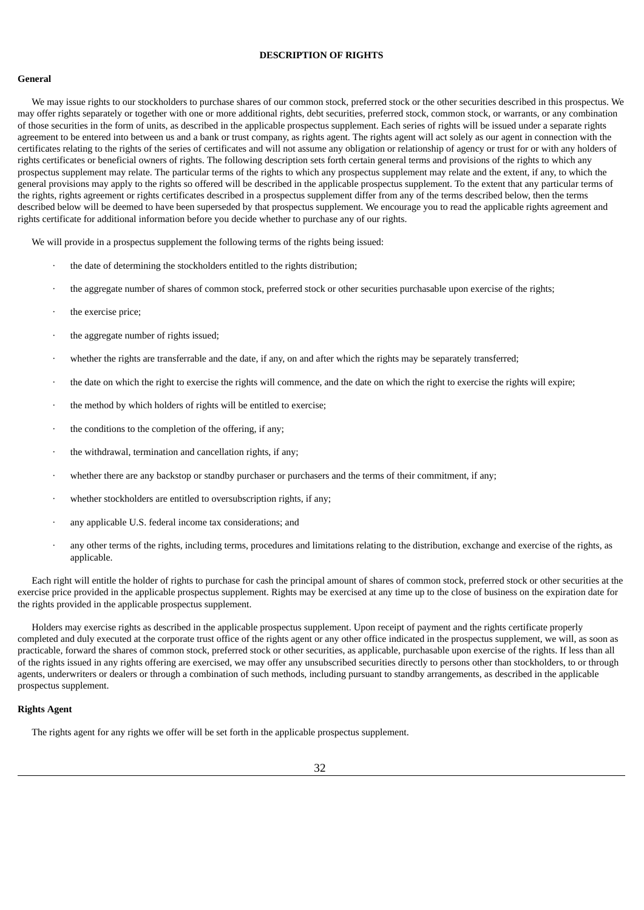### **DESCRIPTION OF RIGHTS**

### <span id="page-49-0"></span>**General**

We may issue rights to our stockholders to purchase shares of our common stock, preferred stock or the other securities described in this prospectus. We may offer rights separately or together with one or more additional rights, debt securities, preferred stock, common stock, or warrants, or any combination of those securities in the form of units, as described in the applicable prospectus supplement. Each series of rights will be issued under a separate rights agreement to be entered into between us and a bank or trust company, as rights agent. The rights agent will act solely as our agent in connection with the certificates relating to the rights of the series of certificates and will not assume any obligation or relationship of agency or trust for or with any holders of rights certificates or beneficial owners of rights. The following description sets forth certain general terms and provisions of the rights to which any prospectus supplement may relate. The particular terms of the rights to which any prospectus supplement may relate and the extent, if any, to which the general provisions may apply to the rights so offered will be described in the applicable prospectus supplement. To the extent that any particular terms of the rights, rights agreement or rights certificates described in a prospectus supplement differ from any of the terms described below, then the terms described below will be deemed to have been superseded by that prospectus supplement. We encourage you to read the applicable rights agreement and rights certificate for additional information before you decide whether to purchase any of our rights.

We will provide in a prospectus supplement the following terms of the rights being issued:

- the date of determining the stockholders entitled to the rights distribution;
- · the aggregate number of shares of common stock, preferred stock or other securities purchasable upon exercise of the rights;
- the exercise price;
- · the aggregate number of rights issued;
- whether the rights are transferrable and the date, if any, on and after which the rights may be separately transferred;
- · the date on which the right to exercise the rights will commence, and the date on which the right to exercise the rights will expire;
- the method by which holders of rights will be entitled to exercise;
- the conditions to the completion of the offering, if any;
- the withdrawal, termination and cancellation rights, if any;
- whether there are any backstop or standby purchaser or purchasers and the terms of their commitment, if any;
- whether stockholders are entitled to oversubscription rights, if any;
- any applicable U.S. federal income tax considerations; and
- · any other terms of the rights, including terms, procedures and limitations relating to the distribution, exchange and exercise of the rights, as applicable.

Each right will entitle the holder of rights to purchase for cash the principal amount of shares of common stock, preferred stock or other securities at the exercise price provided in the applicable prospectus supplement. Rights may be exercised at any time up to the close of business on the expiration date for the rights provided in the applicable prospectus supplement.

Holders may exercise rights as described in the applicable prospectus supplement. Upon receipt of payment and the rights certificate properly completed and duly executed at the corporate trust office of the rights agent or any other office indicated in the prospectus supplement, we will, as soon as practicable, forward the shares of common stock, preferred stock or other securities, as applicable, purchasable upon exercise of the rights. If less than all of the rights issued in any rights offering are exercised, we may offer any unsubscribed securities directly to persons other than stockholders, to or through agents, underwriters or dealers or through a combination of such methods, including pursuant to standby arrangements, as described in the applicable prospectus supplement.

#### **Rights Agent**

The rights agent for any rights we offer will be set forth in the applicable prospectus supplement.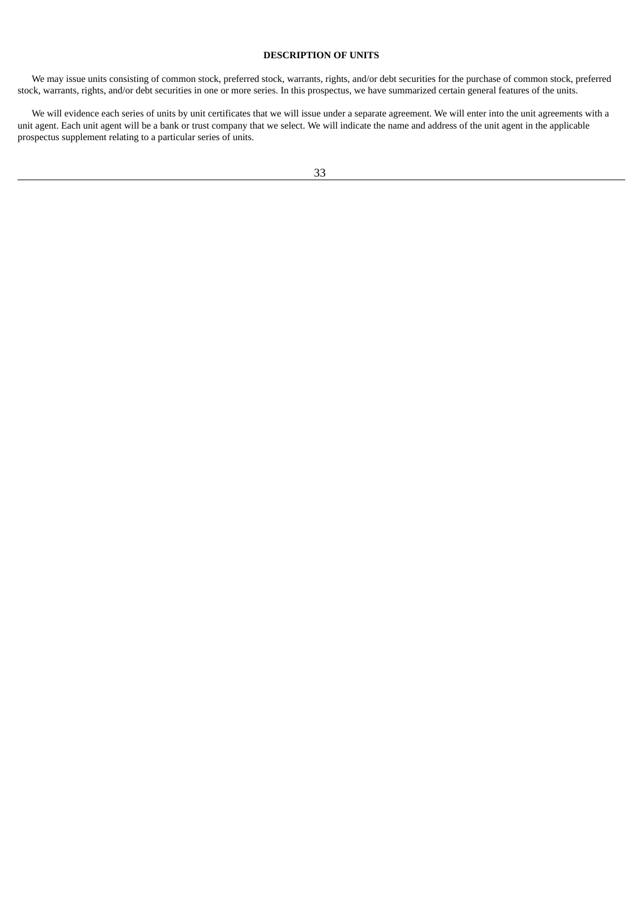### **DESCRIPTION OF UNITS**

<span id="page-50-0"></span>We may issue units consisting of common stock, preferred stock, warrants, rights, and/or debt securities for the purchase of common stock, preferred stock, warrants, rights, and/or debt securities in one or more series. In this prospectus, we have summarized certain general features of the units.

We will evidence each series of units by unit certificates that we will issue under a separate agreement. We will enter into the unit agreements with a unit agent. Each unit agent will be a bank or trust company that we select. We will indicate the name and address of the unit agent in the applicable prospectus supplement relating to a particular series of units.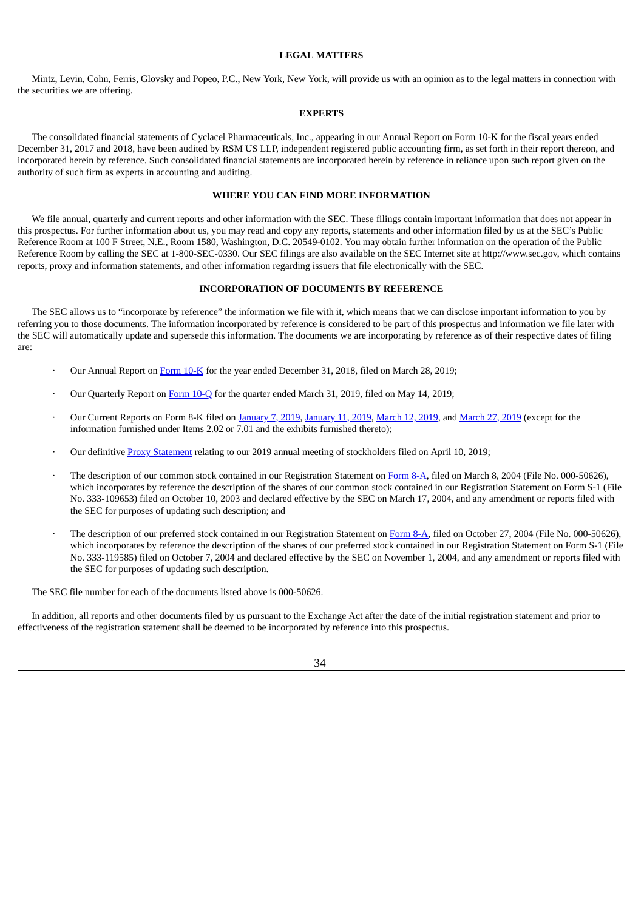## **LEGAL MATTERS**

<span id="page-51-0"></span>Mintz, Levin, Cohn, Ferris, Glovsky and Popeo, P.C., New York, New York, will provide us with an opinion as to the legal matters in connection with the securities we are offering.

### **EXPERTS**

<span id="page-51-1"></span>The consolidated financial statements of Cyclacel Pharmaceuticals, Inc., appearing in our Annual Report on Form 10-K for the fiscal years ended December 31, 2017 and 2018, have been audited by RSM US LLP, independent registered public accounting firm, as set forth in their report thereon, and incorporated herein by reference. Such consolidated financial statements are incorporated herein by reference in reliance upon such report given on the authority of such firm as experts in accounting and auditing.

# **WHERE YOU CAN FIND MORE INFORMATION**

<span id="page-51-2"></span>We file annual, quarterly and current reports and other information with the SEC. These filings contain important information that does not appear in this prospectus. For further information about us, you may read and copy any reports, statements and other information filed by us at the SEC's Public Reference Room at 100 F Street, N.E., Room 1580, Washington, D.C. 20549-0102. You may obtain further information on the operation of the Public Reference Room by calling the SEC at 1-800-SEC-0330. Our SEC filings are also available on the SEC Internet site at http://www.sec.gov, which contains reports, proxy and information statements, and other information regarding issuers that file electronically with the SEC.

### **INCORPORATION OF DOCUMENTS BY REFERENCE**

<span id="page-51-3"></span>The SEC allows us to "incorporate by reference" the information we file with it, which means that we can disclose important information to you by referring you to those documents. The information incorporated by reference is considered to be part of this prospectus and information we file later with the SEC will automatically update and supersede this information. The documents we are incorporating by reference as of their respective dates of filing are:

- · Our Annual Report on [Form](http://www.sec.gov/Archives/edgar/data/1130166/000114420419016652/tv516922-10k.htm) 10-K for the year ended December 31, 2018, filed on March 28, 2019;
- · Our Quarterly Report on [Form](http://www.sec.gov/Archives/edgar/data/1130166/000114420419026070/tv521138_10q.htm) 10-Q for the quarter ended March 31, 2019, filed on May 14, 2019;
- Our Current Reports on Form 8-K filed on [January](http://www.sec.gov/Archives/edgar/data/1130166/000114420419001462/tv510933_8k.htm) 7, 2019, January 11, 2019, [March](http://www.sec.gov/Archives/edgar/data/1130166/000114420419016316/tv517320_8k.htm) 12, 2019, and March 27, 2019 (except for the information furnished under Items 2.02 or 7.01 and the exhibits furnished thereto);
- Our definitive Proxy [Statement](http://www.sec.gov/Archives/edgar/data/1130166/000114420419019102/tv517873-def14a.htm) relating to our 2019 annual meeting of stockholders filed on April 10, 2019;
- The description of our common stock contained in our Registration Statement on [Form](http://www.sec.gov/Archives/edgar/data/1130166/000119312504035678/d8a12g.htm) 8-A, filed on March 8, 2004 (File No. 000-50626), which incorporates by reference the description of the shares of our common stock contained in our Registration Statement on Form S-1 (File No. 333-109653) filed on October 10, 2003 and declared effective by the SEC on March 17, 2004, and any amendment or reports filed with the SEC for purposes of updating such description; and
- The description of our preferred stock contained in our Registration Statement on [Form](http://www.sec.gov/Archives/edgar/data/1130166/000119312504179308/d8a12g.htm) 8-A, filed on October 27, 2004 (File No. 000-50626), which incorporates by reference the description of the shares of our preferred stock contained in our Registration Statement on Form S-1 (File No. 333-119585) filed on October 7, 2004 and declared effective by the SEC on November 1, 2004, and any amendment or reports filed with the SEC for purposes of updating such description.

The SEC file number for each of the documents listed above is 000-50626.

In addition, all reports and other documents filed by us pursuant to the Exchange Act after the date of the initial registration statement and prior to effectiveness of the registration statement shall be deemed to be incorporated by reference into this prospectus.

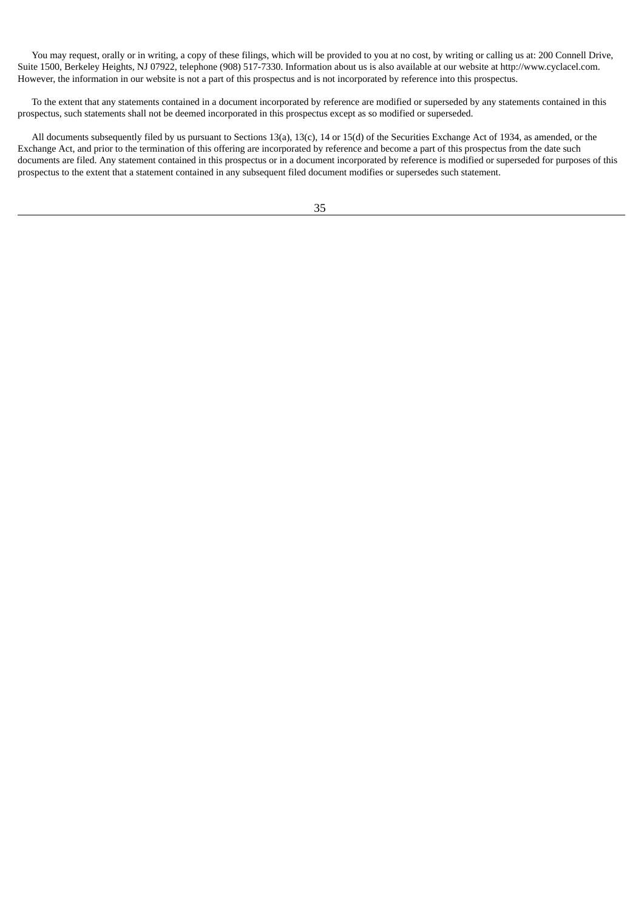You may request, orally or in writing, a copy of these filings, which will be provided to you at no cost, by writing or calling us at: 200 Connell Drive, Suite 1500, Berkeley Heights, NJ 07922, telephone (908) 517-7330. Information about us is also available at our website at http://www.cyclacel.com. However, the information in our website is not a part of this prospectus and is not incorporated by reference into this prospectus.

To the extent that any statements contained in a document incorporated by reference are modified or superseded by any statements contained in this prospectus, such statements shall not be deemed incorporated in this prospectus except as so modified or superseded.

All documents subsequently filed by us pursuant to Sections 13(a), 13(c), 14 or 15(d) of the Securities Exchange Act of 1934, as amended, or the Exchange Act, and prior to the termination of this offering are incorporated by reference and become a part of this prospectus from the date such documents are filed. Any statement contained in this prospectus or in a document incorporated by reference is modified or superseded for purposes of this prospectus to the extent that a statement contained in any subsequent filed document modifies or supersedes such statement.

35